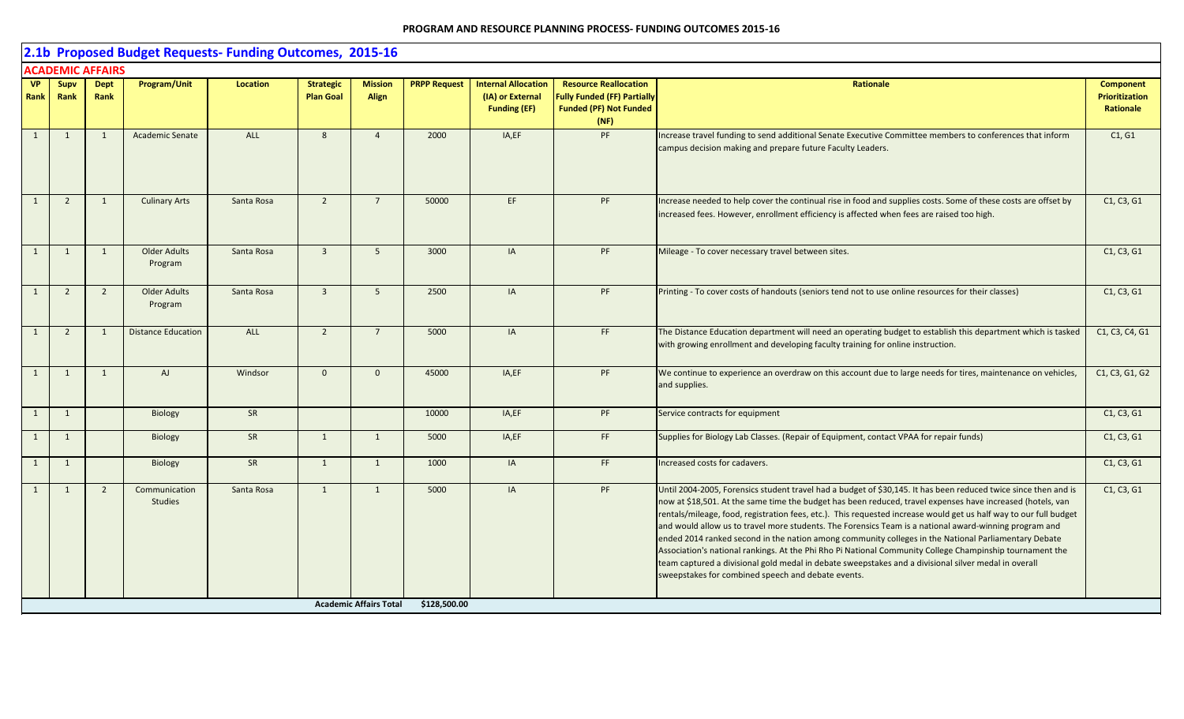|                   | 2.1b Proposed Budget Requests- Funding Outcomes, 2015-16<br><b>ACADEMIC AFFAIRS</b> |                     |                                 |                 |                                      |                                |                     |                                                                       |                                                                                                             |                                                                                                                                                                                                                                                                                                                                                                                                                                                                                                                                                                                                                                                                                                                                                                                                                                                |                                                        |  |  |  |
|-------------------|-------------------------------------------------------------------------------------|---------------------|---------------------------------|-----------------|--------------------------------------|--------------------------------|---------------------|-----------------------------------------------------------------------|-------------------------------------------------------------------------------------------------------------|------------------------------------------------------------------------------------------------------------------------------------------------------------------------------------------------------------------------------------------------------------------------------------------------------------------------------------------------------------------------------------------------------------------------------------------------------------------------------------------------------------------------------------------------------------------------------------------------------------------------------------------------------------------------------------------------------------------------------------------------------------------------------------------------------------------------------------------------|--------------------------------------------------------|--|--|--|
|                   |                                                                                     |                     |                                 |                 |                                      |                                |                     |                                                                       |                                                                                                             |                                                                                                                                                                                                                                                                                                                                                                                                                                                                                                                                                                                                                                                                                                                                                                                                                                                |                                                        |  |  |  |
| <b>VP</b><br>Rank | Supv<br>Rank                                                                        | <b>Dept</b><br>Rank | Program/Unit                    | <b>Location</b> | <b>Strategic</b><br><b>Plan Goal</b> | <b>Mission</b><br><b>Align</b> | <b>PRPP Request</b> | <b>Internal Allocation</b><br>(IA) or External<br><b>Funding (EF)</b> | <b>Resource Reallocation</b><br><b>Fully Funded (FF) Partially</b><br><b>Funded (PF) Not Funded</b><br>(NF) | <b>Rationale</b>                                                                                                                                                                                                                                                                                                                                                                                                                                                                                                                                                                                                                                                                                                                                                                                                                               | <b>Component</b><br><b>Prioritization</b><br>Rationale |  |  |  |
| 1                 | 1                                                                                   | $\mathbf{1}$        | <b>Academic Senate</b>          | <b>ALL</b>      | 8                                    | $\overline{4}$                 | 2000                | IA,EF                                                                 | PF                                                                                                          | Increase travel funding to send additional Senate Executive Committee members to conferences that inform<br>campus decision making and prepare future Faculty Leaders.                                                                                                                                                                                                                                                                                                                                                                                                                                                                                                                                                                                                                                                                         | C1, G1                                                 |  |  |  |
| 1                 | 2                                                                                   | $\mathbf{1}$        | <b>Culinary Arts</b>            | Santa Rosa      | $\overline{2}$                       | $\overline{7}$                 | 50000               | EF                                                                    | PF                                                                                                          | Increase needed to help cover the continual rise in food and supplies costs. Some of these costs are offset by<br>increased fees. However, enrollment efficiency is affected when fees are raised too high.                                                                                                                                                                                                                                                                                                                                                                                                                                                                                                                                                                                                                                    | C1, C3, G1                                             |  |  |  |
| 1                 | $\mathbf{1}$                                                                        | 1                   | <b>Older Adults</b><br>Program  | Santa Rosa      | $\overline{3}$                       | 5                              | 3000                | IA                                                                    | PF                                                                                                          | Mileage - To cover necessary travel between sites.                                                                                                                                                                                                                                                                                                                                                                                                                                                                                                                                                                                                                                                                                                                                                                                             | C1, C3, G1                                             |  |  |  |
| 1                 | 2                                                                                   | $\overline{2}$      | <b>Older Adults</b><br>Program  | Santa Rosa      | $\overline{3}$                       | 5                              | 2500                | IA                                                                    | PF                                                                                                          | Printing - To cover costs of handouts (seniors tend not to use online resources for their classes)                                                                                                                                                                                                                                                                                                                                                                                                                                                                                                                                                                                                                                                                                                                                             | C1, C3, G1                                             |  |  |  |
| 1                 | $\overline{2}$                                                                      | $\overline{1}$      | <b>Distance Education</b>       | ALL             | $\overline{2}$                       | $\overline{7}$                 | 5000                | IA                                                                    | FF                                                                                                          | The Distance Education department will need an operating budget to establish this department which is tasked<br>with growing enrollment and developing faculty training for online instruction.                                                                                                                                                                                                                                                                                                                                                                                                                                                                                                                                                                                                                                                | C1, C3, C4, G1                                         |  |  |  |
| 1                 | $\mathbf{1}$                                                                        | 1                   | AJ                              | Windsor         | $\mathbf{0}$                         | $\Omega$                       | 45000               | IA,EF                                                                 | PF                                                                                                          | We continue to experience an overdraw on this account due to large needs for tires, maintenance on vehicles,<br>and supplies.                                                                                                                                                                                                                                                                                                                                                                                                                                                                                                                                                                                                                                                                                                                  | C1, C3, G1, G2                                         |  |  |  |
| 1                 | $\mathbf{1}$                                                                        |                     | <b>Biology</b>                  | SR              |                                      |                                | 10000               | IA,EF                                                                 | PF                                                                                                          | Service contracts for equipment                                                                                                                                                                                                                                                                                                                                                                                                                                                                                                                                                                                                                                                                                                                                                                                                                | C1, C3, G1                                             |  |  |  |
| 1                 | $\mathbf{1}$                                                                        |                     | <b>Biology</b>                  | SR              | 1                                    | 1                              | 5000                | IA,EF                                                                 | FF                                                                                                          | Supplies for Biology Lab Classes. (Repair of Equipment, contact VPAA for repair funds)                                                                                                                                                                                                                                                                                                                                                                                                                                                                                                                                                                                                                                                                                                                                                         | C1, C3, G1                                             |  |  |  |
| 1                 | $\mathbf{1}$                                                                        |                     | Biology                         | SR              | 1                                    | 1                              | 1000                | IA                                                                    | FF                                                                                                          | Increased costs for cadavers.                                                                                                                                                                                                                                                                                                                                                                                                                                                                                                                                                                                                                                                                                                                                                                                                                  | C1, C3, G1                                             |  |  |  |
| $\mathbf{1}$      | 1                                                                                   | $\overline{2}$      | Communication<br><b>Studies</b> | Santa Rosa      | 1                                    | 1                              | 5000                | IA                                                                    | PF                                                                                                          | Until 2004-2005, Forensics student travel had a budget of \$30,145. It has been reduced twice since then and is<br>now at \$18,501. At the same time the budget has been reduced, travel expenses have increased (hotels, van<br>rentals/mileage, food, registration fees, etc.). This requested increase would get us half way to our full budget<br>and would allow us to travel more students. The Forensics Team is a national award-winning program and<br>ended 2014 ranked second in the nation among community colleges in the National Parliamentary Debate<br>Association's national rankings. At the Phi Rho Pi National Community College Champinship tournament the<br>team captured a divisional gold medal in debate sweepstakes and a divisional silver medal in overall<br>sweepstakes for combined speech and debate events. | C1, C3, G1                                             |  |  |  |
|                   |                                                                                     |                     |                                 |                 |                                      | <b>Academic Affairs Total</b>  | \$128,500.00        |                                                                       |                                                                                                             |                                                                                                                                                                                                                                                                                                                                                                                                                                                                                                                                                                                                                                                                                                                                                                                                                                                |                                                        |  |  |  |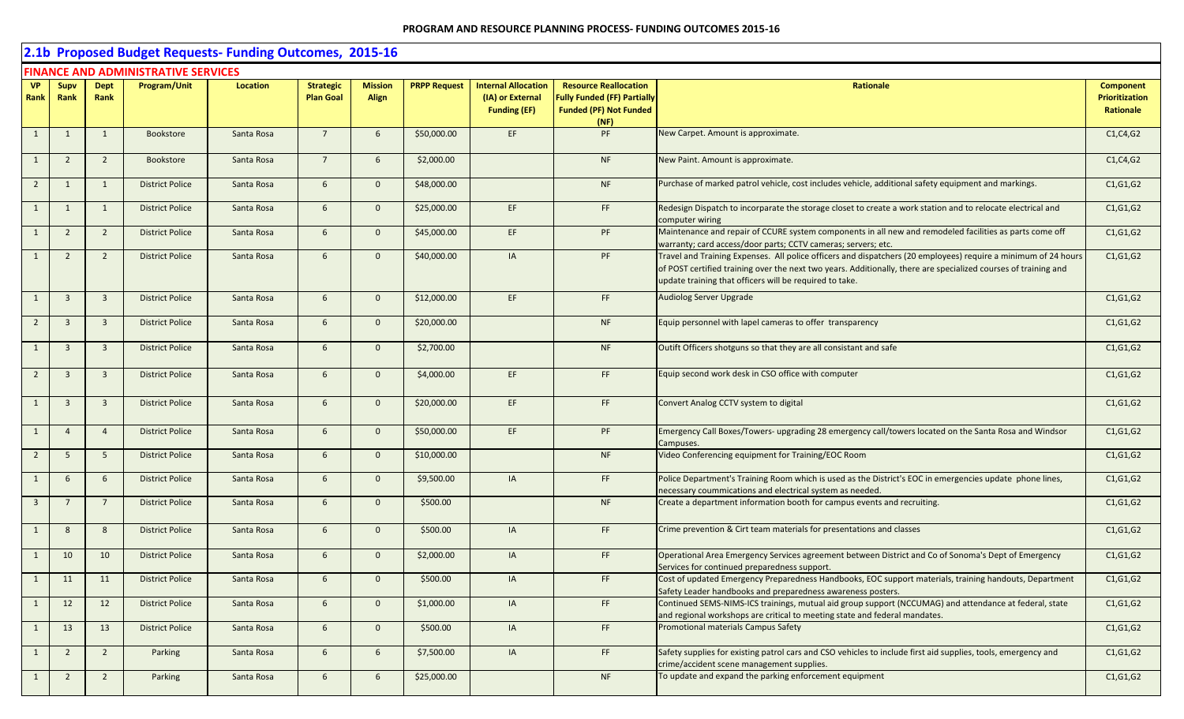|                         |                |                         |                                            | 2.1b Proposed Budget Requests- Funding Outcomes, 2015-16 |                  |                |                     |                                         |                                                                             |                                                                                                                                                                                                                                                                                              |                                    |
|-------------------------|----------------|-------------------------|--------------------------------------------|----------------------------------------------------------|------------------|----------------|---------------------|-----------------------------------------|-----------------------------------------------------------------------------|----------------------------------------------------------------------------------------------------------------------------------------------------------------------------------------------------------------------------------------------------------------------------------------------|------------------------------------|
|                         |                |                         | <b>FINANCE AND ADMINISTRATIVE SERVICES</b> |                                                          |                  |                |                     |                                         |                                                                             |                                                                                                                                                                                                                                                                                              |                                    |
| <b>VP</b>               | Supv           | <b>Dept</b>             | Program/Unit                               | Location                                                 | <b>Strategic</b> | <b>Mission</b> | <b>PRPP Request</b> | <b>Internal Allocation</b>              | <b>Resource Reallocation</b>                                                | Rationale                                                                                                                                                                                                                                                                                    | <b>Component</b>                   |
| Rank                    | Rank           | Rank                    |                                            |                                                          | <b>Plan Goal</b> | <b>Align</b>   |                     | (IA) or External<br><b>Funding (EF)</b> | <b>Fully Funded (FF) Partially</b><br><b>Funded (PF) Not Funded</b><br>(NF) |                                                                                                                                                                                                                                                                                              | <b>Prioritization</b><br>Rationale |
| $\mathbf{1}$            | 1              | 1                       | Bookstore                                  | Santa Rosa                                               | $7^{\circ}$      | 6              | \$50,000.00         | EF.                                     | PF                                                                          | New Carpet. Amount is approximate.                                                                                                                                                                                                                                                           | C1, C4, G2                         |
| $\mathbf{1}$            | $\overline{2}$ | $\overline{2}$          | Bookstore                                  | Santa Rosa                                               | $7^{\circ}$      | 6              | \$2,000.00          |                                         | <b>NF</b>                                                                   | New Paint. Amount is approximate.                                                                                                                                                                                                                                                            | C1, C4, G2                         |
| $\overline{2}$          | $\mathbf{1}$   | 1                       | <b>District Police</b>                     | Santa Rosa                                               | 6                | $\overline{0}$ | \$48,000.00         |                                         | <b>NF</b>                                                                   | Purchase of marked patrol vehicle, cost includes vehicle, additional safety equipment and markings.                                                                                                                                                                                          | C1, G1, G2                         |
| $\mathbf{1}$            | 1              | 1                       | <b>District Police</b>                     | Santa Rosa                                               | 6                | $\overline{0}$ | \$25,000.00         | EF                                      | FF.                                                                         | Redesign Dispatch to incorparate the storage closet to create a work station and to relocate electrical and<br>computer wiring                                                                                                                                                               | C1, G1, G2                         |
| 1                       | $\overline{2}$ | $\overline{2}$          | <b>District Police</b>                     | Santa Rosa                                               | $6\overline{6}$  | $\overline{0}$ | \$45,000.00         | EF                                      | PF                                                                          | Maintenance and repair of CCURE system components in all new and remodeled facilities as parts come off<br>warranty; card access/door parts; CCTV cameras; servers; etc.                                                                                                                     | C1, G1, G2                         |
| $\mathbf{1}$            | $\overline{2}$ | $\overline{2}$          | <b>District Police</b>                     | Santa Rosa                                               | 6                | $\mathbf{0}$   | \$40,000.00         | IA                                      | PF                                                                          | Travel and Training Expenses. All police officers and dispatchers (20 employees) require a minimum of 24 hours<br>of POST certified training over the next two years. Additionally, there are specialized courses of training and<br>update training that officers will be required to take. | C1, G1, G2                         |
| $\mathbf{1}$            | $\overline{3}$ | $\overline{\mathbf{3}}$ | <b>District Police</b>                     | Santa Rosa                                               | 6                | $\overline{0}$ | \$12,000.00         | EF                                      | FF                                                                          | <b>Audiolog Server Upgrade</b>                                                                                                                                                                                                                                                               | C1, G1, G2                         |
| $\overline{2}$          | $\overline{3}$ | $\overline{\mathbf{3}}$ | <b>District Police</b>                     | Santa Rosa                                               | 6                | $\overline{0}$ | \$20,000.00         |                                         | <b>NF</b>                                                                   | Equip personnel with lapel cameras to offer transparency                                                                                                                                                                                                                                     | C1, G1, G2                         |
| $\mathbf{1}$            | $\overline{3}$ | $\overline{\mathbf{3}}$ | <b>District Police</b>                     | Santa Rosa                                               | 6                | $\overline{0}$ | \$2,700.00          |                                         | <b>NF</b>                                                                   | Outift Officers shotguns so that they are all consistant and safe                                                                                                                                                                                                                            | C1, G1, G2                         |
| $\overline{2}$          | $\overline{3}$ | $\overline{\mathbf{3}}$ | <b>District Police</b>                     | Santa Rosa                                               | 6                | $\overline{0}$ | \$4,000.00          | EF                                      | FF.                                                                         | Equip second work desk in CSO office with computer                                                                                                                                                                                                                                           | C1, G1, G2                         |
| $\mathbf{1}$            | 3              | $\overline{\mathbf{3}}$ | <b>District Police</b>                     | Santa Rosa                                               | 6                | $\overline{0}$ | \$20,000.00         | EF                                      | FF.                                                                         | Convert Analog CCTV system to digital                                                                                                                                                                                                                                                        | C1, G1, G2                         |
| 1                       | $\overline{4}$ | $\overline{4}$          | <b>District Police</b>                     | Santa Rosa                                               | 6                | $\mathbf{0}$   | \$50,000.00         | EF                                      | PF                                                                          | Emergency Call Boxes/Towers- upgrading 28 emergency call/towers located on the Santa Rosa and Windsor<br>Campuses.                                                                                                                                                                           | C1, G1, G2                         |
| $\overline{2}$          | 5              | 5                       | <b>District Police</b>                     | Santa Rosa                                               | 6                | $\overline{0}$ | \$10,000.00         |                                         | <b>NF</b>                                                                   | Video Conferencing equipment for Training/EOC Room                                                                                                                                                                                                                                           | C1, G1, G2                         |
| $\mathbf{1}$            | 6 <sup>1</sup> | 6                       | <b>District Police</b>                     | Santa Rosa                                               | 6                | $\overline{0}$ | \$9,500.00          | IA                                      | FF.                                                                         | Police Department's Training Room which is used as the District's EOC in emergencies update phone lines,<br>necessary coummications and electrical system as needed.                                                                                                                         | C1, G1, G2                         |
| $\overline{\mathbf{3}}$ |                | $\overline{7}$          | <b>District Police</b>                     | Santa Rosa                                               | 6                | $\mathbf{0}$   | \$500.00            |                                         | <b>NF</b>                                                                   | Create a department information booth for campus events and recruiting.                                                                                                                                                                                                                      | C1, G1, G2                         |
| 1                       | 8              | 8                       | <b>District Police</b>                     | Santa Rosa                                               | 6                | $\overline{0}$ | \$500.00            | IA                                      | FF.                                                                         | Crime prevention & Cirt team materials for presentations and classes                                                                                                                                                                                                                         | C1, G1, G2                         |
| $\mathbf{1}$            | 10             | 10                      | <b>District Police</b>                     | Santa Rosa                                               | 6                | $\mathbf{0}$   | \$2,000.00          | IA                                      | FF                                                                          | Operational Area Emergency Services agreement between District and Co of Sonoma's Dept of Emergency<br>Services for continued preparedness support.                                                                                                                                          | C1, G1, G2                         |
| $\mathbf{1}$            | 11             | 11                      | <b>District Police</b>                     | Santa Rosa                                               | $6\overline{6}$  | $\mathbf{0}$   | \$500.00            | IA                                      | FF.                                                                         | Cost of updated Emergency Preparedness Handbooks, EOC support materials, training handouts, Department<br>Safety Leader handbooks and preparedness awareness posters.                                                                                                                        | C1, G1, G2                         |
| $\mathbf{1}$            | 12             | 12                      | <b>District Police</b>                     | Santa Rosa                                               | $6\overline{6}$  | $\overline{0}$ | \$1,000.00          | IA                                      | FF                                                                          | Continued SEMS-NIMS-ICS trainings, mutual aid group support (NCCUMAG) and attendance at federal, state<br>and regional workshops are critical to meeting state and federal mandates.                                                                                                         | C1, G1, G2                         |
| $\mathbf{1}$            | 13             | 13                      | <b>District Police</b>                     | Santa Rosa                                               | $6\overline{6}$  | $\overline{0}$ | \$500.00            | IA                                      | FF                                                                          | Promotional materials Campus Safety                                                                                                                                                                                                                                                          | C1, G1, G2                         |
| $\mathbf{1}$            | $\overline{2}$ | $\overline{2}$          | Parking                                    | Santa Rosa                                               | 6                | 6              | \$7,500.00          | IA                                      | FF                                                                          | Safety supplies for existing patrol cars and CSO vehicles to include first aid supplies, tools, emergency and<br>crime/accident scene management supplies.                                                                                                                                   | C1, G1, G2                         |
| $\mathbf{1}$            | $\overline{2}$ | $\overline{2}$          | Parking                                    | Santa Rosa                                               | $6\overline{6}$  | 6              | \$25,000.00         |                                         | NF                                                                          | To update and expand the parking enforcement equipment                                                                                                                                                                                                                                       | C1, G1, G2                         |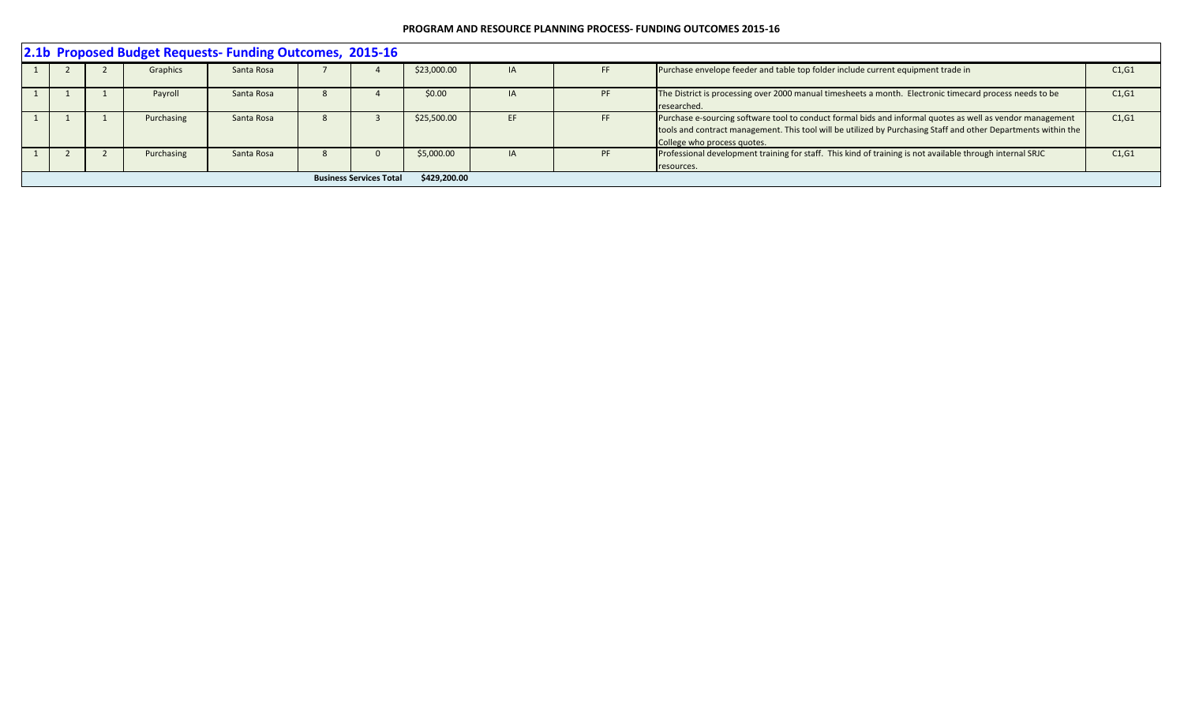|                                                                                                                                                                                          | 2.1b Proposed Budget Requests- Funding Outcomes, 2015-16 |  |            |            |  |  |             |    |     |                                                                                                                                                                                                                                                            |        |  |  |  |
|------------------------------------------------------------------------------------------------------------------------------------------------------------------------------------------|----------------------------------------------------------|--|------------|------------|--|--|-------------|----|-----|------------------------------------------------------------------------------------------------------------------------------------------------------------------------------------------------------------------------------------------------------------|--------|--|--|--|
|                                                                                                                                                                                          |                                                          |  | Graphics   | Santa Rosa |  |  | \$23,000.00 | IA | FF  | Purchase envelope feeder and table top folder include current equipment trade in                                                                                                                                                                           | C1, G1 |  |  |  |
|                                                                                                                                                                                          |                                                          |  | Payroll    | Santa Rosa |  |  | \$0.00      |    | PF  | The District is processing over 2000 manual timesheets a month. Electronic timecard process needs to be<br>researched.                                                                                                                                     | C1, G1 |  |  |  |
|                                                                                                                                                                                          |                                                          |  | Purchasing | Santa Rosa |  |  | \$25,500.00 |    | FF. | Purchase e-sourcing software tool to conduct formal bids and informal quotes as well as vendor management<br>tools and contract management. This tool will be utilized by Purchasing Staff and other Departments within the<br>College who process quotes. | C1, G1 |  |  |  |
| Professional development training for staff. This kind of training is not available through internal SRJC<br>\$5,000.00<br><b>PF</b><br>C1, G1<br>Purchasing<br>Santa Rosa<br>resources. |                                                          |  |            |            |  |  |             |    |     |                                                                                                                                                                                                                                                            |        |  |  |  |
|                                                                                                                                                                                          | \$429,200.00<br><b>Business Services Total</b>           |  |            |            |  |  |             |    |     |                                                                                                                                                                                                                                                            |        |  |  |  |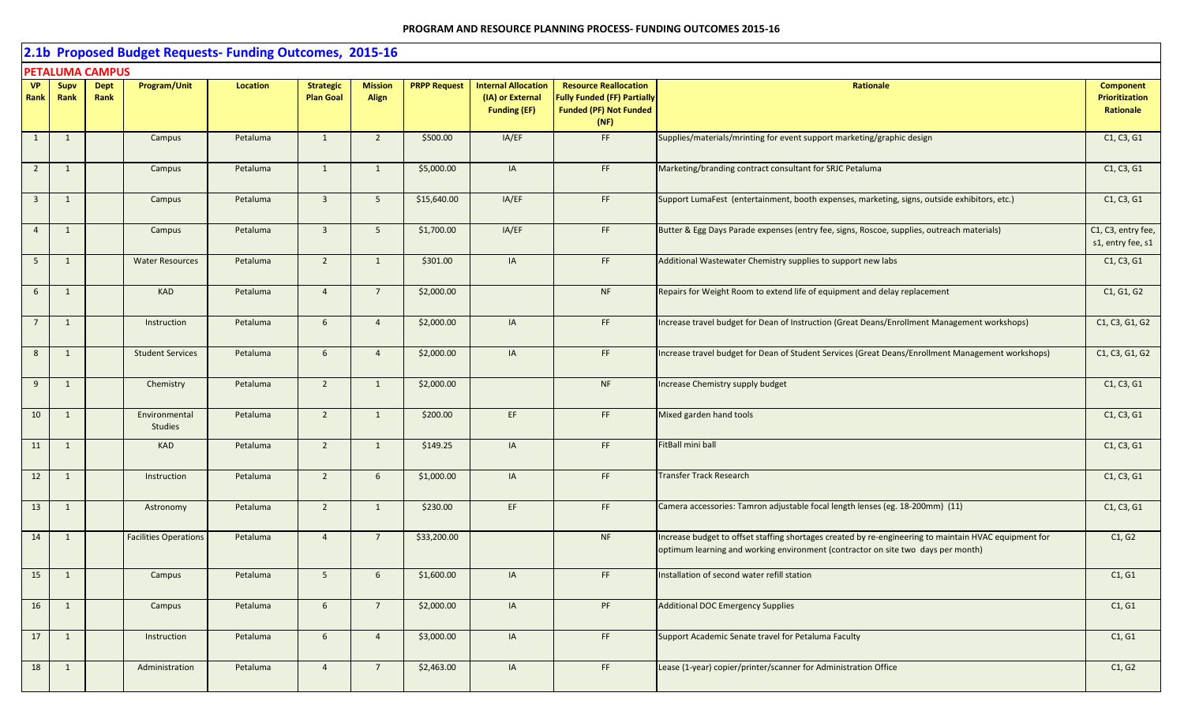|                          |                |                        | 2.1b Proposed Budget Requests- Funding Outcomes, 2015-16 |                 |                                      |                                |                     |                                                                       |                                                                                                             |                                                                                                                                                                                           |                                                        |
|--------------------------|----------------|------------------------|----------------------------------------------------------|-----------------|--------------------------------------|--------------------------------|---------------------|-----------------------------------------------------------------------|-------------------------------------------------------------------------------------------------------------|-------------------------------------------------------------------------------------------------------------------------------------------------------------------------------------------|--------------------------------------------------------|
|                          |                | <b>PETALUMA CAMPUS</b> |                                                          |                 |                                      |                                |                     |                                                                       |                                                                                                             |                                                                                                                                                                                           |                                                        |
| <b>VP</b><br><b>Rank</b> | Supv<br>Rank   | <b>Dept</b><br>Rank    | <b>Program/Unit</b>                                      | <b>Location</b> | <b>Strategic</b><br><b>Plan Goal</b> | <b>Mission</b><br><b>Align</b> | <b>PRPP Request</b> | <b>Internal Allocation</b><br>(IA) or External<br><b>Funding (EF)</b> | <b>Resource Reallocation</b><br><b>Fully Funded (FF) Partially</b><br><b>Funded (PF) Not Funded</b><br>(NF) | Rationale                                                                                                                                                                                 | <b>Component</b><br><b>Prioritization</b><br>Rationale |
| $\mathbf{1}$             | $\mathbf{1}$   |                        | Campus                                                   | Petaluma        | 1                                    | $\overline{2}$                 | \$500.00            | IA/EF                                                                 | FF                                                                                                          | Supplies/materials/mrinting for event support marketing/graphic design                                                                                                                    | C1, C3, G1                                             |
| $\overline{2}$           | 1              |                        | Campus                                                   | Petaluma        | $\mathbf{1}$                         | 1                              | \$5,000.00          | IA                                                                    | FF                                                                                                          | Marketing/branding contract consultant for SRJC Petaluma                                                                                                                                  | C1, C3, G1                                             |
| $\overline{3}$           | 1              |                        | Campus                                                   | Petaluma        | 3 <sup>1</sup>                       | 5 <sup>5</sup>                 | \$15,640.00         | IA/EF                                                                 | FF                                                                                                          | Support LumaFest (entertainment, booth expenses, marketing, signs, outside exhibitors, etc.)                                                                                              | C1, C3, G1                                             |
| $\overline{4}$           | 1              |                        | Campus                                                   | Petaluma        | $\overline{3}$                       | 5                              | \$1,700.00          | IA/EF                                                                 | FF                                                                                                          | Butter & Egg Days Parade expenses (entry fee, signs, Roscoe, supplies, outreach materials)                                                                                                | C1, C3, entry fee,<br>s1, entry fee, s1                |
| 5 <sup>5</sup>           | 1              |                        | <b>Water Resources</b>                                   | Petaluma        | $\overline{2}$                       | 1                              | \$301.00            | IA                                                                    | FF                                                                                                          | Additional Wastewater Chemistry supplies to support new labs                                                                                                                              | C1, C3, G1                                             |
| $6\overline{6}$          | 1              |                        | <b>KAD</b>                                               | Petaluma        | $\overline{4}$                       | $\overline{7}$                 | \$2,000.00          |                                                                       | NF                                                                                                          | Repairs for Weight Room to extend life of equipment and delay replacement                                                                                                                 | C1, G1, G2                                             |
| $7\overline{ }$          | 1              |                        | Instruction                                              | Petaluma        | $6\overline{6}$                      | $\overline{4}$                 | \$2,000.00          | IA                                                                    | FF                                                                                                          | Increase travel budget for Dean of Instruction (Great Deans/Enrollment Management workshops)                                                                                              | C1, C3, G1, G2                                         |
| 8                        | 1              |                        | <b>Student Services</b>                                  | Petaluma        | $6\overline{6}$                      | $\overline{4}$                 | \$2,000.00          | IA                                                                    | $\mathsf{FF}$                                                                                               | Increase travel budget for Dean of Student Services (Great Deans/Enrollment Management workshops)                                                                                         | C1, C3, G1, G2                                         |
| 9                        | 1              |                        | Chemistry                                                | Petaluma        | $\overline{2}$                       | 1                              | \$2,000.00          |                                                                       | NF                                                                                                          | Increase Chemistry supply budget                                                                                                                                                          | C1, C3, G1                                             |
| 10                       | $\mathbf{1}$   |                        | Environmental<br><b>Studies</b>                          | Petaluma        | $\overline{2}$                       | 1                              | \$200.00            | EF                                                                    | FF                                                                                                          | Mixed garden hand tools                                                                                                                                                                   | C1, C3, G1                                             |
| 11                       | $\overline{1}$ |                        | <b>KAD</b>                                               | Petaluma        | $\overline{2}$                       | 1                              | \$149.25            | IA                                                                    | $\mathsf{FF}$                                                                                               | FitBall mini ball                                                                                                                                                                         | C1, C3, G1                                             |
| 12                       | $\mathbf{1}$   |                        | Instruction                                              | Petaluma        | $\overline{2}$                       | $6\overline{6}$                | \$1,000.00          | IA                                                                    | FF.                                                                                                         | Transfer Track Research                                                                                                                                                                   | C1, C3, G1                                             |
| 13                       | 1              |                        | Astronomy                                                | Petaluma        | $\overline{2}$                       | 1                              | \$230.00            | EF                                                                    | FF                                                                                                          | Camera accessories: Tamron adjustable focal length lenses (eg. 18-200mm) (11)                                                                                                             | C1, C3, G1                                             |
| 14                       | 1              |                        | <b>Facilities Operations</b>                             | Petaluma        | $\overline{4}$                       | $\overline{7}$                 | \$33,200.00         |                                                                       | <b>NF</b>                                                                                                   | Increase budget to offset staffing shortages created by re-engineering to maintain HVAC equipment for<br>optimum learning and working environment (contractor on site two days per month) | C1, G2                                                 |
| 15                       | $\mathbf{1}$   |                        | Campus                                                   | Petaluma        | 5 <sup>5</sup>                       | $6\phantom{.}6$                | \$1,600.00          | IA                                                                    | FF                                                                                                          | Installation of second water refill station                                                                                                                                               | C1, G1                                                 |
| 16                       | 1              |                        | Campus                                                   | Petaluma        | 6                                    | $7\overline{ }$                | \$2,000.00          | IA                                                                    | PF                                                                                                          | <b>Additional DOC Emergency Supplies</b>                                                                                                                                                  | C1, G1                                                 |
| 17                       | $\mathbf{1}$   |                        | Instruction                                              | Petaluma        | $6\overline{6}$                      | $\overline{4}$                 | \$3,000.00          | IA                                                                    | FF                                                                                                          | Support Academic Senate travel for Petaluma Faculty                                                                                                                                       | C1, G1                                                 |
| 18                       | 1              |                        | Administration                                           | Petaluma        | $\overline{4}$                       | $7\overline{ }$                | \$2,463.00          | IA                                                                    | FF                                                                                                          | Lease (1-year) copier/printer/scanner for Administration Office                                                                                                                           | C1, G2                                                 |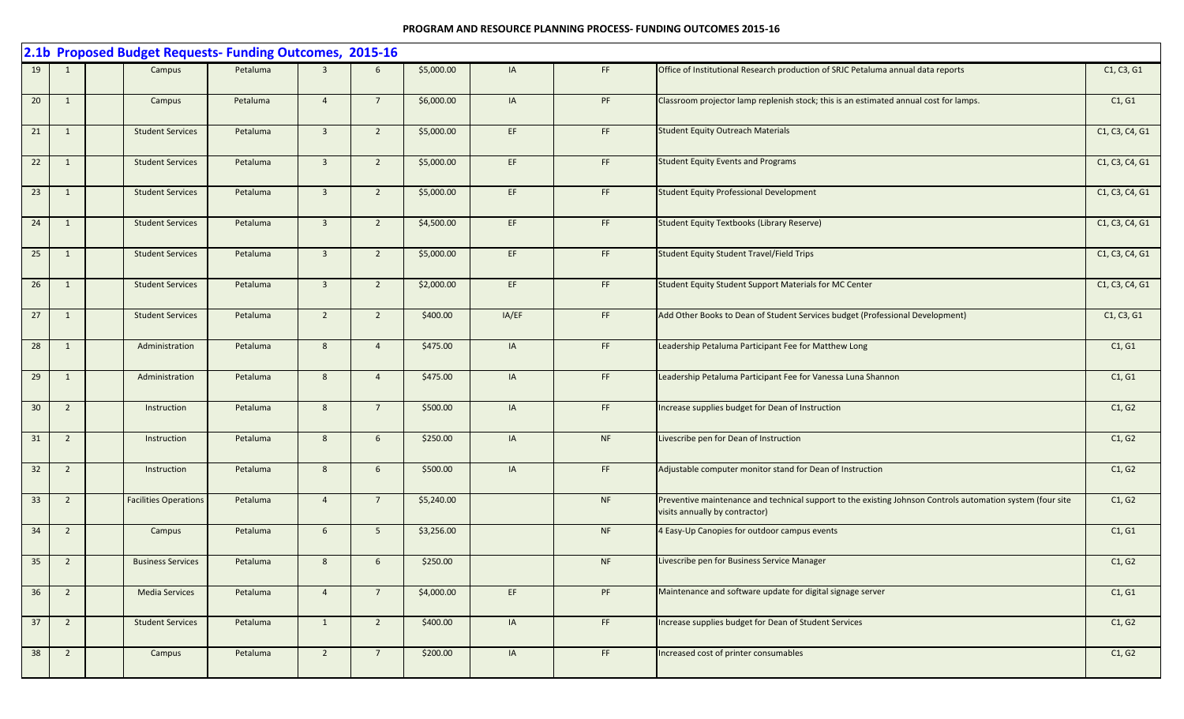|    |                | 2.1b Proposed Budget Requests- Funding Outcomes, 2015-16 |          |                |                 |            |       |           |                                                                                                                                              |                |
|----|----------------|----------------------------------------------------------|----------|----------------|-----------------|------------|-------|-----------|----------------------------------------------------------------------------------------------------------------------------------------------|----------------|
| 19 | 1              | Campus                                                   | Petaluma | $\mathbf{R}$   | 6               | \$5,000.00 | IA    | FF.       | Office of Institutional Research production of SRJC Petaluma annual data reports                                                             | C1, C3, G1     |
| 20 | 1              | Campus                                                   | Petaluma | $\overline{4}$ | $7\overline{ }$ | \$6,000.00 | IA    | PF        | Classroom projector lamp replenish stock; this is an estimated annual cost for lamps.                                                        | C1, G1         |
| 21 | 1              | <b>Student Services</b>                                  | Petaluma | $\overline{3}$ | $\overline{2}$  | \$5,000.00 | EF    | FF.       | <b>Student Equity Outreach Materials</b>                                                                                                     | C1, C3, C4, G1 |
| 22 | $\mathbf{1}$   | <b>Student Services</b>                                  | Petaluma | $\overline{3}$ | $\overline{2}$  | \$5,000.00 | EF    | FF.       | <b>Student Equity Events and Programs</b>                                                                                                    | C1, C3, C4, G1 |
| 23 | 1              | <b>Student Services</b>                                  | Petaluma | $\overline{3}$ | $\overline{2}$  | \$5,000.00 | EF    | FF        | <b>Student Equity Professional Development</b>                                                                                               | C1, C3, C4, G1 |
| 24 | 1              | <b>Student Services</b>                                  | Petaluma | $\overline{3}$ | $\overline{2}$  | \$4,500.00 | EF    | FF        | <b>Student Equity Textbooks (Library Reserve)</b>                                                                                            | C1, C3, C4, G1 |
| 25 | 1              | <b>Student Services</b>                                  | Petaluma | $\overline{3}$ | $\overline{2}$  | \$5,000.00 | EF    | FF.       | <b>Student Equity Student Travel/Field Trips</b>                                                                                             | C1, C3, C4, G1 |
| 26 | 1              | <b>Student Services</b>                                  | Petaluma | $\overline{3}$ | $\overline{2}$  | \$2,000.00 | EF    | FF        | Student Equity Student Support Materials for MC Center                                                                                       | C1, C3, C4, G1 |
| 27 | $\overline{1}$ | <b>Student Services</b>                                  | Petaluma | $\overline{2}$ | $\overline{2}$  | \$400.00   | IA/EF | FF.       | Add Other Books to Dean of Student Services budget (Professional Development)                                                                | C1, C3, G1     |
| 28 | $\mathbf{1}$   | Administration                                           | Petaluma | 8              | $\overline{4}$  | \$475.00   | IA    | FF.       | Leadership Petaluma Participant Fee for Matthew Long                                                                                         | C1, G1         |
| 29 | 1              | Administration                                           | Petaluma | 8              | $\overline{4}$  | \$475.00   | IA    | FF.       | Leadership Petaluma Participant Fee for Vanessa Luna Shannon                                                                                 | C1, G1         |
| 30 | $\overline{2}$ | Instruction                                              | Petaluma | 8              | $7\overline{ }$ | \$500.00   | IA    | FF.       | Increase supplies budget for Dean of Instruction                                                                                             | C1, G2         |
| 31 | $\overline{2}$ | Instruction                                              | Petaluma | 8              | $6\overline{6}$ | \$250.00   | IA    | <b>NF</b> | Livescribe pen for Dean of Instruction                                                                                                       | C1, G2         |
| 32 | $\overline{2}$ | Instruction                                              | Petaluma | 8              | 6               | \$500.00   | IA    | FF.       | Adjustable computer monitor stand for Dean of Instruction                                                                                    | C1, G2         |
| 33 | $\overline{2}$ | <b>Facilities Operations</b>                             | Petaluma | $\overline{4}$ | $7\overline{ }$ | \$5,240.00 |       | <b>NF</b> | Preventive maintenance and technical support to the existing Johnson Controls automation system (four site<br>visits annually by contractor) | C1, G2         |
| 34 | $\overline{2}$ | Campus                                                   | Petaluma | 6 <sup>1</sup> | 5 <sup>5</sup>  | \$3,256.00 |       | <b>NF</b> | 4 Easy-Up Canopies for outdoor campus events                                                                                                 | C1, G1         |
| 35 | $\overline{2}$ | <b>Business Services</b>                                 | Petaluma | 8              | 6               | \$250.00   |       | NF        | Livescribe pen for Business Service Manager                                                                                                  | C1, G2         |
| 36 | $\overline{2}$ | <b>Media Services</b>                                    | Petaluma | $\overline{4}$ | $7\overline{ }$ | \$4,000.00 | EF    | PF        | Maintenance and software update for digital signage server                                                                                   | C1, G1         |
| 37 | $\overline{2}$ | <b>Student Services</b>                                  | Petaluma | 1              | $\overline{2}$  | \$400.00   | IA    | FF        | Increase supplies budget for Dean of Student Services                                                                                        | C1, G2         |
| 38 | $\overline{2}$ | Campus                                                   | Petaluma | $\overline{2}$ | $7\overline{ }$ | \$200.00   | IA    | FF.       | Increased cost of printer consumables                                                                                                        | C1, G2         |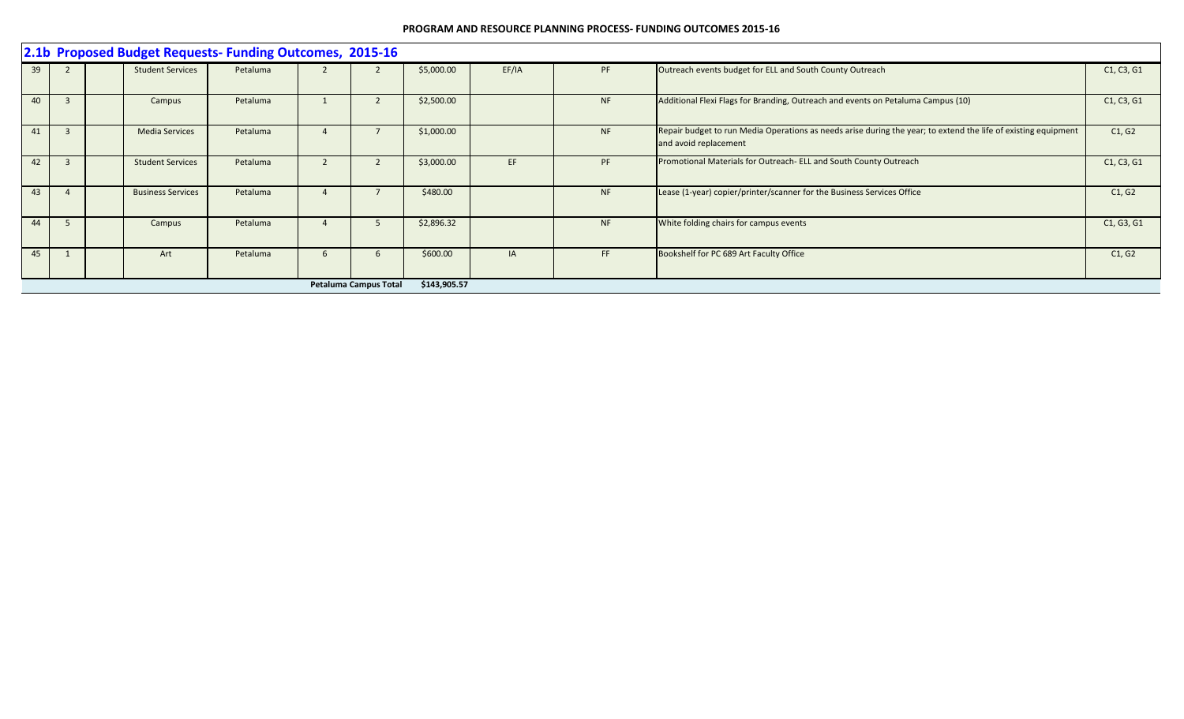|    |    | 2.1b Proposed Budget Requests- Funding Outcomes, 2015-16 |                          |          |  |                              |              |       |           |                                                                                                                                         |            |  |  |  |  |
|----|----|----------------------------------------------------------|--------------------------|----------|--|------------------------------|--------------|-------|-----------|-----------------------------------------------------------------------------------------------------------------------------------------|------------|--|--|--|--|
| 39 |    |                                                          | <b>Student Services</b>  | Petaluma |  |                              | \$5,000.00   | EF/IA | PF        | Outreach events budget for ELL and South County Outreach                                                                                | C1, C3, G1 |  |  |  |  |
| 40 |    |                                                          | Campus                   | Petaluma |  |                              | \$2,500.00   |       | <b>NF</b> | Additional Flexi Flags for Branding, Outreach and events on Petaluma Campus (10)                                                        | C1, C3, G1 |  |  |  |  |
| 41 |    |                                                          | <b>Media Services</b>    | Petaluma |  |                              | \$1,000.00   |       | NF        | Repair budget to run Media Operations as needs arise during the year; to extend the life of existing equipment<br>and avoid replacement | C1, G2     |  |  |  |  |
| 42 |    |                                                          | <b>Student Services</b>  | Petaluma |  |                              | \$3,000.00   | EF    | PF        | Promotional Materials for Outreach- ELL and South County Outreach                                                                       | C1, C3, G1 |  |  |  |  |
| 43 |    |                                                          | <b>Business Services</b> | Petaluma |  |                              | \$480.00     |       | <b>NF</b> | Lease (1-year) copier/printer/scanner for the Business Services Office                                                                  | C1, G2     |  |  |  |  |
| 44 | כ. |                                                          | Campus                   | Petaluma |  |                              | \$2,896.32   |       | <b>NF</b> | White folding chairs for campus events                                                                                                  | C1, G3, G1 |  |  |  |  |
| 45 |    |                                                          | Art                      | Petaluma |  |                              | \$600.00     | IA    | FF.       | Bookshelf for PC 689 Art Faculty Office                                                                                                 | C1, G2     |  |  |  |  |
|    |    |                                                          |                          |          |  | <b>Petaluma Campus Total</b> | \$143,905.57 |       |           |                                                                                                                                         |            |  |  |  |  |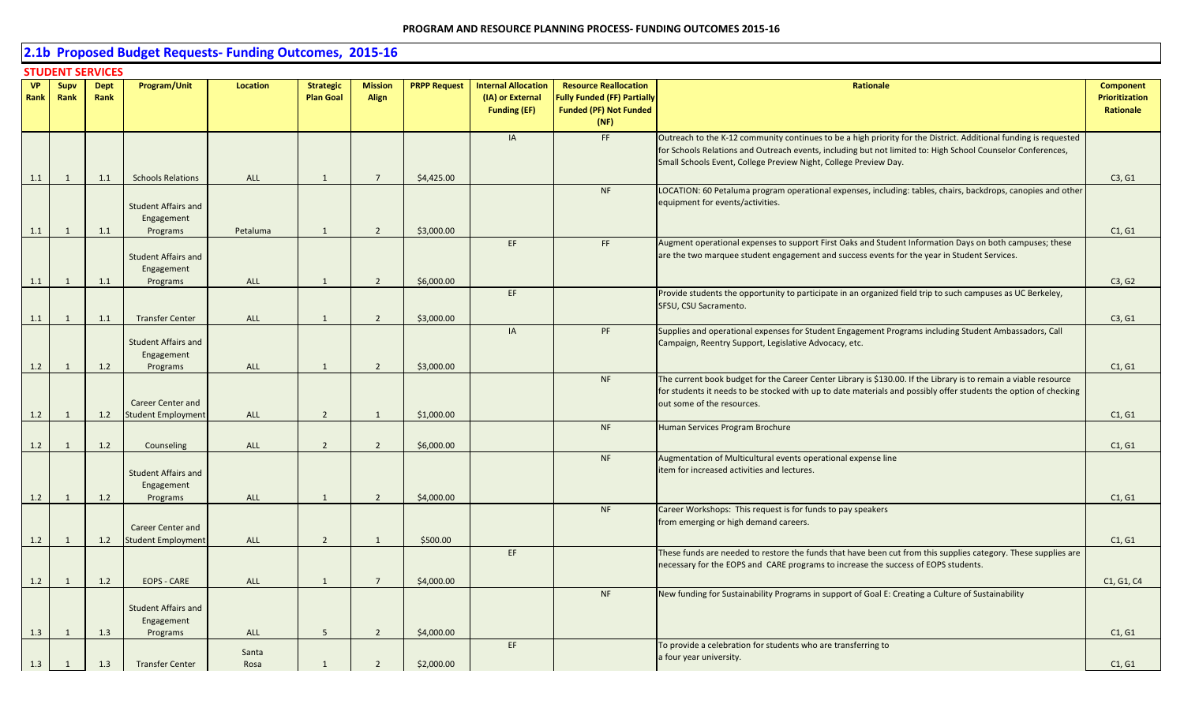# **2.1b Proposed Budget Requests- Funding Outcomes, 2015-16**

|                   | <b>STUDENT SERVICES</b>          |                     |                                                                |                             |                                      |                                  |                          |                                                                       |                                                                                                             |                                                                                                                                                                                                                                                                                                     |                                                        |  |
|-------------------|----------------------------------|---------------------|----------------------------------------------------------------|-----------------------------|--------------------------------------|----------------------------------|--------------------------|-----------------------------------------------------------------------|-------------------------------------------------------------------------------------------------------------|-----------------------------------------------------------------------------------------------------------------------------------------------------------------------------------------------------------------------------------------------------------------------------------------------------|--------------------------------------------------------|--|
| <b>VP</b><br>Rank | Supv<br>Rank                     | <b>Dept</b><br>Rank | Program/Unit                                                   | Location                    | <b>Strategic</b><br><b>Plan Goal</b> | <b>Mission</b><br><b>Align</b>   | <b>PRPP Request</b>      | <b>Internal Allocation</b><br>(IA) or External<br><b>Funding (EF)</b> | <b>Resource Reallocation</b><br><b>Fully Funded (FF) Partially</b><br><b>Funded (PF) Not Funded</b><br>(NF) | Rationale                                                                                                                                                                                                                                                                                           | <b>Component</b><br><b>Prioritization</b><br>Rationale |  |
| 1.1               | 1                                | 1.1                 | <b>Schools Relations</b>                                       | <b>ALL</b>                  | $\mathbf{1}$                         | $\overline{7}$                   | \$4,425.00               | IA                                                                    | FF                                                                                                          | Outreach to the K-12 community continues to be a high priority for the District. Additional funding is requested<br>for Schools Relations and Outreach events, including but not limited to: High School Counselor Conferences,<br>Small Schools Event, College Preview Night, College Preview Day. | C3, G1                                                 |  |
| 1.1               | 1                                | 1.1                 | <b>Student Affairs and</b><br>Engagement<br>Programs           | Petaluma                    | 1                                    | $\overline{2}$                   | \$3,000.00               |                                                                       | <b>NF</b>                                                                                                   | LOCATION: 60 Petaluma program operational expenses, including: tables, chairs, backdrops, canopies and other<br>equipment for events/activities.                                                                                                                                                    | C1, G1                                                 |  |
| 1.1               | 1                                | 1.1                 | <b>Student Affairs and</b><br>Engagement<br>Programs           | ALL                         | $\mathbf{1}$                         | $\overline{2}$                   | \$6,000.00               | EF                                                                    | FF.                                                                                                         | Augment operational expenses to support First Oaks and Student Information Days on both campuses; these<br>are the two marquee student engagement and success events for the year in Student Services.                                                                                              | C3, G2                                                 |  |
| 1.1               | $\mathbf{1}$                     | 1.1                 | <b>Transfer Center</b>                                         | ALL                         | 1                                    | $\overline{2}$                   | \$3,000.00               | EF                                                                    |                                                                                                             | Provide students the opportunity to participate in an organized field trip to such campuses as UC Berkeley,<br>SFSU, CSU Sacramento.                                                                                                                                                                | C3, G1                                                 |  |
| 1.2               | $\mathbf{1}$                     | 1.2                 | <b>Student Affairs and</b><br>Engagement<br>Programs           | ALL                         | 1                                    | $\overline{2}$                   | \$3,000.00               | IA                                                                    | PF                                                                                                          | Supplies and operational expenses for Student Engagement Programs including Student Ambassadors, Call<br>Campaign, Reentry Support, Legislative Advocacy, etc.                                                                                                                                      | C1, G1                                                 |  |
| 1.2               | 1                                | 1.2                 | <b>Career Center and</b><br>Student Employment                 | <b>ALL</b>                  | $\overline{2}$                       | 1                                | \$1,000.00               |                                                                       | <b>NF</b>                                                                                                   | The current book budget for the Career Center Library is \$130.00. If the Library is to remain a viable resource<br>for students it needs to be stocked with up to date materials and possibly offer students the option of checking<br>out some of the resources.                                  | C1, G1                                                 |  |
| 1.2               | 1                                | 1.2                 | Counseling                                                     | <b>ALL</b>                  | $\overline{2}$                       | $\overline{2}$                   | \$6,000.00               |                                                                       | <b>NF</b>                                                                                                   | Human Services Program Brochure                                                                                                                                                                                                                                                                     | C1, G1                                                 |  |
| 1.2               | 1                                | 1.2                 | <b>Student Affairs and</b><br>Engagement<br>Programs           | ALL                         | 1                                    | $\overline{2}$                   | \$4,000.00               |                                                                       | <b>NF</b>                                                                                                   | Augmentation of Multicultural events operational expense line<br>item for increased activities and lectures.                                                                                                                                                                                        | C1, G1                                                 |  |
|                   |                                  |                     | <b>Career Center and</b>                                       |                             | 2                                    |                                  | \$500.00                 |                                                                       | <b>NF</b>                                                                                                   | Career Workshops: This request is for funds to pay speakers<br>from emerging or high demand careers.                                                                                                                                                                                                |                                                        |  |
| 1.2               | 1                                | 1.2                 | <b>Student Employment</b>                                      | ALL                         |                                      | 1                                |                          | EF                                                                    |                                                                                                             | These funds are needed to restore the funds that have been cut from this supplies category. These supplies are<br>necessary for the EOPS and CARE programs to increase the success of EOPS students.                                                                                                | C1, G1                                                 |  |
| 1.2               | $\overline{1}$                   | 1.2                 | <b>EOPS - CARE</b><br><b>Student Affairs and</b><br>Engagement | ALL                         | 1                                    | $\overline{7}$                   | \$4,000.00               |                                                                       | <b>NF</b>                                                                                                   | New funding for Sustainability Programs in support of Goal E: Creating a Culture of Sustainability                                                                                                                                                                                                  | C1, G1, C4                                             |  |
| 1.3<br>1.3        | $\overline{1}$<br>$\overline{1}$ | 1.3<br>1.3          | Programs<br><b>Transfer Center</b>                             | <b>ALL</b><br>Santa<br>Rosa | 5 <sup>5</sup><br>$\mathbf{1}$       | $\overline{2}$<br>$\overline{2}$ | \$4,000.00<br>\$2,000.00 | EF                                                                    |                                                                                                             | To provide a celebration for students who are transferring to<br>a four year university.                                                                                                                                                                                                            | C1, G1<br>C1, G1                                       |  |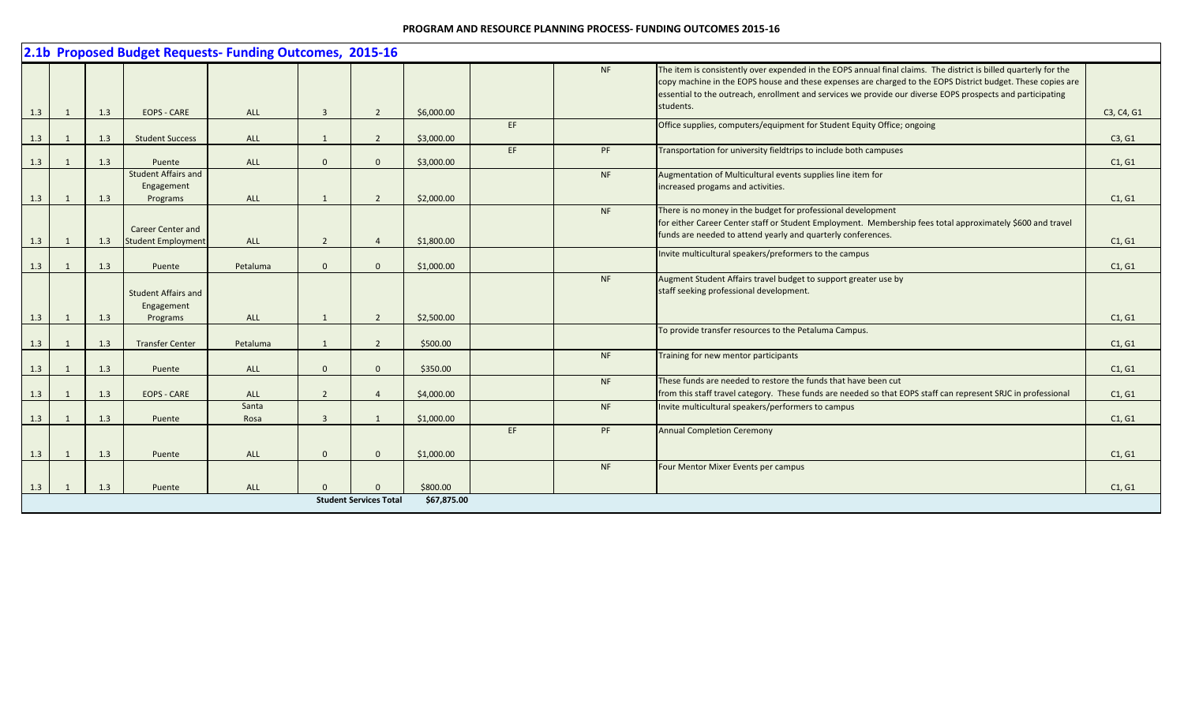|     |                |     |                                                       | 2.1b Proposed Budget Requests- Funding Outcomes, 2015-16 |                          |                               |             |     |           |                                                                                                                                                                                                                                                                                                                                                            |            |
|-----|----------------|-----|-------------------------------------------------------|----------------------------------------------------------|--------------------------|-------------------------------|-------------|-----|-----------|------------------------------------------------------------------------------------------------------------------------------------------------------------------------------------------------------------------------------------------------------------------------------------------------------------------------------------------------------------|------------|
|     |                |     |                                                       |                                                          |                          |                               |             |     | NF        | The item is consistently over expended in the EOPS annual final claims. The district is billed quarterly for the<br>copy machine in the EOPS house and these expenses are charged to the EOPS District budget. These copies are<br>essential to the outreach, enrollment and services we provide our diverse EOPS prospects and participating<br>students. |            |
| 1.3 | $\overline{1}$ | 1.3 | <b>EOPS - CARE</b>                                    | <b>ALL</b>                                               | $\overline{3}$           | 2                             | \$6,000.00  |     |           |                                                                                                                                                                                                                                                                                                                                                            | C3, C4, G1 |
| 1.3 | $\overline{1}$ | 1.3 | <b>Student Success</b>                                | <b>ALL</b>                                               | $\mathbf{1}$             | $\overline{2}$                | \$3,000.00  | EF. |           | Office supplies, computers/equipment for Student Equity Office; ongoing                                                                                                                                                                                                                                                                                    | C3, G1     |
| 1.3 |                | 1.3 | Puente                                                | <b>ALL</b>                                               | $\Omega$                 | $\Omega$                      | \$3,000.00  | EF  | PF        | Transportation for university fieldtrips to include both campuses                                                                                                                                                                                                                                                                                          | C1, G1     |
| 1.3 | $\overline{1}$ | 1.3 | <b>Student Affairs and</b><br>Engagement<br>Programs  | <b>ALL</b>                                               | $\mathbf{1}$             | 2                             | \$2,000.00  |     | <b>NF</b> | Augmentation of Multicultural events supplies line item for<br>increased progams and activities.                                                                                                                                                                                                                                                           | C1, G1     |
| 1.3 | <sup>1</sup>   | 1.3 | <b>Career Center and</b><br><b>Student Employment</b> | <b>ALL</b>                                               | $\overline{\phantom{a}}$ | $\boldsymbol{\varDelta}$      | \$1,800.00  |     | <b>NF</b> | There is no money in the budget for professional development<br>for either Career Center staff or Student Employment. Membership fees total approximately \$600 and travel<br>funds are needed to attend yearly and quarterly conferences.                                                                                                                 | C1, G1     |
|     |                |     |                                                       |                                                          |                          |                               |             |     |           | Invite multicultural speakers/preformers to the campus                                                                                                                                                                                                                                                                                                     |            |
| 1.3 | $\overline{1}$ | 1.3 | Puente                                                | Petaluma                                                 | $\Omega$                 | $\Omega$                      | \$1,000.00  |     |           |                                                                                                                                                                                                                                                                                                                                                            | C1, G1     |
|     |                |     | <b>Student Affairs and</b><br>Engagement              |                                                          |                          |                               |             |     | <b>NF</b> | Augment Student Affairs travel budget to support greater use by<br>staff seeking professional development.                                                                                                                                                                                                                                                 |            |
| 1.3 | $\overline{1}$ | 1.3 | Programs                                              | <b>ALL</b>                                               |                          | $\overline{2}$                | \$2,500.00  |     |           |                                                                                                                                                                                                                                                                                                                                                            | C1, G1     |
| 1.3 | $\overline{1}$ | 1.3 | <b>Transfer Center</b>                                | Petaluma                                                 | 1                        | 2                             | \$500.00    |     |           | To provide transfer resources to the Petaluma Campus.                                                                                                                                                                                                                                                                                                      | C1, G1     |
| 1.3 |                | 1.3 | Puente                                                | ALL                                                      | $\Omega$                 | $\Omega$                      | \$350.00    |     | NF        | Training for new mentor participants                                                                                                                                                                                                                                                                                                                       | C1, G1     |
| 1.3 |                | 1.3 | <b>EOPS - CARE</b>                                    | <b>ALL</b>                                               | $\overline{2}$           | $\overline{4}$                | \$4,000.00  |     | NF        | These funds are needed to restore the funds that have been cut.<br>from this staff travel category. These funds are needed so that EOPS staff can represent SRJC in professional                                                                                                                                                                           | C1, G1     |
| 1.3 |                | 1.3 | Puente                                                | Santa<br>Rosa                                            | $\mathbf{R}$             | $\overline{1}$                | \$1,000.00  |     | <b>NF</b> | Invite multicultural speakers/performers to campus                                                                                                                                                                                                                                                                                                         | C1, G1     |
|     |                |     |                                                       |                                                          |                          |                               |             | EF. | PF        | <b>Annual Completion Ceremony</b>                                                                                                                                                                                                                                                                                                                          |            |
| 1.3 | $\overline{1}$ | 1.3 | Puente                                                | ALL                                                      | $\Omega$                 | $\mathbf{0}$                  | \$1,000.00  |     |           |                                                                                                                                                                                                                                                                                                                                                            | C1, G1     |
|     |                |     |                                                       |                                                          |                          |                               |             |     | NF        | Four Mentor Mixer Events per campus                                                                                                                                                                                                                                                                                                                        |            |
| 1.3 |                | 1.3 | Puente                                                | <b>ALL</b>                                               |                          | $\Omega$                      | \$800.00    |     |           |                                                                                                                                                                                                                                                                                                                                                            | C1, G1     |
|     |                |     |                                                       |                                                          |                          | <b>Student Services Total</b> | \$67,875.00 |     |           |                                                                                                                                                                                                                                                                                                                                                            |            |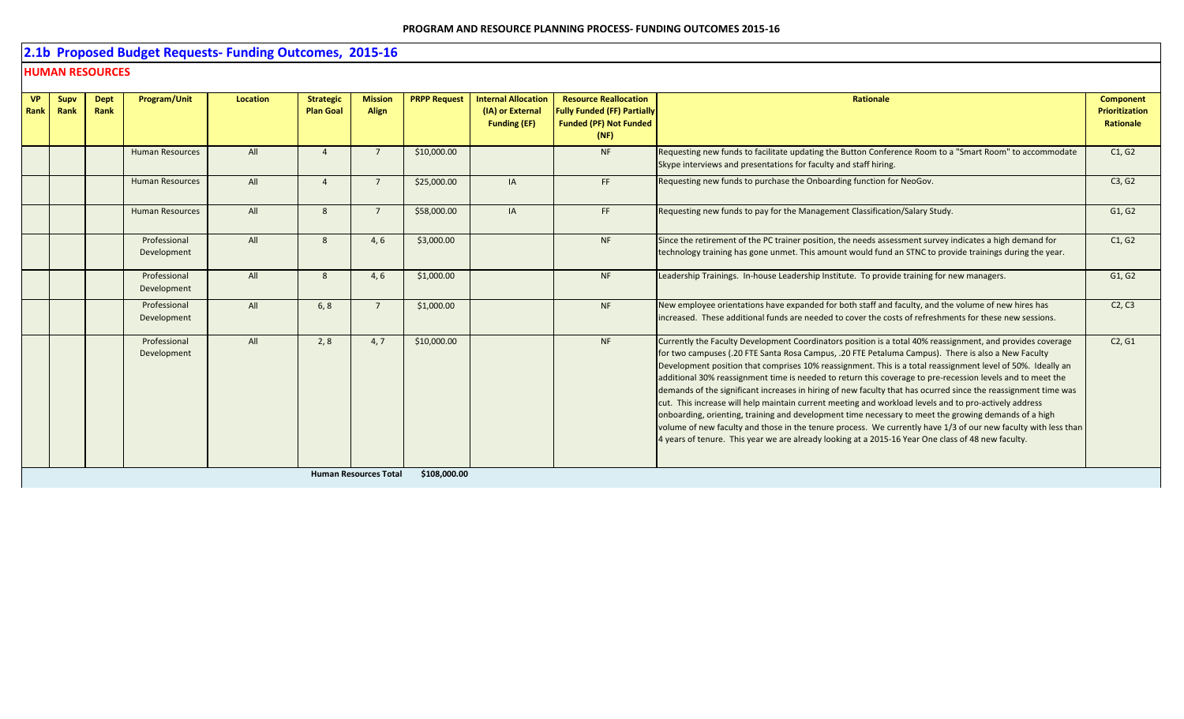# **2.1b Proposed Budget Requests- Funding Outcomes, 2015-16**

## **HUMAN RESOURCES**

| All<br>\$10,000.00<br><b>Human Resources</b><br><b>NF</b><br>$\Delta$<br>Skype interviews and presentations for faculty and staff hiring.<br>All<br>\$25,000.00<br>FF.<br><b>Human Resources</b><br><b>IA</b><br>$\Delta$ |  |  |  | <b>Plan Goal</b> | Align | (IA) or External<br><b>Funding (EF)</b> | <b>Fully Funded (FF) Partially</b><br><b>Funded (PF) Not Funded</b><br>(NF) |                                                                                                                                                                                                                                                                                                                                                                                                                                                                                                                                                                                                                                                                                                                                                                                                                                                                                                                                                                                                          | <b>Prioritization</b><br>Rationale |
|---------------------------------------------------------------------------------------------------------------------------------------------------------------------------------------------------------------------------|--|--|--|------------------|-------|-----------------------------------------|-----------------------------------------------------------------------------|----------------------------------------------------------------------------------------------------------------------------------------------------------------------------------------------------------------------------------------------------------------------------------------------------------------------------------------------------------------------------------------------------------------------------------------------------------------------------------------------------------------------------------------------------------------------------------------------------------------------------------------------------------------------------------------------------------------------------------------------------------------------------------------------------------------------------------------------------------------------------------------------------------------------------------------------------------------------------------------------------------|------------------------------------|
|                                                                                                                                                                                                                           |  |  |  |                  |       |                                         |                                                                             | Requesting new funds to facilitate updating the Button Conference Room to a "Smart Room" to accommodate                                                                                                                                                                                                                                                                                                                                                                                                                                                                                                                                                                                                                                                                                                                                                                                                                                                                                                  | C1, G2                             |
|                                                                                                                                                                                                                           |  |  |  |                  |       |                                         |                                                                             | Requesting new funds to purchase the Onboarding function for NeoGov.                                                                                                                                                                                                                                                                                                                                                                                                                                                                                                                                                                                                                                                                                                                                                                                                                                                                                                                                     | C3, G2                             |
| All<br>FF.<br>\$58,000.00<br><b>Human Resources</b><br>8<br>IA<br>$\overline{7}$                                                                                                                                          |  |  |  |                  |       |                                         |                                                                             | Requesting new funds to pay for the Management Classification/Salary Study.                                                                                                                                                                                                                                                                                                                                                                                                                                                                                                                                                                                                                                                                                                                                                                                                                                                                                                                              | G1, G2                             |
| Professional<br>All<br>\$3,000.00<br><b>NF</b><br>8<br>4, 6<br>Development                                                                                                                                                |  |  |  |                  |       |                                         |                                                                             | Since the retirement of the PC trainer position, the needs assessment survey indicates a high demand for<br>technology training has gone unmet. This amount would fund an STNC to provide trainings during the year.                                                                                                                                                                                                                                                                                                                                                                                                                                                                                                                                                                                                                                                                                                                                                                                     | C1, G2                             |
| Professional<br>All<br>\$1,000.00<br><b>NF</b><br>8<br>4, 6<br>Development                                                                                                                                                |  |  |  |                  |       |                                         |                                                                             | Leadership Trainings. In-house Leadership Institute. To provide training for new managers.                                                                                                                                                                                                                                                                                                                                                                                                                                                                                                                                                                                                                                                                                                                                                                                                                                                                                                               | G1, G2                             |
| All<br>Professional<br>\$1,000.00<br><b>NF</b><br>6, 8<br>Development                                                                                                                                                     |  |  |  |                  |       |                                         |                                                                             | New employee orientations have expanded for both staff and faculty, and the volume of new hires has<br>increased. These additional funds are needed to cover the costs of refreshments for these new sessions.                                                                                                                                                                                                                                                                                                                                                                                                                                                                                                                                                                                                                                                                                                                                                                                           | C2, C3                             |
| All<br>\$10,000.00<br><b>NF</b><br>Professional<br>2, 8<br>4.7<br>Development                                                                                                                                             |  |  |  |                  |       |                                         |                                                                             | Currently the Faculty Development Coordinators position is a total 40% reassignment, and provides coverage<br>for two campuses (.20 FTE Santa Rosa Campus, .20 FTE Petaluma Campus). There is also a New Faculty<br>Development position that comprises 10% reassignment. This is a total reassignment level of 50%. Ideally an<br>additional 30% reassignment time is needed to return this coverage to pre-recession levels and to meet the<br>demands of the significant increases in hiring of new faculty that has ocurred since the reassignment time was<br>cut. This increase will help maintain current meeting and workload levels and to pro-actively address<br>onboarding, orienting, training and development time necessary to meet the growing demands of a high<br>volume of new faculty and those in the tenure process. We currently have 1/3 of our new faculty with less than<br>4 years of tenure. This year we are already looking at a 2015-16 Year One class of 48 new faculty. | C2, G1                             |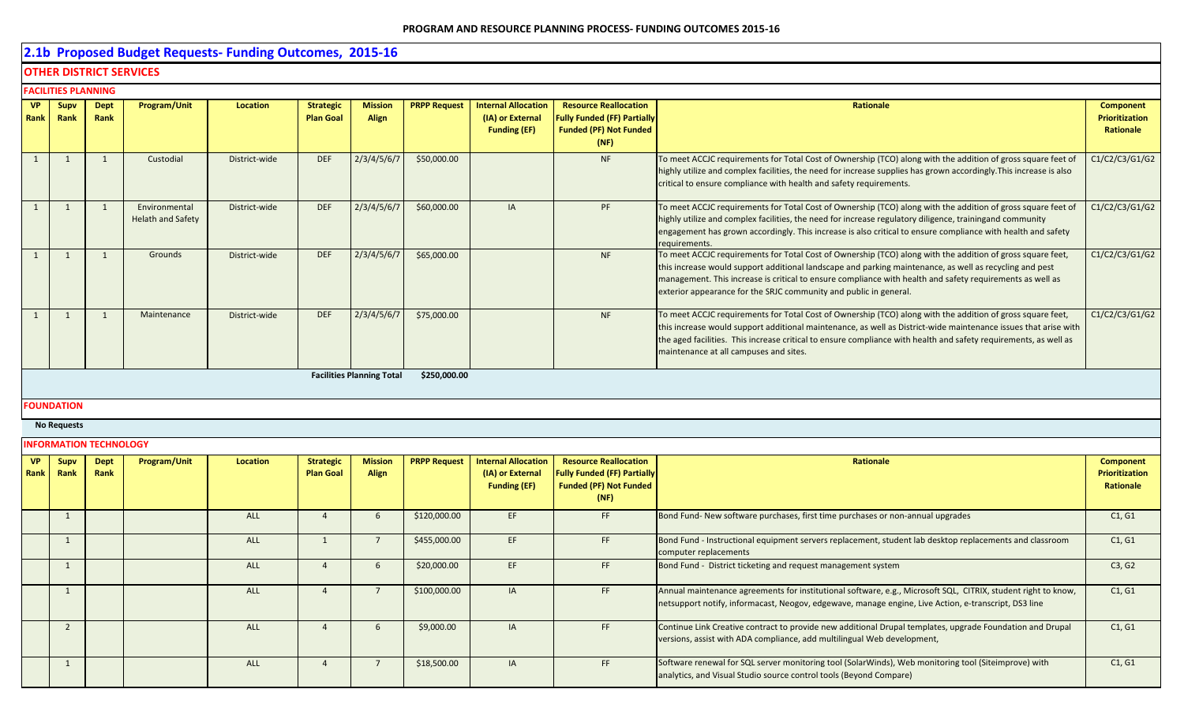# **2.1b Proposed Budget Requests- Funding Outcomes, 2015-16**

## **OTHER DISTRICT SERVICES**

|             | <b>FACILITIES PLANNING</b> |                     |                                           |               |                                      |                                  |                     |                                                                       |                                                                                                             |                                                                                                                                                                                                                                                                                                                                                                                                         |                                                 |  |  |  |
|-------------|----------------------------|---------------------|-------------------------------------------|---------------|--------------------------------------|----------------------------------|---------------------|-----------------------------------------------------------------------|-------------------------------------------------------------------------------------------------------------|---------------------------------------------------------------------------------------------------------------------------------------------------------------------------------------------------------------------------------------------------------------------------------------------------------------------------------------------------------------------------------------------------------|-------------------------------------------------|--|--|--|
| <b>Rank</b> | VP Supv<br>Rank            | <b>Dept</b><br>Rank | Program/Unit                              | Location      | <b>Strategic</b><br><b>Plan Goal</b> | <b>Mission</b><br><b>Align</b>   | <b>PRPP Request</b> | <b>Internal Allocation</b><br>(IA) or External<br><b>Funding (EF)</b> | <b>Resource Reallocation</b><br><b>Fully Funded (FF) Partially</b><br><b>Funded (PF) Not Funded</b><br>(NF) | Rationale                                                                                                                                                                                                                                                                                                                                                                                               | Component<br><b>Prioritization</b><br>Rationale |  |  |  |
|             |                            |                     | Custodial                                 | District-wide | <b>DEF</b>                           | 2/3/4/5/6/7                      | \$50,000.00         |                                                                       | <b>NF</b>                                                                                                   | To meet ACCJC requirements for Total Cost of Ownership (TCO) along with the addition of gross square feet of<br>highly utilize and complex facilities, the need for increase supplies has grown accordingly. This increase is also<br>critical to ensure compliance with health and safety requirements.                                                                                                | C1/C2/C3/G1/G2                                  |  |  |  |
|             |                            |                     | Environmental<br><b>Helath and Safety</b> | District-wide | <b>DEF</b>                           | 2/3/4/5/6/7                      | \$60,000.00         | <b>IA</b>                                                             | PF                                                                                                          | To meet ACCJC requirements for Total Cost of Ownership (TCO) along with the addition of gross square feet of<br>highly utilize and complex facilities, the need for increase regulatory diligence, trainingand community<br>engagement has grown accordingly. This increase is also critical to ensure compliance with health and safety<br>requirements.                                               | C1/C2/C3/G1/G2                                  |  |  |  |
|             |                            |                     | Grounds                                   | District-wide | <b>DEF</b>                           | 2/3/4/5/6/7                      | \$65,000.00         |                                                                       | <b>NF</b>                                                                                                   | To meet ACCJC requirements for Total Cost of Ownership (TCO) along with the addition of gross square feet,<br>this increase would support additional landscape and parking maintenance, as well as recycling and pest<br>management. This increase is critical to ensure compliance with health and safety requirements as well as<br>exterior appearance for the SRJC community and public in general. | C1/C2/C3/G1/G2                                  |  |  |  |
|             |                            |                     | Maintenance                               | District-wide | <b>DEF</b>                           | 2/3/4/5/6/7                      | \$75,000.00         |                                                                       | <b>NF</b>                                                                                                   | To meet ACCJC requirements for Total Cost of Ownership (TCO) along with the addition of gross square feet,<br>this increase would support additional maintenance, as well as District-wide maintenance issues that arise with<br>the aged facilities. This increase critical to ensure compliance with health and safety requirements, as well as<br>maintenance at all campuses and sites.             | C1/C2/C3/G1/G2                                  |  |  |  |
|             |                            |                     |                                           |               |                                      | <b>Facilities Planning Total</b> | \$250,000.00        |                                                                       |                                                                                                             |                                                                                                                                                                                                                                                                                                                                                                                                         |                                                 |  |  |  |

#### **FOUNDATION**

**No Requests**

|                   |                     | <b>INFORMATION TECHNOLOGY</b> |                     |          |                                      |                                |                     |                                                                       |                                                                                                             |                                                                                                                                                                                                                       |                                                        |
|-------------------|---------------------|-------------------------------|---------------------|----------|--------------------------------------|--------------------------------|---------------------|-----------------------------------------------------------------------|-------------------------------------------------------------------------------------------------------------|-----------------------------------------------------------------------------------------------------------------------------------------------------------------------------------------------------------------------|--------------------------------------------------------|
| <b>VP</b><br>Rank | <b>Supv</b><br>Rank | <b>Dept</b><br>Rank           | <b>Program/Unit</b> | Location | <b>Strategic</b><br><b>Plan Goal</b> | <b>Mission</b><br><b>Align</b> | <b>PRPP Request</b> | <b>Internal Allocation</b><br>(IA) or External<br><b>Funding (EF)</b> | <b>Resource Reallocation</b><br><b>Fully Funded (FF) Partially</b><br><b>Funded (PF) Not Funded</b><br>(NF) | Rationale                                                                                                                                                                                                             | <b>Component</b><br><b>Prioritization</b><br>Rationale |
|                   |                     |                               |                     | ALL      |                                      |                                | \$120,000.00        | EF.                                                                   | <b>FF</b>                                                                                                   | Bond Fund-New software purchases, first time purchases or non-annual upgrades                                                                                                                                         | C1, G1                                                 |
|                   |                     |                               |                     | ALL      |                                      |                                | \$455,000.00        | EF                                                                    | FF                                                                                                          | Bond Fund - Instructional equipment servers replacement, student lab desktop replacements and classroom<br>computer replacements                                                                                      | C1, G1                                                 |
|                   |                     |                               |                     | ALL      |                                      |                                | \$20,000.00         | EF.                                                                   | <b>FF</b>                                                                                                   | Bond Fund - District ticketing and request management system                                                                                                                                                          | C3, G2                                                 |
|                   |                     |                               |                     | ALL      |                                      |                                | \$100,000.00        | IA                                                                    | FF                                                                                                          | Annual maintenance agreements for institutional software, e.g., Microsoft SQL, CITRIX, student right to know,<br>netsupport notify, informacast, Neogov, edgewave, manage engine, Live Action, e-transcript, DS3 line | C1, G1                                                 |
|                   |                     |                               |                     | ALL      |                                      |                                | \$9,000.00          | IA                                                                    | FF                                                                                                          | Continue Link Creative contract to provide new additional Drupal templates, upgrade Foundation and Drupal<br>versions, assist with ADA compliance, add multilingual Web development,                                  | C1, G1                                                 |
|                   |                     |                               |                     | ALL      |                                      |                                | \$18,500.00         | IA                                                                    | <b>FF</b>                                                                                                   | Software renewal for SQL server monitoring tool (SolarWinds), Web monitoring tool (Siteimprove) with<br>analytics, and Visual Studio source control tools (Beyond Compare)                                            | C1, G1                                                 |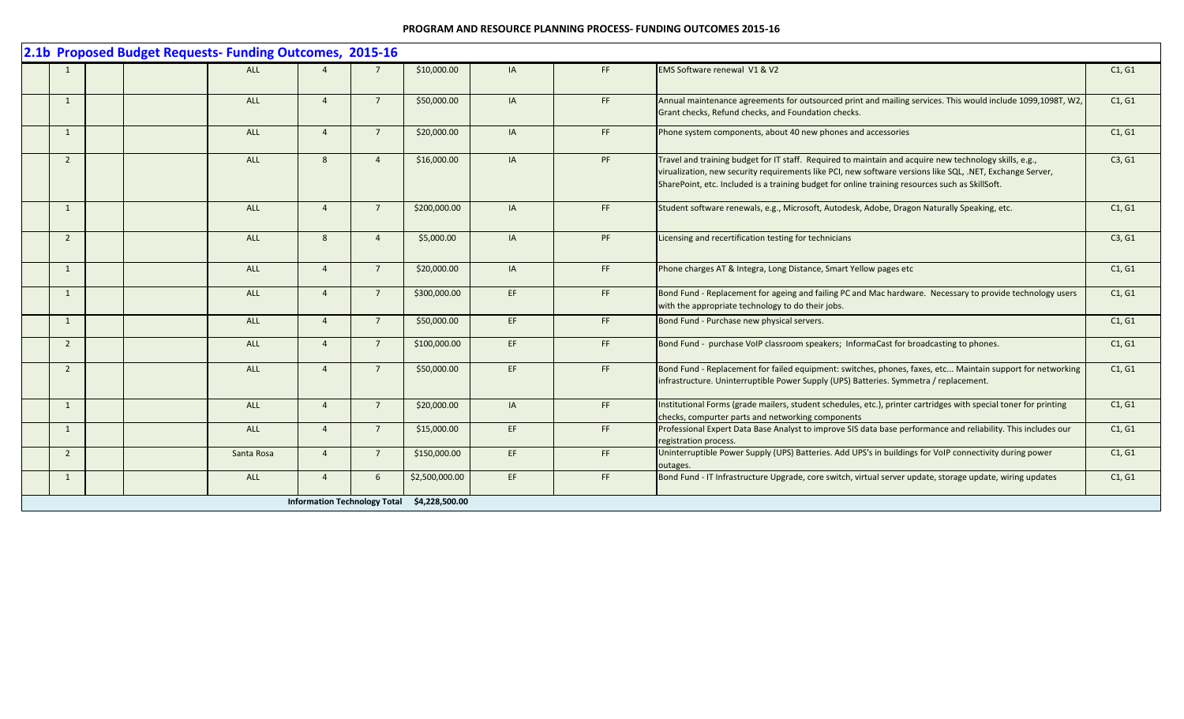|                |  | 2.1b Proposed Budget Requests- Funding Outcomes, 2015-16 |                |                 |                                             |           |               |                                                                                                                                                                                                                                                                                                                        |        |
|----------------|--|----------------------------------------------------------|----------------|-----------------|---------------------------------------------|-----------|---------------|------------------------------------------------------------------------------------------------------------------------------------------------------------------------------------------------------------------------------------------------------------------------------------------------------------------------|--------|
|                |  | <b>ALL</b>                                               |                |                 | \$10,000.00                                 | <b>IA</b> | FF.           | EMS Software renewal V1 & V2                                                                                                                                                                                                                                                                                           | C1, G1 |
| $\mathbf{1}$   |  | <b>ALL</b>                                               | $\overline{4}$ | $\overline{7}$  | \$50,000.00                                 | IA        | FF            | Annual maintenance agreements for outsourced print and mailing services. This would include 1099,1098T, W2,<br>Grant checks, Refund checks, and Foundation checks.                                                                                                                                                     | C1, G1 |
| $\mathbf{1}$   |  | <b>ALL</b>                                               | $\Delta$       | $\overline{7}$  | \$20,000.00                                 | IA        | FF.           | Phone system components, about 40 new phones and accessories                                                                                                                                                                                                                                                           | C1, G1 |
| $\overline{2}$ |  | ALL                                                      | 8              |                 | \$16,000.00                                 | IA        | PF            | Travel and training budget for IT staff. Required to maintain and acquire new technology skills, e.g.,<br>virualization, new security requirements like PCI, new software versions like SQL, .NET, Exchange Server,<br>SharePoint, etc. Included is a training budget for online training resources such as SkillSoft. | C3, G1 |
| $\mathbf{1}$   |  | <b>ALL</b>                                               | $\overline{4}$ | $\overline{7}$  | \$200,000.00                                | IA        | FF            | Student software renewals, e.g., Microsoft, Autodesk, Adobe, Dragon Naturally Speaking, etc.                                                                                                                                                                                                                           | C1, G1 |
| $\overline{2}$ |  | <b>ALL</b>                                               | 8              | $\overline{a}$  | \$5,000.00                                  | IA        | PF            | Licensing and recertification testing for technicians                                                                                                                                                                                                                                                                  | C3, G1 |
| 1              |  | <b>ALL</b>                                               | $\overline{4}$ | $7\overline{ }$ | \$20,000.00                                 | IA        | FF.           | Phone charges AT & Integra, Long Distance, Smart Yellow pages etc                                                                                                                                                                                                                                                      | C1, G1 |
| $\mathbf{1}$   |  | ALL                                                      | $\overline{4}$ | $\overline{7}$  | \$300,000.00                                | EF        | FF            | Bond Fund - Replacement for ageing and failing PC and Mac hardware. Necessary to provide technology users<br>with the appropriate technology to do their jobs.                                                                                                                                                         | C1, G1 |
| 1              |  | ALL                                                      | $\overline{4}$ | $7^{\circ}$     | \$50,000.00                                 | EF        | FF            | Bond Fund - Purchase new physical servers.                                                                                                                                                                                                                                                                             | C1, G1 |
| $\overline{2}$ |  | ALL                                                      | $\Delta$       | $7^{\circ}$     | \$100,000.00                                | EF        | FF.           | Bond Fund - purchase VoIP classroom speakers; InformaCast for broadcasting to phones.                                                                                                                                                                                                                                  | C1, G1 |
| $\overline{2}$ |  | <b>ALL</b>                                               | $\Delta$       | $\overline{7}$  | \$50,000.00                                 | EF        | $\mathsf{FF}$ | Bond Fund - Replacement for failed equipment: switches, phones, faxes, etc Maintain support for networking<br>infrastructure. Uninterruptible Power Supply (UPS) Batteries. Symmetra / replacement.                                                                                                                    | C1, G1 |
| 1              |  | <b>ALL</b>                                               | $\Delta$       | $7\overline{ }$ | \$20,000.00                                 | IA        | FF.           | Institutional Forms (grade mailers, student schedules, etc.), printer cartridges with special toner for printing<br>checks, compurter parts and networking components                                                                                                                                                  | C1, G1 |
| 1              |  | <b>ALL</b>                                               | $\overline{4}$ | $\overline{7}$  | \$15,000.00                                 | EF.       | FF.           | Professional Expert Data Base Analyst to improve SIS data base performance and reliability. This includes our<br>registration process.                                                                                                                                                                                 | C1, G1 |
| $\overline{2}$ |  | Santa Rosa                                               | $\Delta$       | $\overline{7}$  | \$150,000.00                                | EF.       | FF.           | Uninterruptible Power Supply (UPS) Batteries. Add UPS's in buildings for VoIP connectivity during power<br>outages.                                                                                                                                                                                                    | C1, G1 |
| 1              |  | ALL                                                      | $\overline{4}$ | 6               | \$2,500,000.00                              | EF        | FF            | Bond Fund - IT Infrastructure Upgrade, core switch, virtual server update, storage update, wiring updates                                                                                                                                                                                                              | C1, G1 |
|                |  |                                                          |                |                 | Information Technology Total \$4,228,500.00 |           |               |                                                                                                                                                                                                                                                                                                                        |        |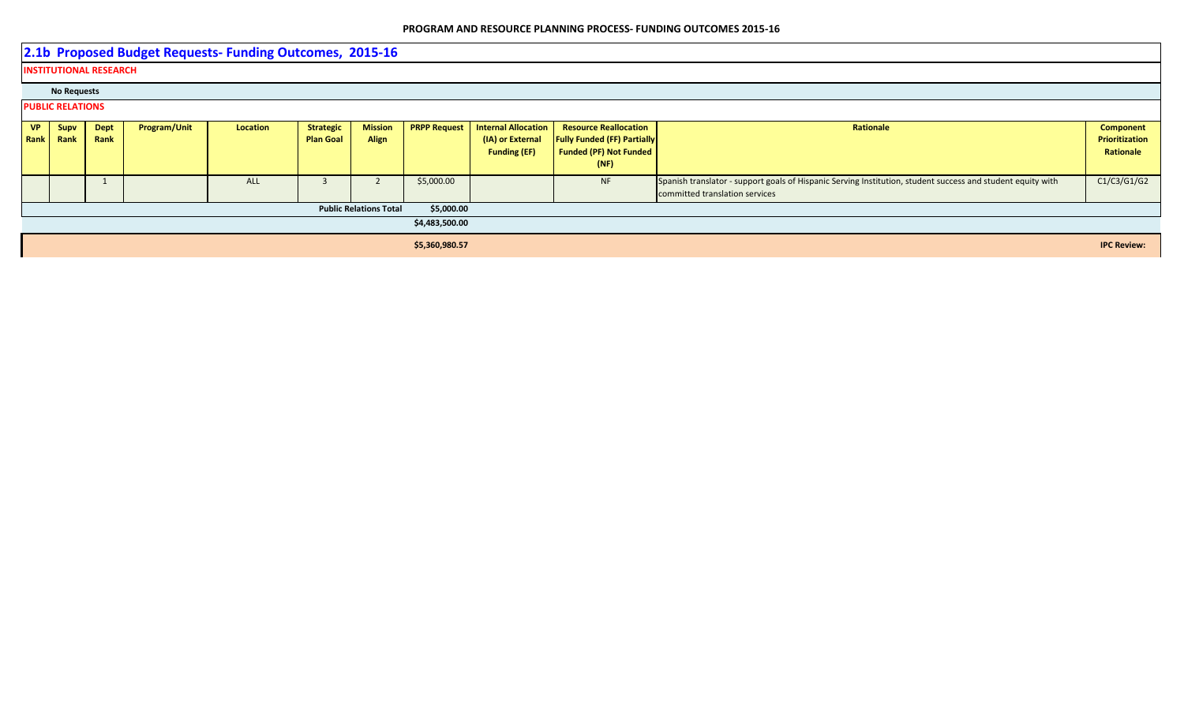**2.1b Proposed Budget Requests- Funding Outcomes, 2015-16 INSTITUTIONAL RESEARCH No Requests PUBLIC RELATIONS VP Rank Supv Rank Dept Rank Program/Unit Location** Strategic **Plan Goal Mission Align PRPP Request | Internal Allocation (IA) or External Funding (EF) Resource Reallocation Fully Funded (FF) Partially Funded (PF) Not Funded (NF) Rationale Component Component Prioritization Rationale** 1 ALL 3 2 \$5,000.00 NF Spanish translator - support goals of Hispanic Serving Institution, student success and student equity with committed translation services C1/C3/G1/G2 **Public Relations Total \$5,000.00 \$4,483,500.00 \$5,360,980.57 IPC Review:**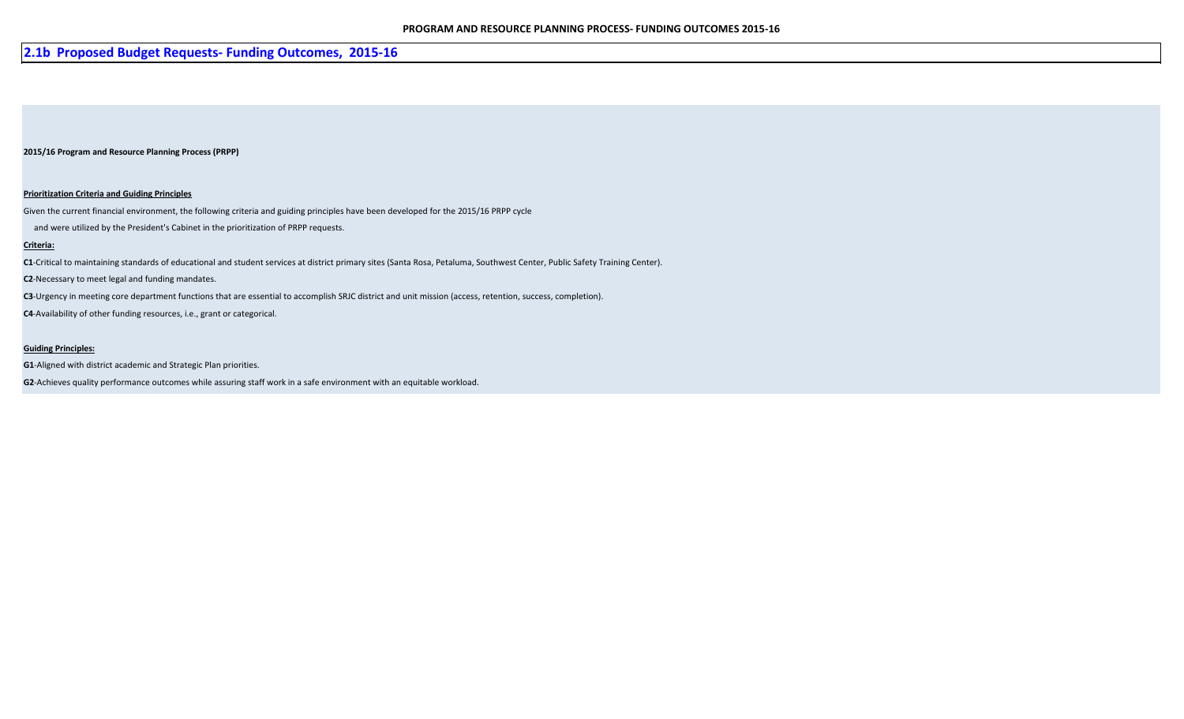## **2.1b Proposed Budget Requests- Funding Outcomes, 2015-16**

#### **2015/16 Program and Resource Planning Process (PRPP)**

#### **Prioritization Criteria and Guiding Principles**

Given the current financial environment, the following criteria and guiding principles have been developed for the 2015/16 PRPP cycle

and were utilized by the President's Cabinet in the prioritization of PRPP requests.

#### **Criteria:**

**C1**-Critical to maintaining standards of educational and student services at district primary sites (Santa Rosa, Petaluma, Southwest Center, Public Safety Training Center).

**C2**-Necessary to meet legal and funding mandates.

**C3**-Urgency in meeting core department functions that are essential to accomplish SRJC district and unit mission (access, retention, success, completion).

**C4**-Availability of other funding resources, i.e., grant or categorical.

#### **Guiding Principles:**

**G1**-Aligned with district academic and Strategic Plan priorities.

**G2**-Achieves quality performance outcomes while assuring staff work in a safe environment with an equitable workload.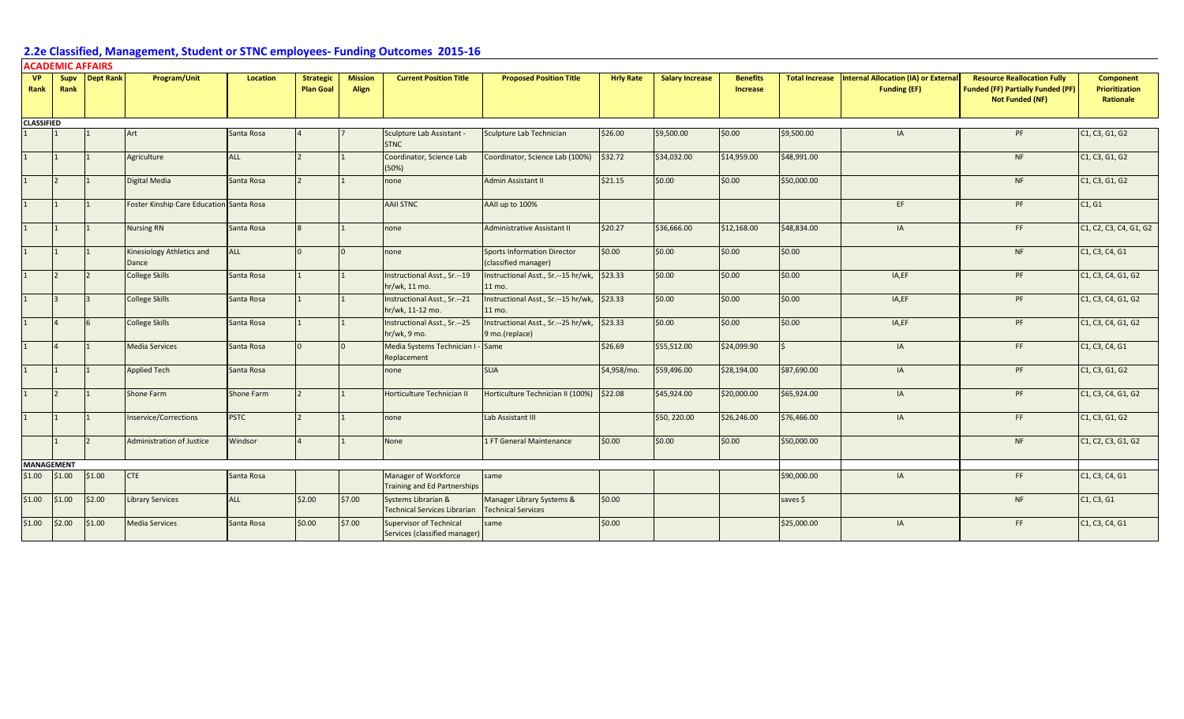| <b>VP</b>         |                      |                |                                          |                   |                                      |                         |                                                                 |                                                            |                  |                        |                             |                       |                                                             |                                                                                                          |                                                        |
|-------------------|----------------------|----------------|------------------------------------------|-------------------|--------------------------------------|-------------------------|-----------------------------------------------------------------|------------------------------------------------------------|------------------|------------------------|-----------------------------|-----------------------|-------------------------------------------------------------|----------------------------------------------------------------------------------------------------------|--------------------------------------------------------|
| Rank              | Rank                 | Supy Dept Rank | Program/Unit                             | <b>Location</b>   | <b>Strategic</b><br><b>Plan Goal</b> | <b>Mission</b><br>Align | <b>Current Position Title</b>                                   | <b>Proposed Position Title</b>                             | <b>Hrly Rate</b> | <b>Salary Increase</b> | <b>Benefits</b><br>Increase | <b>Total Increase</b> | Internal Allocation (IA) or External<br><b>Funding (EF)</b> | <b>Resource Reallocation Fully</b><br><b>Funded (FF) Partially Funded (PF)</b><br><b>Not Funded (NF)</b> | <b>Component</b><br><b>Prioritization</b><br>Rationale |
| <b>CLASSIFIED</b> |                      |                |                                          |                   |                                      |                         |                                                                 |                                                            |                  |                        |                             |                       |                                                             |                                                                                                          |                                                        |
|                   |                      |                | Art                                      | Santa Rosa        |                                      |                         | Sculpture Lab Assistant -<br><b>STNC</b>                        | Sculpture Lab Technician                                   | \$26.00          | \$9,500.00             | \$0.00                      | \$9,500.00            | IA                                                          | PF                                                                                                       | C1, C3, G1, G2                                         |
| 1                 | $\mathbf{11}$        |                | Agriculture                              | ALL               |                                      |                         | Coordinator, Science Lab<br>(50%)                               | Coordinator, Science Lab (100%)                            | \$32.72          | \$34,032.00            | \$14,959.00                 | \$48,991.00           |                                                             | <b>NF</b>                                                                                                | C1, C3, G1, G2                                         |
| 1                 | $\overline{2}$       |                | Digital Media                            | Santa Rosa        |                                      |                         | none                                                            | <b>Admin Assistant II</b>                                  | \$21.15          | \$0.00                 | \$0.00                      | \$50,000.00           |                                                             | <b>NF</b>                                                                                                | C1, C3, G1, G2                                         |
| 1                 |                      |                | Foster Kinship Care Education Santa Rosa |                   |                                      |                         | <b>AAII STNC</b>                                                | AAII up to 100%                                            |                  |                        |                             |                       | EF                                                          | PF                                                                                                       | C1, G1                                                 |
| 1                 | $\mathbf{11}$        |                | <b>Nursing RN</b>                        | Santa Rosa        |                                      |                         | none                                                            | Administrative Assistant II                                | \$20.27          | \$36,666.00            | \$12,168.00                 | \$48,834.00           | IA                                                          | FF.                                                                                                      | C1, C2, C3, C4, G1, G2                                 |
| 1                 | $\overline{1}$       |                | Kinesiology Athletics and<br>Dance       | <b>ALL</b>        |                                      | $\Omega$                | none                                                            | <b>Sports Information Director</b><br>(classified manager) | \$0.00           | \$0.00                 | \$0.00                      | \$0.00                |                                                             | <b>NF</b>                                                                                                | C1, C3, C4, G1                                         |
| 1                 | $\overline{2}$       |                | <b>College Skills</b>                    | Santa Rosa        |                                      |                         | Instructional Asst., Sr.--19<br>hr/wk, 11 mo.                   | Instructional Asst., Sr.--15 hr/wk,<br>11 mo.              | \$23.33          | \$0.00                 | \$0.00                      | \$0.00                | IA,EF                                                       | PF                                                                                                       | C1, C3, C4, G1, G2                                     |
| 1                 | $\vert$ 3            | l3             | <b>College Skills</b>                    | Santa Rosa        |                                      |                         | Instructional Asst., Sr.--21<br>hr/wk, 11-12 mo.                | Instructional Asst., Sr.--15 hr/wk,<br>11 mo.              | \$23.33          | \$0.00                 | \$0.00                      | \$0.00                | IA,EF                                                       | PF                                                                                                       | C1, C3, C4, G1, G2                                     |
| 1                 | $\overline{4}$       |                | <b>College Skills</b>                    | Santa Rosa        |                                      |                         | Instructional Asst., Sr.--25<br>hr/wk, 9 mo.                    | Instructional Asst., Sr.--25 hr/wk,<br>9 mo.(replace)      | \$23.33          | \$0.00                 | \$0.00                      | \$0.00                | IA,EF                                                       | PF                                                                                                       | C1, C3, C4, G1, G2                                     |
| $\mathbf{1}$      | $\overline{4}$       |                | <b>Media Services</b>                    | Santa Rosa        |                                      |                         | Media Systems Technician I<br>Replacement                       | Same                                                       | \$26.69          | \$55,512.00            | \$24,099.90                 |                       | IA                                                          | FF.                                                                                                      | C1, C3, C4, G1                                         |
| 1                 |                      |                | <b>Applied Tech</b>                      | Santa Rosa        |                                      |                         | none                                                            | <b>SLIA</b>                                                | \$4,958/mo.      | \$59,496.00            | \$28,194.00                 | \$87,690.00           | IA                                                          | PF                                                                                                       | C1, C3, G1, G2                                         |
| 1                 | $\vert$ <sub>2</sub> |                | <b>Shone Farm</b>                        | <b>Shone Farm</b> |                                      |                         | Horticulture Technician II                                      | Horticulture Technician II (100%)                          | \$22.08          | \$45,924.00            | \$20,000.00                 | \$65,924.00           | IA                                                          | PF                                                                                                       | C1, C3, C4, G1, G2                                     |
| 1                 |                      |                | <b>Inservice/Corrections</b>             | <b>PSTC</b>       |                                      |                         | none                                                            | Lab Assistant III                                          |                  | \$50, 220.00           | \$26,246.00                 | \$76,466.00           | IA                                                          | FF.                                                                                                      | C1, C3, G1, G2                                         |
|                   |                      |                | <b>Administration of Justice</b>         | Windsor           |                                      |                         | None                                                            | 1 FT General Maintenance                                   | \$0.00           | \$0.00                 | \$0.00                      | \$50,000.00           |                                                             | <b>NF</b>                                                                                                | C1, C2, C3, G1, G2                                     |
| <b>MANAGEMENT</b> |                      |                |                                          |                   |                                      |                         |                                                                 |                                                            |                  |                        |                             |                       |                                                             |                                                                                                          |                                                        |
| \$1.00            | \$1.00               | \$1.00         | <b>CTE</b>                               | Santa Rosa        |                                      |                         | Manager of Workforce<br><b>Training and Ed Partnerships</b>     | same                                                       |                  |                        |                             | \$90,000.00           | IA                                                          | FF.                                                                                                      | C1, C3, C4, G1                                         |
| \$1.00            | \$1.00               | \$2.00         | <b>Library Services</b>                  | ALL               | \$2.00                               | \$7.00                  | Systems Librarian &<br><b>Technical Services Librarian</b>      | Manager Library Systems &<br><b>Technical Services</b>     | \$0.00           |                        |                             | saves \$              |                                                             | <b>NF</b>                                                                                                | C1, C3, G1                                             |
| \$1.00            | \$2.00               | \$1.00         | <b>Media Services</b>                    | Santa Rosa        | \$0.00                               | \$7.00                  | <b>Supervisor of Technical</b><br>Services (classified manager) | same                                                       | \$0.00           |                        |                             | \$25,000.00           | IA                                                          | FF.                                                                                                      | C1, C3, C4, G1                                         |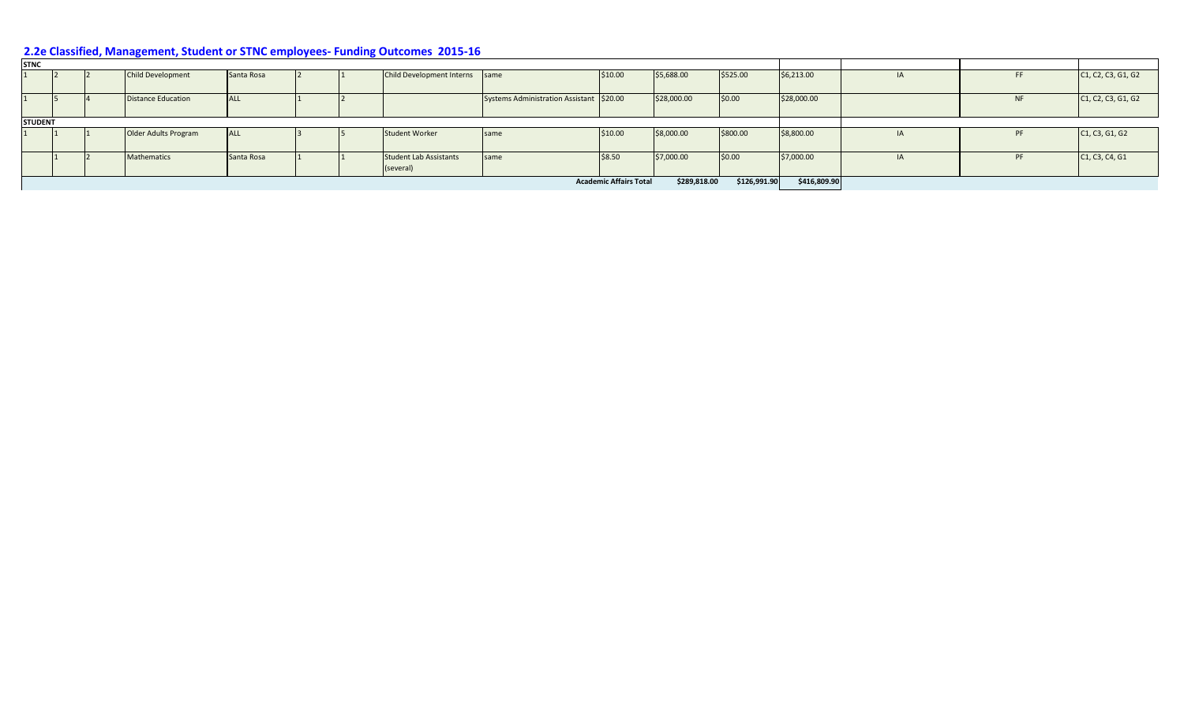| <b>STNC</b>    |  |                           |            |  |                                            |                                          |                               |                |              |              |           |                                                                                    |
|----------------|--|---------------------------|------------|--|--------------------------------------------|------------------------------------------|-------------------------------|----------------|--------------|--------------|-----------|------------------------------------------------------------------------------------|
|                |  | <b>Child Development</b>  | Santa Rosa |  | Child Development Interns same             |                                          | \$10.00                       | \$5,688.00     | \$525.00     | \$6,213.00   | <b>FF</b> | C <sub>1</sub> , C <sub>2</sub> , C <sub>3</sub> , G <sub>1</sub> , G <sub>2</sub> |
|                |  | <b>Distance Education</b> | <b>ALL</b> |  |                                            | Systems Administration Assistant \$20.00 |                               | \$28,000.00    | \$0.00       | \$28,000.00  | <b>NF</b> | C <sub>1</sub> , C <sub>2</sub> , C <sub>3</sub> , G <sub>1</sub> , G <sub>2</sub> |
| <b>STUDENT</b> |  |                           |            |  |                                            |                                          |                               |                |              |              |           |                                                                                    |
|                |  | Older Adults Program      | <b>ALL</b> |  | \$800.00                                   | \$8,800.00                               | <b>PF</b>                     | C1, C3, G1, G2 |              |              |           |                                                                                    |
|                |  | Mathematics               | Santa Rosa |  | <b>Student Lab Assistants</b><br>(several) | same                                     | \$8.50                        | \$7,000.00     | 50.00        | \$7,000.00   | PF        | C1, C3, C4, G1                                                                     |
|                |  |                           |            |  |                                            |                                          | <b>Academic Affairs Total</b> | \$289,818.00   | \$126,991.90 | \$416,809.90 |           |                                                                                    |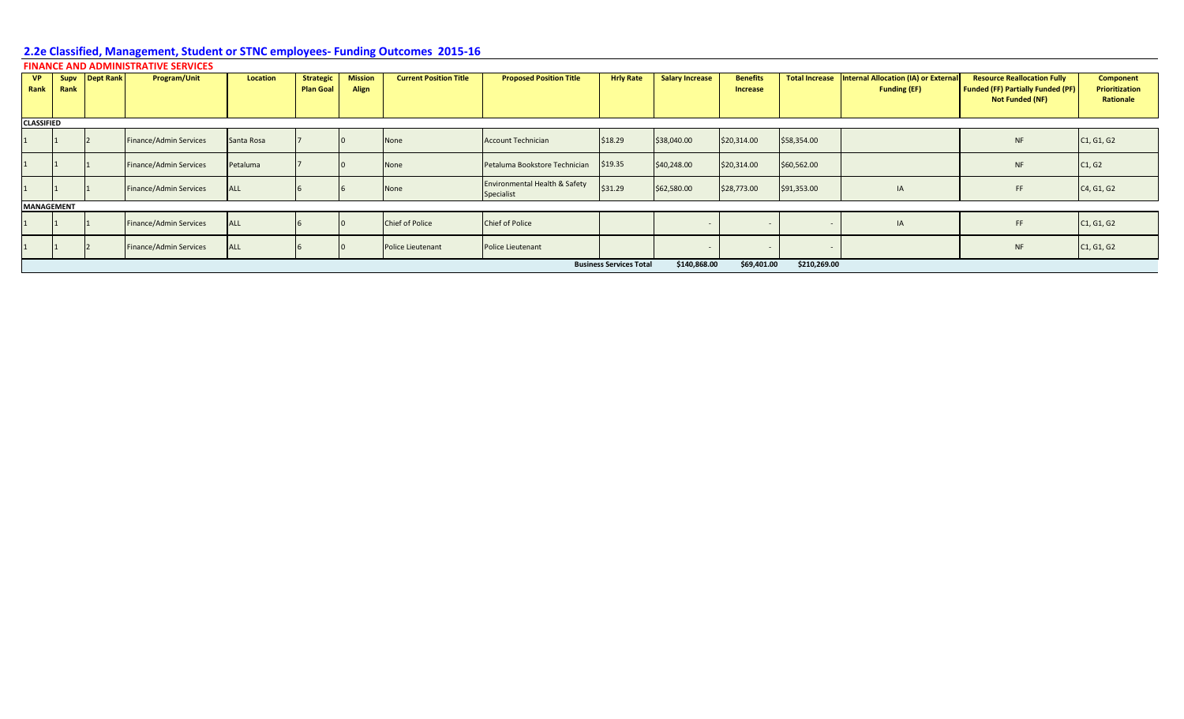|  |  | FINANCE AND ADMINISTRATIVE SERVICES |  |
|--|--|-------------------------------------|--|
|  |  |                                     |  |

| <b>VP</b><br>Rank | Rank | Supv Dept Rank | Program/Unit           | <b>Location</b> | <b>Strategic</b><br><b>Plan Goal</b> | <b>Mission</b><br>Align | <b>Current Position Title</b> | <b>Proposed Position Title</b>              | <b>Hrly Rate</b>               | <b>Salary Increase</b> | <b>Benefits</b><br><b>Increase</b> |              | Total Increase   Internal Allocation (IA) or External<br><b>Funding (EF)</b> | <b>Resource Reallocation Fully</b><br><b>Funded (FF) Partially Funded (PF)</b><br>Not Funded (NF) | <b>Component</b><br><b>Prioritization</b><br>Rationale |
|-------------------|------|----------------|------------------------|-----------------|--------------------------------------|-------------------------|-------------------------------|---------------------------------------------|--------------------------------|------------------------|------------------------------------|--------------|------------------------------------------------------------------------------|---------------------------------------------------------------------------------------------------|--------------------------------------------------------|
| <b>CLASSIFIED</b> |      |                |                        |                 |                                      |                         |                               |                                             |                                |                        |                                    |              |                                                                              |                                                                                                   |                                                        |
|                   |      |                | Finance/Admin Services | Santa Rosa      |                                      |                         | None                          | <b>Account Technician</b>                   | \$18.29                        | \$38,040.00            | \$20,314.00                        | \$58,354.00  |                                                                              | <b>NF</b>                                                                                         | C1, G1, G2                                             |
|                   |      |                | Finance/Admin Services | Petaluma        |                                      |                         | None                          | Petaluma Bookstore Technician               | \$19.35                        | \$40,248.00            | \$20,314.00                        | \$60,562.00  |                                                                              | <b>NF</b>                                                                                         | C1, G2                                                 |
|                   |      |                | Finance/Admin Services | <b>ALL</b>      |                                      |                         | None                          | Environmental Health & Safety<br>Specialist | \$31.29                        | \$62,580.00            | \$28,773.00                        | \$91,353.00  | IA                                                                           | FF.                                                                                               | C4, G1, G2                                             |
| <b>MANAGEMENT</b> |      |                |                        |                 |                                      |                         |                               |                                             |                                |                        |                                    |              |                                                                              |                                                                                                   |                                                        |
|                   |      |                | Finance/Admin Services | <b>ALL</b>      |                                      |                         | <b>Chief of Police</b>        | <b>Chief of Police</b>                      |                                |                        |                                    |              | IA                                                                           | FF.                                                                                               | C <sub>1</sub> , G <sub>1</sub> , G <sub>2</sub>       |
|                   |      |                | Finance/Admin Services | <b>ALL</b>      |                                      |                         | Police Lieutenant             | Police Lieutenant                           |                                |                        |                                    |              |                                                                              | <b>NF</b>                                                                                         | C1, G1, G2                                             |
|                   |      |                |                        |                 |                                      |                         |                               |                                             | <b>Business Services Total</b> | \$140,868.00           | \$69,401.00                        | \$210,269.00 |                                                                              |                                                                                                   |                                                        |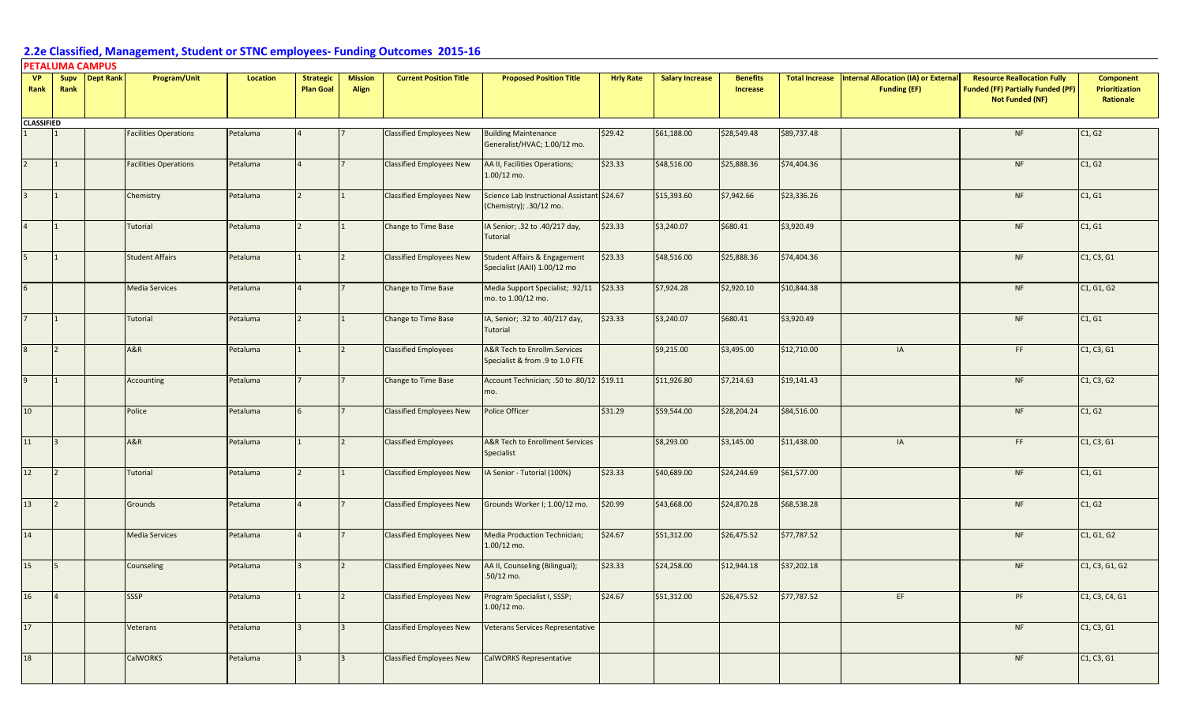#### **PETALUMA CAMPUS**

| <b>VP</b><br>Rank | Supv<br>Rank | <b>Dept Rank</b> | Program/Unit                 | <b>Location</b> | <b>Strategic</b><br><b>Plan Goal</b> | <b>Mission</b><br>Align | <b>Current Position Title</b>   | <b>Proposed Position Title</b>                                          | <b>Hrly Rate</b> | <b>Salary Increase</b> | <b>Benefits</b><br><b>Increase</b> | <b>Total Increase</b> | Internal Allocation (IA) or External<br><b>Funding (EF)</b> | <b>Resource Reallocation Fully</b><br><b>Funded (FF) Partially Funded (PF)</b><br><b>Not Funded (NF)</b> | Component<br><b>Prioritization</b><br>Rationale |
|-------------------|--------------|------------------|------------------------------|-----------------|--------------------------------------|-------------------------|---------------------------------|-------------------------------------------------------------------------|------------------|------------------------|------------------------------------|-----------------------|-------------------------------------------------------------|----------------------------------------------------------------------------------------------------------|-------------------------------------------------|
| <b>CLASSIFIED</b> |              |                  |                              |                 |                                      |                         |                                 |                                                                         |                  |                        |                                    |                       |                                                             |                                                                                                          |                                                 |
|                   |              |                  | <b>Facilities Operations</b> | Petaluma        |                                      |                         | <b>Classified Employees New</b> | <b>Building Maintenance</b><br>Generalist/HVAC; 1.00/12 mo.             | \$29.42          | \$61,188.00            | \$28,549.48                        | \$89,737.48           |                                                             | <b>NF</b>                                                                                                | C1, G2                                          |
|                   |              |                  | <b>Facilities Operations</b> | Petaluma        |                                      |                         | <b>Classified Employees New</b> | AA II, Facilities Operations;<br>$1.00/12$ mo.                          | \$23.33          | \$48,516.00            | \$25,888.36                        | \$74,404.36           |                                                             | <b>NF</b>                                                                                                | C1, G2                                          |
|                   |              |                  | Chemistry                    | Petaluma        |                                      |                         | <b>Classified Employees New</b> | Science Lab Instructional Assistant \$24.67<br>(Chemistry); .30/12 mo.  |                  | \$15,393.60            | \$7,942.66                         | \$23,336.26           |                                                             | <b>NF</b>                                                                                                | C1, G1                                          |
|                   |              |                  | Tutorial                     | Petaluma        |                                      |                         | Change to Time Base             | IA Senior; .32 to .40/217 day,<br><b>Tutorial</b>                       | \$23.33          | \$3,240.07             | \$680.41                           | \$3,920.49            |                                                             | $\sf{NF}$                                                                                                | C1, G1                                          |
|                   |              |                  | <b>Student Affairs</b>       | Petaluma        |                                      |                         | <b>Classified Employees New</b> | <b>Student Affairs &amp; Engagement</b><br>Specialist (AAII) 1.00/12 mo | \$23.33          | \$48,516.00            | \$25,888.36                        | \$74,404.36           |                                                             | <b>NF</b>                                                                                                | C1, C3, G1                                      |
|                   |              |                  | <b>Media Services</b>        | Petaluma        |                                      |                         | Change to Time Base             | Media Support Specialist; .92/11<br>mo. to 1.00/12 mo.                  | \$23.33          | \$7,924.28             | \$2,920.10                         | \$10,844.38           |                                                             | <b>NF</b>                                                                                                | C1, G1, G2                                      |
|                   |              |                  | Tutorial                     | Petaluma        |                                      |                         | Change to Time Base             | IA, Senior; .32 to .40/217 day,<br><b>Tutorial</b>                      | \$23.33          | \$3,240.07             | \$680.41                           | \$3,920.49            |                                                             | NF                                                                                                       | C1, G1                                          |
|                   |              |                  | A&R                          | Petaluma        |                                      |                         | <b>Classified Employees</b>     | A&R Tech to Enrollm.Services<br>Specialist & from .9 to 1.0 FTE         |                  | \$9,215.00             | \$3,495.00                         | \$12,710.00           | IA                                                          | FF                                                                                                       | C1, C3, G1                                      |
|                   |              |                  | Accounting                   | Petaluma        |                                      |                         | <b>Change to Time Base</b>      | Account Technician; .50 to .80/12 \$19.11<br>mo.                        |                  | \$11,926.80            | \$7,214.63                         | \$19,141.43           |                                                             | NF                                                                                                       | C1, C3, G2                                      |
| 10 <sup>1</sup>   |              |                  | Police                       | Petaluma        |                                      |                         | <b>Classified Employees New</b> | Police Officer                                                          | \$31.29          | \$59,544.00            | \$28,204.24                        | \$84,516.00           |                                                             | <b>NF</b>                                                                                                | C1, G2                                          |
| 11                |              |                  | A&R                          | Petaluma        |                                      |                         | <b>Classified Employees</b>     | <b>A&amp;R Tech to Enrollment Services</b><br>Specialist                |                  | \$8,293.00             | \$3,145.00                         | \$11,438.00           | IA                                                          | FF                                                                                                       | C1, C3, G1                                      |
| 12                |              |                  | Tutorial                     | Petaluma        |                                      |                         | <b>Classified Employees New</b> | IA Senior - Tutorial (100%)                                             | \$23.33          | \$40,689.00            | \$24,244.69                        | \$61,577.00           |                                                             | NF                                                                                                       | C1, G1                                          |
| 13                |              |                  | Grounds                      | Petaluma        |                                      |                         | <b>Classified Employees New</b> | Grounds Worker I; 1.00/12 mo.                                           | \$20.99          | \$43,668.00            | \$24,870.28                        | \$68,538.28           |                                                             | <b>NF</b>                                                                                                | C1, G2                                          |
| 14                |              |                  | <b>Media Services</b>        | Petaluma        |                                      |                         | <b>Classified Employees New</b> | <b>Media Production Technician;</b><br>$1.00/12$ mo.                    | \$24.67          | \$51,312.00            | \$26,475.52                        | \$77,787.52           |                                                             | <b>NF</b>                                                                                                | C1, G1, G2                                      |
| 15 <sup>1</sup>   |              |                  | Counseling                   | Petaluma        |                                      |                         | <b>Classified Employees New</b> | AA II, Counseling (Bilingual);<br>$.50/12$ mo.                          | \$23.33          | \$24,258.00            | \$12,944.18                        | \$37,202.18           |                                                             | <b>NF</b>                                                                                                | C1, C3, G1, G2                                  |
| 16                |              |                  | <b>SSSP</b>                  | Petaluma        |                                      |                         | <b>Classified Employees New</b> | Program Specialist I, SSSP;<br>1.00/12 mo.                              | \$24.67          | \$51,312.00            | \$26,475.52                        | \$77,787.52           | EF                                                          | PF                                                                                                       | C1, C3, C4, G1                                  |
| 17                |              |                  | Veterans                     | Petaluma        |                                      |                         | <b>Classified Employees New</b> | Veterans Services Representative                                        |                  |                        |                                    |                       |                                                             | <b>NF</b>                                                                                                | C1, C3, G1                                      |
| 18                |              |                  | <b>CalWORKS</b>              | Petaluma        |                                      | $\overline{3}$          | <b>Classified Employees New</b> | CalWORKS Representative                                                 |                  |                        |                                    |                       |                                                             | <b>NF</b>                                                                                                | C1, C3, G1                                      |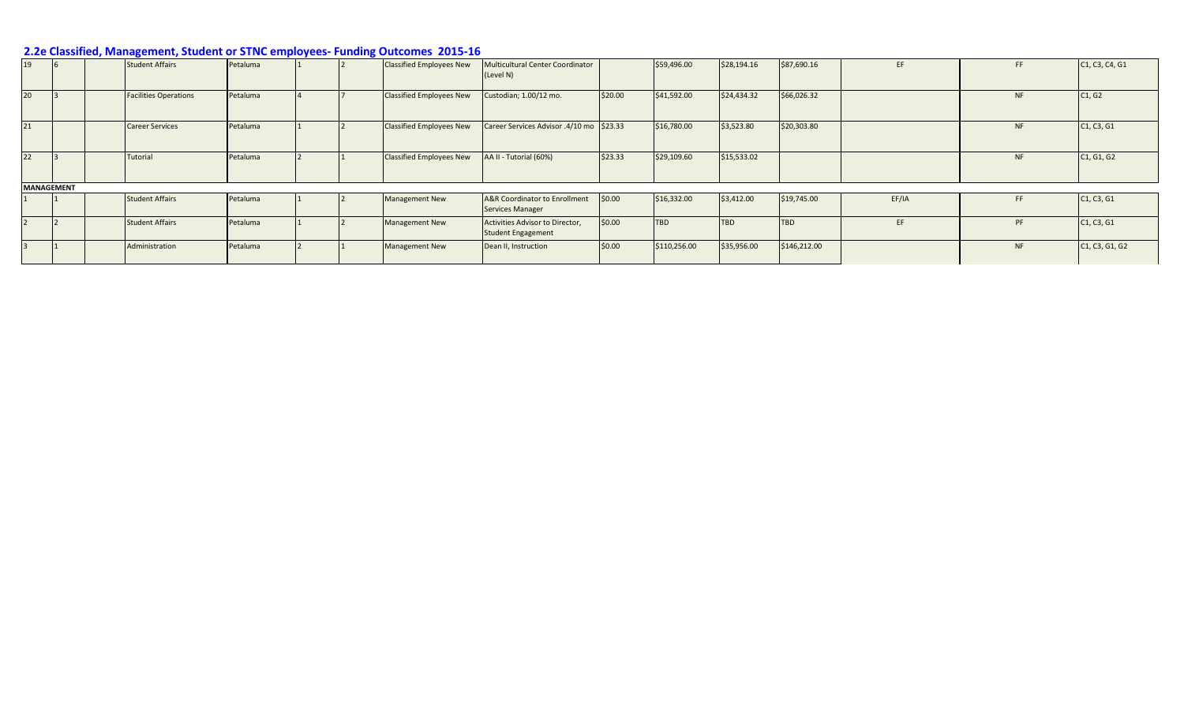| 19 |                   | <b>Student Affairs</b>       | Petaluma |  | <b>Classified Employees New</b> | Multicultural Center Coordinator<br>(Level N)                |         | \$59,496.00  | \$28,194.16 | \$87,690.16  | EF.   | FF.       | C <sub>1</sub> , C <sub>3</sub> , C <sub>4</sub> , G <sub>1</sub> |
|----|-------------------|------------------------------|----------|--|---------------------------------|--------------------------------------------------------------|---------|--------------|-------------|--------------|-------|-----------|-------------------------------------------------------------------|
| 20 |                   | <b>Facilities Operations</b> | Petaluma |  | <b>Classified Employees New</b> | Custodian; 1.00/12 mo.                                       | \$20.00 | \$41,592.00  | \$24,434.32 | \$66,026.32  |       | <b>NF</b> | C1, G2                                                            |
| 21 |                   | <b>Career Services</b>       | Petaluma |  | <b>Classified Employees New</b> | Career Services Advisor .4/10 mo \$23.33                     |         | \$16,780.00  | \$3,523.80  | \$20,303.80  |       | <b>NF</b> | C <sub>1</sub> , C <sub>3</sub> , G <sub>1</sub>                  |
| 22 |                   | Tutorial                     | Petaluma |  | <b>Classified Employees New</b> | AA II - Tutorial (60%)                                       | \$23.33 | \$29,109.60  | \$15,533.02 |              |       | <b>NF</b> | C <sub>1</sub> , G <sub>1</sub> , G <sub>2</sub>                  |
|    | <b>MANAGEMENT</b> |                              |          |  |                                 |                                                              |         |              |             |              |       |           |                                                                   |
|    |                   | <b>Student Affairs</b>       | Petaluma |  | Management New                  | A&R Coordinator to Enrollment<br>Services Manager            | \$0.00  | \$16,332.00  | \$3,412.00  | \$19,745.00  | EF/IA | FF.       | C1, C3, G1                                                        |
|    |                   | <b>Student Affairs</b>       | Petaluma |  | <b>Management New</b>           | Activities Advisor to Director,<br><b>Student Engagement</b> | \$0.00  | <b>TBD</b>   | <b>TBD</b>  | <b>TBD</b>   | EF.   | PF        | C1, C3, G1                                                        |
|    |                   | Administration               | Petaluma |  | <b>Management New</b>           | Dean II, Instruction                                         | \$0.00  | \$110,256.00 | \$35,956.00 | \$146,212.00 |       | <b>NF</b> | C1, C3, G1, G2                                                    |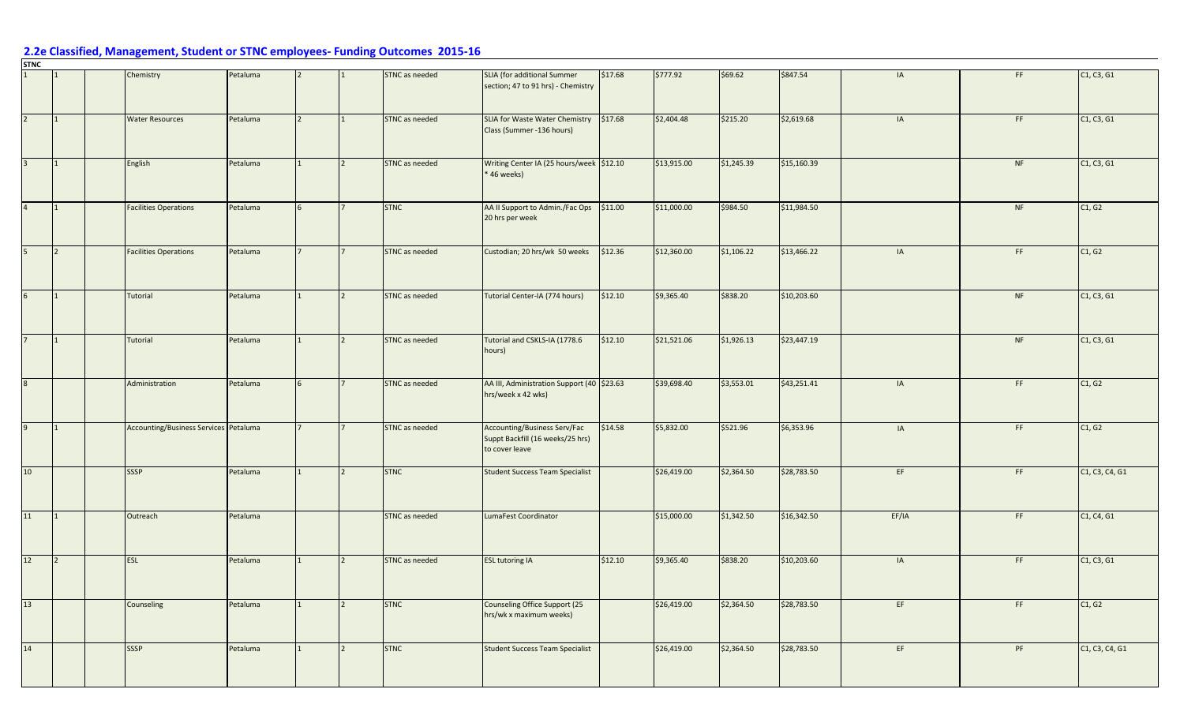|                 |   | Chemistry                             | Petaluma |   | STNC as needed | SLIA (for additional Summer<br>section; 47 to 91 hrs) - Chemistry                         | \$17.68 | \$777.92    | \$69.62    | \$847.54    | IA    | FF. | C1, C3, G1     |
|-----------------|---|---------------------------------------|----------|---|----------------|-------------------------------------------------------------------------------------------|---------|-------------|------------|-------------|-------|-----|----------------|
| $\overline{2}$  |   | <b>Water Resources</b>                | Petaluma |   | STNC as needed | SLIA for Waste Water Chemistry \$17.68<br>Class (Summer -136 hours)                       |         | \$2,404.48  | \$215.20   | \$2,619.68  | IA    | FF. | C1, C3, G1     |
| $\overline{3}$  |   | English                               | Petaluma |   | STNC as needed | Writing Center IA (25 hours/week \$12.10<br>* 46 weeks)                                   |         | \$13,915.00 | \$1,245.39 | \$15,160.39 |       | NF  | C1, C3, G1     |
| $\overline{4}$  |   | <b>Facilities Operations</b>          | Petaluma | 6 | <b>STNC</b>    | AA II Support to Admin./Fac Ops<br>20 hrs per week                                        | \$11.00 | \$11,000.00 | \$984.50   | \$11,984.50 |       | NF  | C1, G2         |
| 5               | 2 | <b>Facilities Operations</b>          | Petaluma |   | STNC as needed | Custodian; 20 hrs/wk 50 weeks                                                             | \$12.36 | \$12,360.00 | \$1,106.22 | \$13,466.22 | IA    | FF  | C1, G2         |
| 6 <sup>1</sup>  |   | Tutorial                              | Petaluma |   | STNC as needed | Tutorial Center-IA (774 hours)                                                            | \$12.10 | \$9,365.40  | \$838.20   | \$10,203.60 |       | NF  | C1, C3, G1     |
|                 |   | Tutorial                              | Petaluma |   | STNC as needed | Tutorial and CSKLS-IA (1778.6<br>hours)                                                   | \$12.10 | \$21,521.06 | \$1,926.13 | \$23,447.19 |       | NF  | C1, C3, G1     |
|                 |   | Administration                        | Petaluma |   | STNC as needed | AA III, Administration Support (40 \$23.63<br>hrs/week x 42 wks)                          |         | \$39,698.40 | \$3,553.01 | \$43,251.41 | IA    | FF. | C1, G2         |
| 9               |   | Accounting/Business Services Petaluma |          |   | STNC as needed | <b>Accounting/Business Serv/Fac</b><br>Suppt Backfill (16 weeks/25 hrs)<br>to cover leave | \$14.58 | \$5,832.00  | \$521.96   | \$6,353.96  | IA    | FF. | C1, G2         |
| 10 <sup>1</sup> |   | SSSP                                  | Petaluma |   | <b>STNC</b>    | <b>Student Success Team Specialist</b>                                                    |         | \$26,419.00 | \$2,364.50 | \$28,783.50 | EF    | FF  | C1, C3, C4, G1 |
| 11              |   | Outreach                              | Petaluma |   | STNC as needed | LumaFest Coordinator                                                                      |         | \$15,000.00 | \$1,342.50 | \$16,342.50 | EF/IA | FF  | C1, C4, G1     |
| 12              |   | ESL                                   | Petaluma |   | STNC as needed | <b>ESL tutoring IA</b>                                                                    | \$12.10 | \$9,365.40  | \$838.20   | \$10,203.60 | IA    | FF. | C1, C3, G1     |
| 13              |   | Counseling                            | Petaluma |   | <b>STNC</b>    | Counseling Office Support (25<br>hrs/wk x maximum weeks)                                  |         | \$26,419.00 | \$2,364.50 | \$28,783.50 | EF    | FF. | C1, G2         |
| 14              |   | <b>SSSP</b>                           | Petaluma |   | <b>STNC</b>    | <b>Student Success Team Specialist</b>                                                    |         | \$26,419.00 | \$2,364.50 | \$28,783.50 | EF    | PF  | C1, C3, C4, G1 |

**STNC**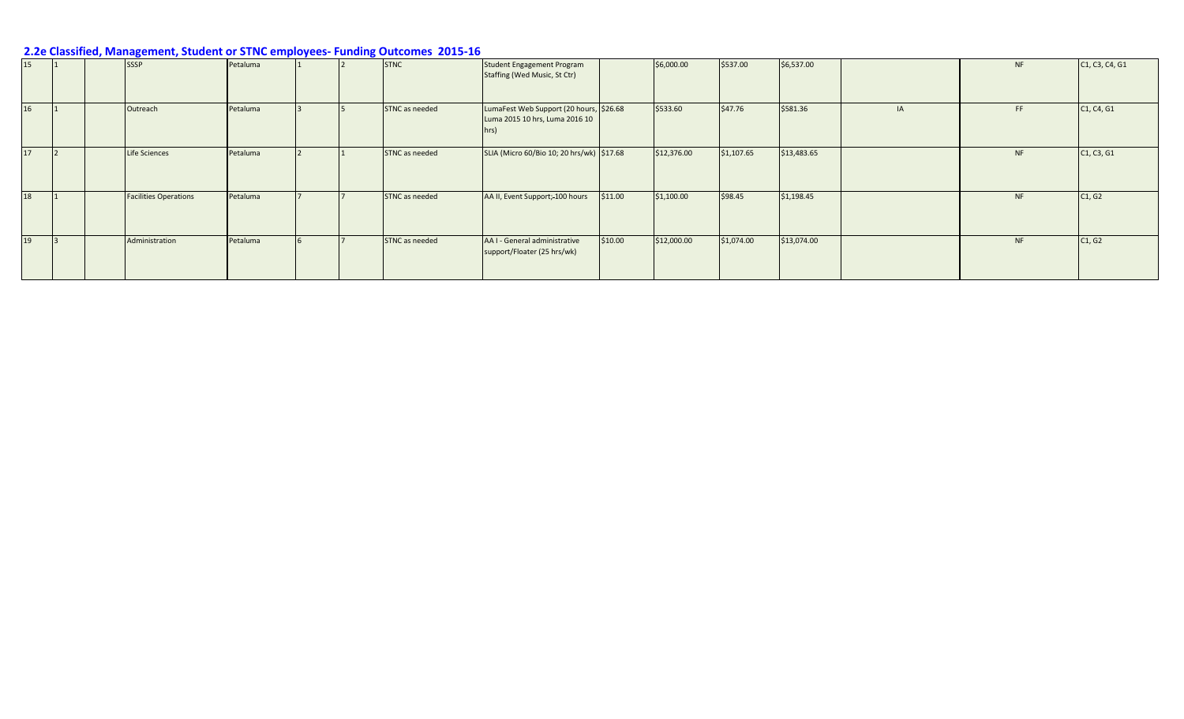| 15 | <b>SSSP</b> |                              | Petaluma |  | <b>STNC</b>    | <b>Student Engagement Program</b><br>Staffing (Wed Music, St Ctr)                 |         | \$6,000.00  | \$537.00   | \$6,537.00  |    | <b>NF</b> | C1, C3, C4, G1                                   |
|----|-------------|------------------------------|----------|--|----------------|-----------------------------------------------------------------------------------|---------|-------------|------------|-------------|----|-----------|--------------------------------------------------|
| 16 |             | Outreach                     | Petaluma |  | STNC as needed | LumaFest Web Support (20 hours, \$26.68<br>Luma 2015 10 hrs, Luma 2016 10<br>hrs) |         | \$533.60    | \$47.76    | \$581.36    | IA | FF.       | C <sub>1</sub> , C <sub>4</sub> , G <sub>1</sub> |
| 17 |             | Life Sciences                | Petaluma |  | STNC as needed | SLIA (Micro 60/Bio 10; 20 hrs/wk) \$17.68                                         |         | \$12,376.00 | \$1,107.65 | \$13,483.65 |    | <b>NF</b> | C1, C3, G1                                       |
| 18 |             | <b>Facilities Operations</b> | Petaluma |  | STNC as needed | AA II, Event Support; 100 hours                                                   | \$11.00 | \$1,100.00  | \$98.45    | \$1,198.45  |    | <b>NF</b> | C1, G2                                           |
| 19 |             | Administration               | Petaluma |  | STNC as needed | AA I - General administrative<br>support/Floater (25 hrs/wk)                      | \$10.00 | \$12,000.00 | \$1,074.00 | \$13,074.00 |    | <b>NF</b> | C1, G2                                           |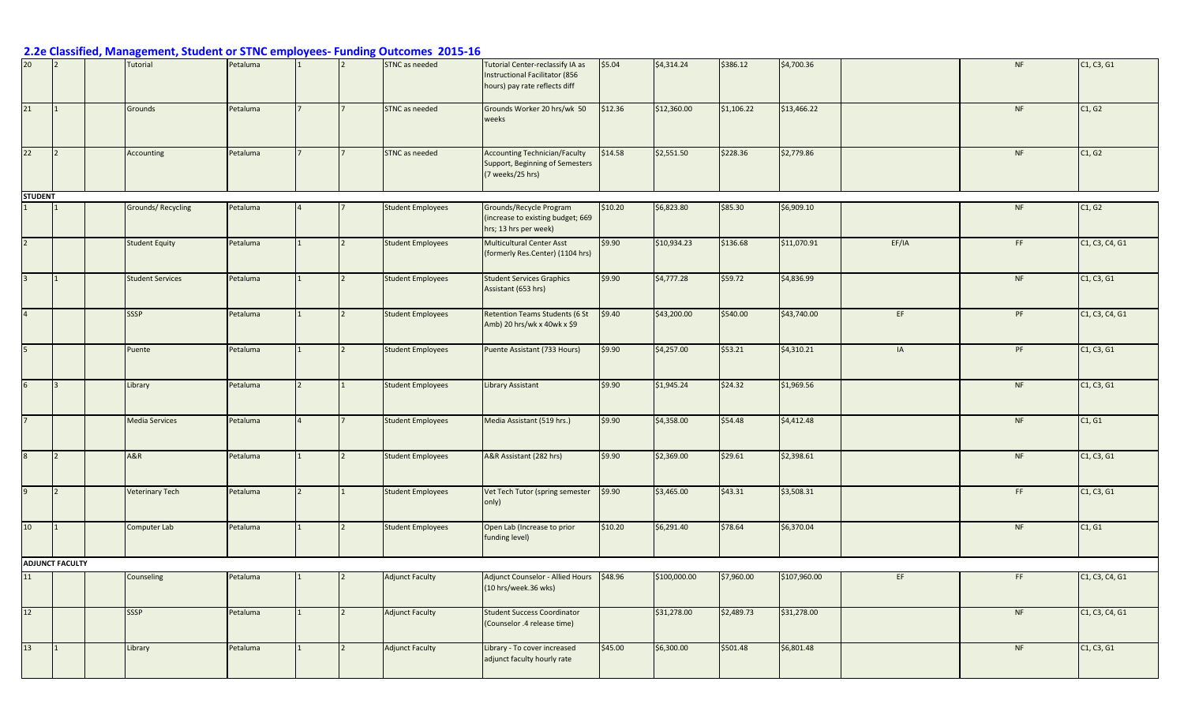| 20 <sub>2</sub> |                        | Tutorial                | Petaluma |  | STNC as needed           | Tutorial Center-reclassify IA as<br>Instructional Facilitator (856<br>hours) pay rate reflects diff | \$5.04  | \$4,314.24   | \$386.12   | \$4,700.36   |       | <b>NF</b> | C1, C3, G1                                                        |
|-----------------|------------------------|-------------------------|----------|--|--------------------------|-----------------------------------------------------------------------------------------------------|---------|--------------|------------|--------------|-------|-----------|-------------------------------------------------------------------|
| 21              |                        | Grounds                 | Petaluma |  | STNC as needed           | Grounds Worker 20 hrs/wk 50<br>weeks                                                                | \$12.36 | \$12,360.00  | \$1,106.22 | \$13,466.22  |       | <b>NF</b> | C1, G2                                                            |
| 22              | $\overline{2}$         | Accounting              | Petaluma |  | <b>STNC</b> as needed    | <b>Accounting Technician/Faculty</b><br>Support, Beginning of Semesters<br>(7 weeks/25 hrs)         | \$14.58 | \$2,551.50   | \$228.36   | \$2,779.86   |       | <b>NF</b> | C1, G2                                                            |
| <b>STUDENT</b>  |                        |                         |          |  |                          |                                                                                                     |         |              |            |              |       |           |                                                                   |
|                 |                        | Grounds/Recycling       | Petaluma |  | <b>Student Employees</b> | Grounds/Recycle Program<br>(increase to existing budget; 669<br>hrs; 13 hrs per week)               | \$10.20 | \$6,823.80   | \$85.30    | \$6,909.10   |       | <b>NF</b> | C1, G2                                                            |
| $\overline{2}$  |                        | <b>Student Equity</b>   | Petaluma |  | <b>Student Employees</b> | <b>Multicultural Center Asst</b><br>(formerly Res.Center) (1104 hrs)                                | \$9.90  | \$10,934.23  | \$136.68   | \$11,070.91  | EF/IA | FF        | C1, C3, C4, G1                                                    |
| $\overline{3}$  |                        | <b>Student Services</b> | Petaluma |  | <b>Student Employees</b> | <b>Student Services Graphics</b><br>Assistant (653 hrs)                                             | \$9.90  | \$4,777.28   | \$59.72    | \$4,836.99   |       | <b>NF</b> | C <sub>1</sub> , C <sub>3</sub> , G <sub>1</sub>                  |
| $\overline{4}$  |                        | <b>SSSP</b>             | Petaluma |  | <b>Student Employees</b> | Retention Teams Students (6 St<br>Amb) 20 hrs/wk x 40wk x \$9                                       | \$9.40  | \$43,200.00  | \$540.00   | \$43,740.00  | EF    | PF        | C1, C3, C4, G1                                                    |
| 5 <sub>5</sub>  |                        | Puente                  | Petaluma |  | <b>Student Employees</b> | Puente Assistant (733 Hours)                                                                        | \$9.90  | \$4,257.00   | \$53.21    | \$4,310.21   | IA    | PF        | C1, C3, G1                                                        |
| 6 <sup>1</sup>  | 3                      | Library                 | Petaluma |  | <b>Student Employees</b> | <b>Library Assistant</b>                                                                            | \$9.90  | \$1,945.24   | \$24.32    | \$1,969.56   |       | <b>NF</b> | C1, C3, G1                                                        |
| 7 <sup>7</sup>  |                        | <b>Media Services</b>   | Petaluma |  | <b>Student Employees</b> | Media Assistant (519 hrs.)                                                                          | \$9.90  | \$4,358.00   | \$54.48    | \$4,412.48   |       | <b>NF</b> | C1, G1                                                            |
| 8               | $\overline{2}$         | <b>A&amp;R</b>          | Petaluma |  | <b>Student Employees</b> | A&R Assistant (282 hrs)                                                                             | \$9.90  | \$2,369.00   | \$29.61    | \$2,398.61   |       | <b>NF</b> | C1, C3, G1                                                        |
| 9               | $\vert$ 2              | <b>Veterinary Tech</b>  | Petaluma |  | <b>Student Employees</b> | Vet Tech Tutor (spring semester<br>only)                                                            | \$9.90  | \$3,465.00   | \$43.31    | \$3,508.31   |       | FF        | C1, C3, G1                                                        |
| 10              | 1                      | Computer Lab            | Petaluma |  | <b>Student Employees</b> | Open Lab (Increase to prior<br>funding level)                                                       | \$10.20 | \$6,291.40   | \$78.64    | \$6,370.04   |       | <b>NF</b> | C1, G1                                                            |
|                 | <b>ADJUNCT FACULTY</b> |                         |          |  |                          |                                                                                                     |         |              |            |              |       |           |                                                                   |
| 11              |                        | Counseling              | Petaluma |  | <b>Adjunct Faculty</b>   | Adjunct Counselor - Allied Hours \$48.96<br>$(10$ hrs/week.36 wks)                                  |         | \$100,000.00 | \$7,960.00 | \$107,960.00 | EF    | FF.       | C1, C3, C4, G1                                                    |
| 12              |                        | SSSP                    | Petaluma |  | <b>Adjunct Faculty</b>   | <b>Student Success Coordinator</b><br>(Counselor .4 release time)                                   |         | \$31,278.00  | \$2,489.73 | \$31,278.00  |       | NF        | C <sub>1</sub> , C <sub>3</sub> , C <sub>4</sub> , G <sub>1</sub> |
| 13              |                        | Library                 | Petaluma |  | <b>Adjunct Faculty</b>   | Library - To cover increased<br>adjunct faculty hourly rate                                         | \$45.00 | \$6,300.00   | \$501.48   | \$6,801.48   |       | NF        | C1, C3, G1                                                        |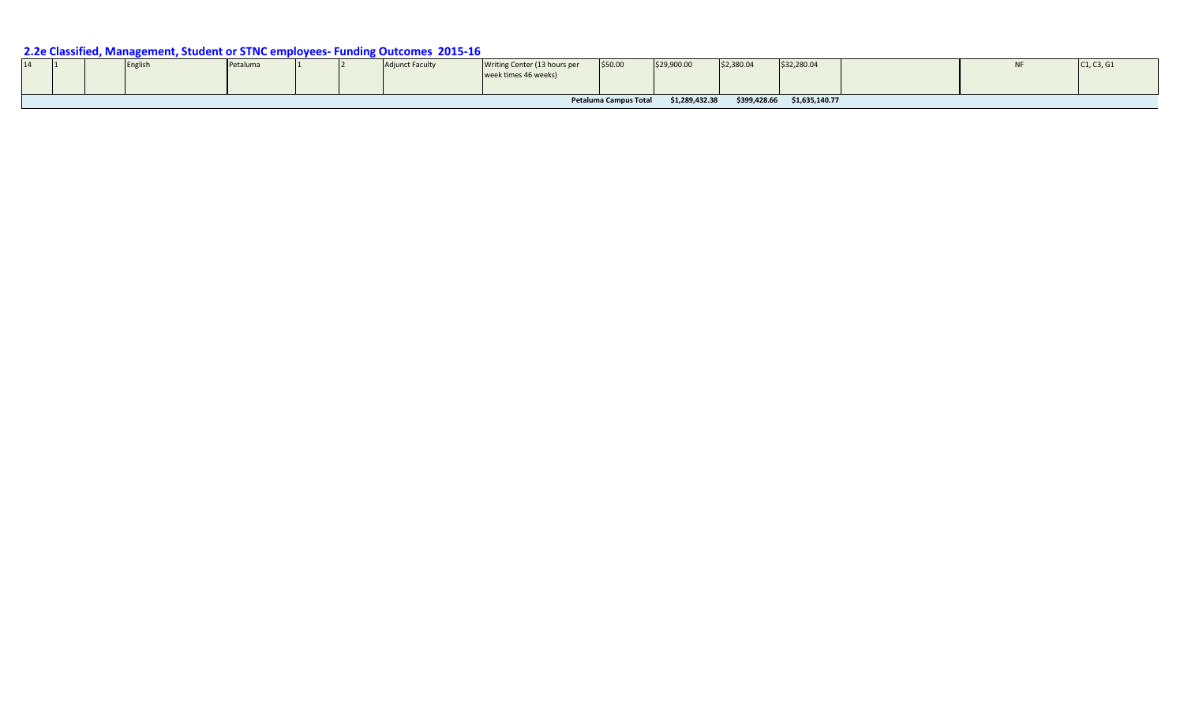| 14 | . . | <b>IEngl</b> | Petaluma |  | unct Faculty | Writing Center (13 hours per<br>week times 46 weeks) | \$50.00               | \$29,900.00    | \$2,380.04   | \$32,280.04    | ΝF | C1, C3, G1 |
|----|-----|--------------|----------|--|--------------|------------------------------------------------------|-----------------------|----------------|--------------|----------------|----|------------|
|    |     |              |          |  |              |                                                      | Petaluma Campus Total | \$1,289,432.38 | \$399,428.66 | \$1,635,140.77 |    |            |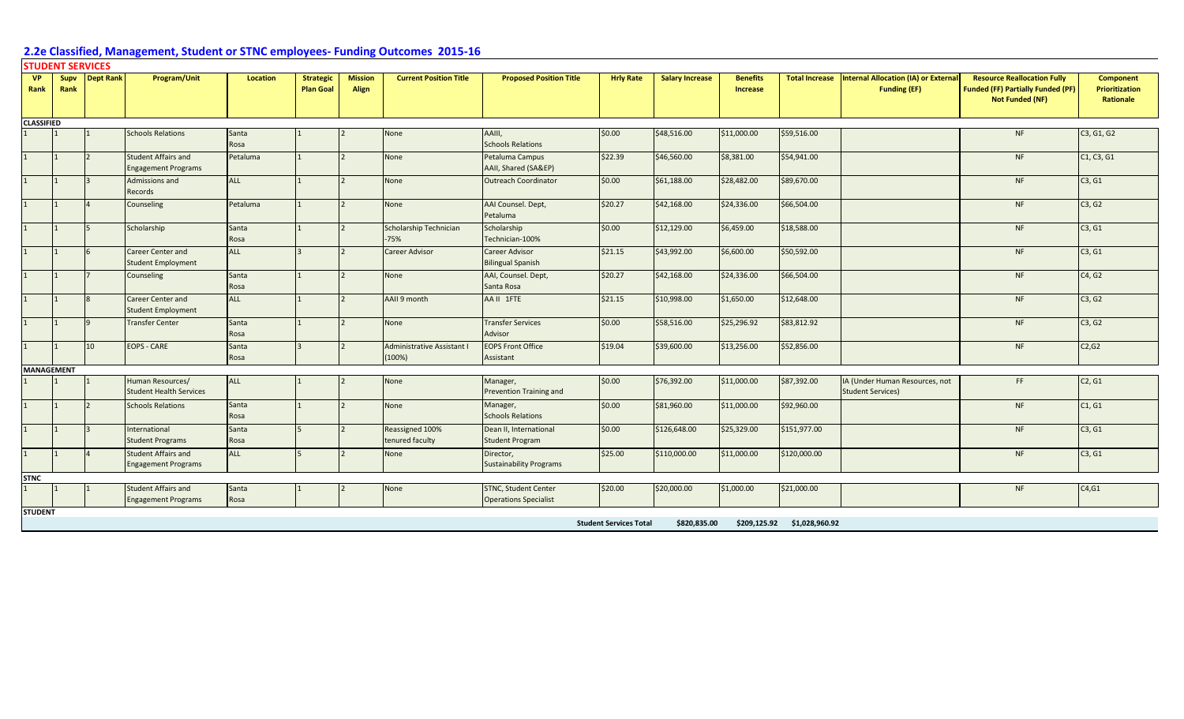#### **STUDENT SERVICES**

| <b>VP</b><br>Rank | Supv<br>Rank      | Dept Rank      | <b>Program/Unit</b>                                      | <b>Location</b> | <b>Strategic</b><br><b>Plan Goal</b> | <b>Mission</b><br>Align | <b>Current Position Title</b>        | <b>Proposed Position Title</b>                              | <b>Hrly Rate</b>              | <b>Salary Increase</b> | <b>Benefits</b><br><b>Increase</b> |                | Total Increase   Internal Allocation (IA) or External<br><b>Funding (EF)</b> | <b>Resource Reallocation Fully</b><br><b>Funded (FF) Partially Funded (PF)</b><br><b>Not Funded (NF)</b> | <b>Component</b><br>Prioritization<br>Rationale |
|-------------------|-------------------|----------------|----------------------------------------------------------|-----------------|--------------------------------------|-------------------------|--------------------------------------|-------------------------------------------------------------|-------------------------------|------------------------|------------------------------------|----------------|------------------------------------------------------------------------------|----------------------------------------------------------------------------------------------------------|-------------------------------------------------|
| <b>CLASSIFIED</b> |                   |                |                                                          |                 |                                      |                         |                                      |                                                             |                               |                        |                                    |                |                                                                              |                                                                                                          |                                                 |
|                   |                   |                | <b>Schools Relations</b>                                 | Santa<br>Rosa   |                                      |                         | None                                 | AAIII,<br><b>Schools Relations</b>                          | \$0.00                        | \$48,516.00            | \$11,000.00                        | \$59,516.00    |                                                                              | <b>NF</b>                                                                                                | C3, G1, G2                                      |
|                   |                   | $\overline{2}$ | <b>Student Affairs and</b><br><b>Engagement Programs</b> | Petaluma        |                                      |                         | None                                 | Petaluma Campus<br>AAII, Shared (SA&EP)                     | \$22.39                       | \$46,560.00            | \$8,381.00                         | \$54,941.00    |                                                                              | <b>NF</b>                                                                                                | C1, C3, G1                                      |
|                   |                   | $\mathbf{R}$   | Admissions and<br>Records                                | ALL             |                                      |                         | None                                 | <b>Outreach Coordinator</b>                                 | \$0.00                        | \$61,188.00            | \$28,482.00                        | \$89,670.00    |                                                                              | NF                                                                                                       | C3, G1                                          |
|                   |                   |                | Counseling                                               | Petaluma        |                                      |                         | None                                 | AAI Counsel. Dept,<br>Petaluma                              | \$20.27                       | \$42,168.00            | \$24,336.00                        | \$66,504.00    |                                                                              | <b>NF</b>                                                                                                | C3, G2                                          |
|                   |                   | 5              | Scholarship                                              | Santa<br>Rosa   |                                      |                         | Scholarship Technician<br>$-75%$     | Scholarship<br>Technician-100%                              | \$0.00                        | \$12,129.00            | \$6,459.00                         | \$18,588.00    |                                                                              | <b>NF</b>                                                                                                | C3, G1                                          |
|                   |                   | 6              | <b>Career Center and</b><br><b>Student Employment</b>    | ALL             |                                      |                         | <b>Career Advisor</b>                | Career Advisor<br><b>Bilingual Spanish</b>                  | \$21.15                       | \$43,992.00            | \$6,600.00                         | \$50,592.00    |                                                                              | <b>NF</b>                                                                                                | C3, G1                                          |
|                   |                   |                | Counseling                                               | Santa<br>Rosa   |                                      |                         | None                                 | AAI, Counsel. Dept,<br>Santa Rosa                           | \$20.27                       | \$42,168.00            | \$24,336.00                        | \$66,504.00    |                                                                              | <b>NF</b>                                                                                                | C4, G2                                          |
|                   |                   | $\mathbf{R}$   | <b>Career Center and</b><br><b>Student Employment</b>    | <b>ALL</b>      |                                      |                         | AAII 9 month                         | AA II 1FTE                                                  | \$21.15                       | \$10,998.00            | \$1,650.00                         | \$12,648.00    |                                                                              | <b>NF</b>                                                                                                | C3, G2                                          |
|                   |                   | $\mathsf{Q}$   | <b>Transfer Center</b>                                   | Santa<br>Rosa   |                                      |                         | None                                 | <b>Transfer Services</b><br>Advisor                         | \$0.00                        | \$58,516.00            | \$25,296.92                        | \$83,812.92    |                                                                              | <b>NF</b>                                                                                                | C3, G2                                          |
|                   |                   | 10             | <b>EOPS - CARE</b>                                       | Santa<br>Rosa   |                                      |                         | Administrative Assistant I<br>(100%) | <b>EOPS Front Office</b><br>Assistant                       | \$19.04                       | \$39,600.00            | \$13,256.00                        | \$52,856.00    |                                                                              | NF                                                                                                       | C2, G2                                          |
|                   | <b>MANAGEMENT</b> |                |                                                          |                 |                                      |                         |                                      |                                                             |                               |                        |                                    |                |                                                                              |                                                                                                          |                                                 |
|                   |                   |                | Human Resources/<br><b>Student Health Services</b>       | ALL             |                                      |                         | None                                 | Manager,<br>Prevention Training and                         | \$0.00                        | \$76,392.00            | \$11,000.00                        | \$87,392.00    | IA (Under Human Resources, not<br><b>Student Services)</b>                   | FF.                                                                                                      | C2, G1                                          |
|                   |                   | $\overline{2}$ | <b>Schools Relations</b>                                 | Santa<br>Rosa   |                                      |                         | None                                 | Manager,<br><b>Schools Relations</b>                        | \$0.00                        | \$81,960.00            | \$11,000.00                        | \$92,960.00    |                                                                              | <b>NF</b>                                                                                                | C1, G1                                          |
|                   |                   | $\overline{3}$ | International<br><b>Student Programs</b>                 | Santa<br>Rosa   |                                      |                         | Reassigned 100%<br>tenured faculty   | Dean II, International<br><b>Student Program</b>            | \$0.00                        | \$126,648.00           | \$25,329.00                        | \$151,977.00   |                                                                              | <b>NF</b>                                                                                                | C3, G1                                          |
|                   |                   | $\overline{4}$ | <b>Student Affairs and</b><br><b>Engagement Programs</b> | ALL             |                                      | $\overline{2}$          | None                                 | Director,<br><b>Sustainability Programs</b>                 | \$25.00                       | \$110,000.00           | \$11,000.00                        | \$120,000.00   |                                                                              | <b>NF</b>                                                                                                | C3, G1                                          |
| <b>STNC</b>       |                   |                |                                                          |                 |                                      |                         |                                      |                                                             |                               |                        |                                    |                |                                                                              |                                                                                                          |                                                 |
|                   |                   |                | <b>Student Affairs and</b><br><b>Engagement Programs</b> | Santa<br>Rosa   |                                      |                         | None                                 | <b>STNC, Student Center</b><br><b>Operations Specialist</b> | \$20.00                       | \$20,000.00            | \$1,000.00                         | \$21,000.00    |                                                                              | <b>NF</b>                                                                                                | C4, G1                                          |
| <b>STUDENT</b>    |                   |                |                                                          |                 |                                      |                         |                                      |                                                             | <b>Student Services Total</b> | \$820,835.00           | \$209,125.92                       | \$1,028,960.92 |                                                                              |                                                                                                          |                                                 |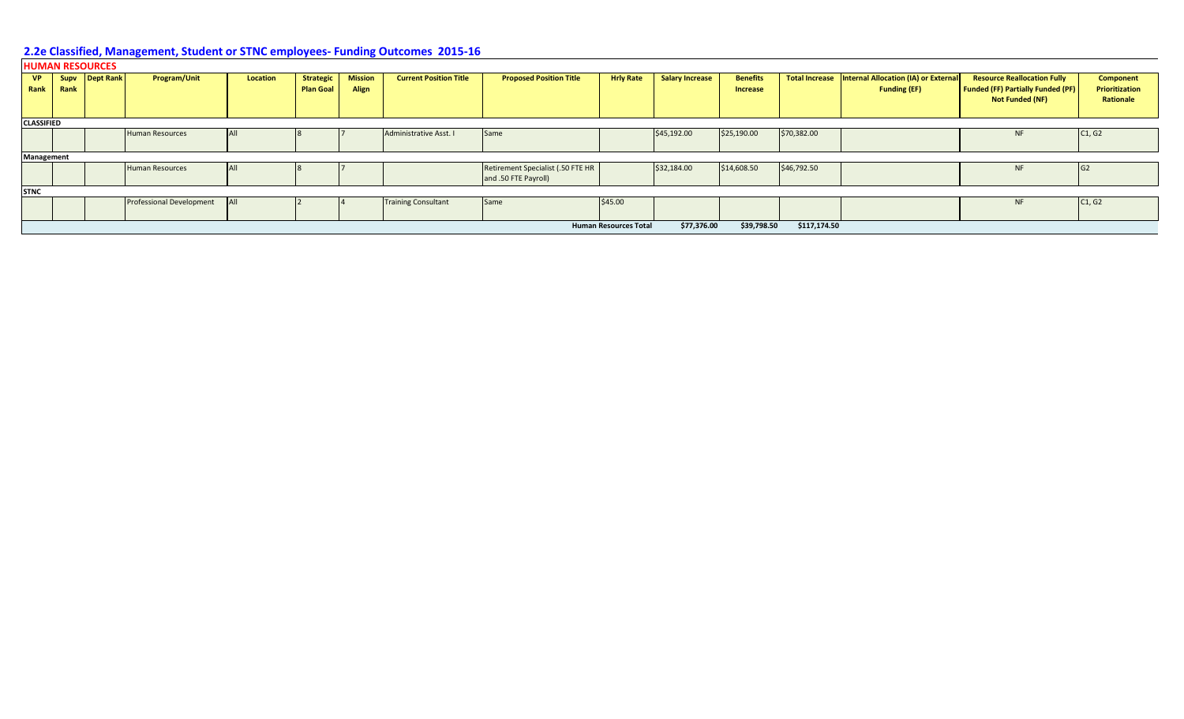### **HUMAN RESOURCES**

| <b>VP</b>         | Supv | <b>Dept Rank</b> | <b>Program/Unit</b>             | <b>Location</b> | <b>Strategic</b> | <b>Mission</b> | <b>Current Position Title</b> | <b>Proposed Position Title</b>    | <b>Hrly Rate</b>             | <b>Salary Increase</b> | <b>Benefits</b> |              | Total Increase   Internal Allocation (IA) or External | <b>Resource Reallocation Fully</b>       | <b>Component</b> |
|-------------------|------|------------------|---------------------------------|-----------------|------------------|----------------|-------------------------------|-----------------------------------|------------------------------|------------------------|-----------------|--------------|-------------------------------------------------------|------------------------------------------|------------------|
| Rank              | Rank |                  |                                 |                 | <b>Plan Goal</b> | Align          |                               |                                   |                              |                        | <b>Increase</b> |              | <b>Funding (EF)</b>                                   | <b>Funded (FF) Partially Funded (PF)</b> | Prioritization   |
|                   |      |                  |                                 |                 |                  |                |                               |                                   |                              |                        |                 |              |                                                       | Not Funded (NF)                          | Rationale        |
|                   |      |                  |                                 |                 |                  |                |                               |                                   |                              |                        |                 |              |                                                       |                                          |                  |
| <b>CLASSIFIED</b> |      |                  |                                 |                 |                  |                |                               |                                   |                              |                        |                 |              |                                                       |                                          |                  |
|                   |      |                  | <b>Human Resources</b>          | AII             |                  |                | Administrative Asst. I        | Same                              |                              | \$45,192.00            | \$25,190.00     | \$70,382.00  |                                                       | <b>NF</b>                                | C1, G2           |
|                   |      |                  |                                 |                 |                  |                |                               |                                   |                              |                        |                 |              |                                                       |                                          |                  |
| Management        |      |                  |                                 |                 |                  |                |                               |                                   |                              |                        |                 |              |                                                       |                                          |                  |
|                   |      |                  | <b>Human Resources</b>          | AII             |                  |                |                               | Retirement Specialist (.50 FTE HR |                              | \$32,184.00            | \$14,608.50     | \$46,792.50  |                                                       | <b>NF</b>                                | G <sub>2</sub>   |
|                   |      |                  |                                 |                 |                  |                |                               | and .50 FTE Payroll)              |                              |                        |                 |              |                                                       |                                          |                  |
| <b>STNC</b>       |      |                  |                                 |                 |                  |                |                               |                                   |                              |                        |                 |              |                                                       |                                          |                  |
|                   |      |                  | <b>Professional Development</b> |                 |                  |                | <b>Training Consultant</b>    | Same                              | \$45.00                      |                        |                 |              |                                                       | <b>NF</b>                                | C1, G2           |
|                   |      |                  |                                 |                 |                  |                |                               |                                   |                              |                        |                 |              |                                                       |                                          |                  |
|                   |      |                  |                                 |                 |                  |                |                               |                                   | <b>Human Resources Total</b> | \$77,376.00            | \$39,798.50     | \$117,174.50 |                                                       |                                          |                  |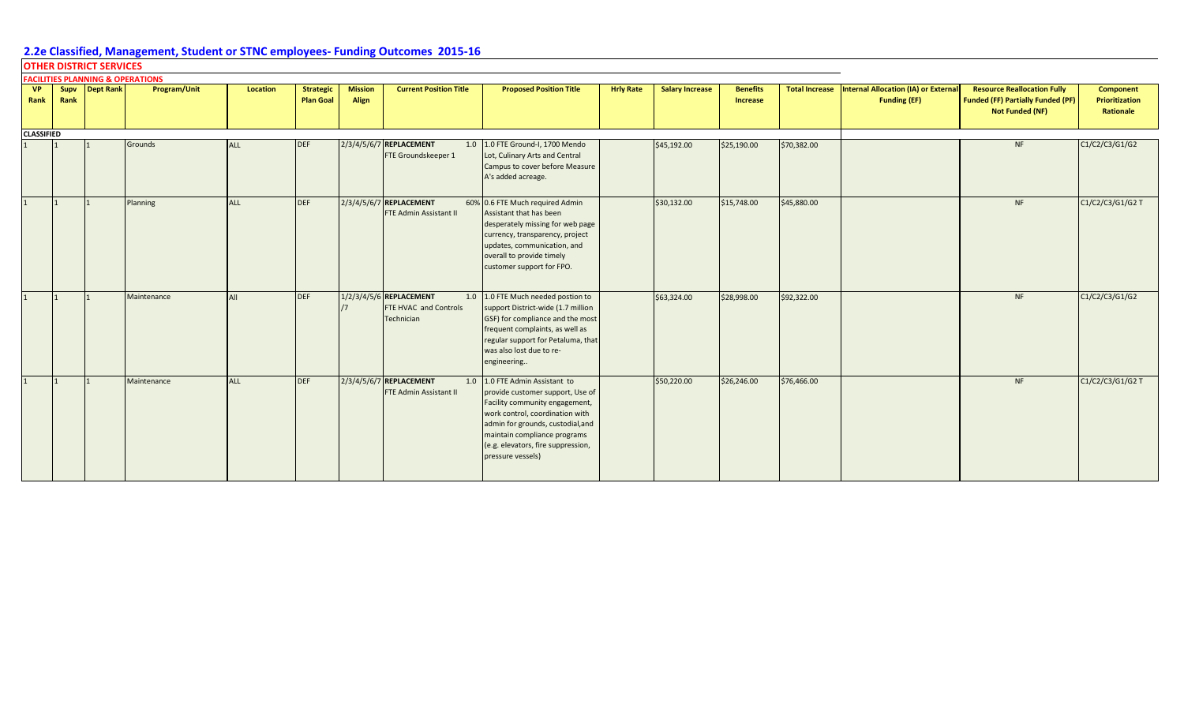|                   |      | <b>OTHER DISTRICT SERVICES</b>              |                     |                 |                                      |                         |                                                                       |                                                                                                                                                                                                                                                                     |                  |                        |                                    |                       |                                                                    |                                                                                                          |                                                 |
|-------------------|------|---------------------------------------------|---------------------|-----------------|--------------------------------------|-------------------------|-----------------------------------------------------------------------|---------------------------------------------------------------------------------------------------------------------------------------------------------------------------------------------------------------------------------------------------------------------|------------------|------------------------|------------------------------------|-----------------------|--------------------------------------------------------------------|----------------------------------------------------------------------------------------------------------|-------------------------------------------------|
|                   |      | <b>FACILITIES PLANNING &amp; OPERATIONS</b> |                     |                 |                                      |                         |                                                                       |                                                                                                                                                                                                                                                                     |                  |                        |                                    |                       |                                                                    |                                                                                                          |                                                 |
| <b>VP</b><br>Rank | Rank | Supv Dept Rank                              | <b>Program/Unit</b> | <b>Location</b> | <b>Strategic</b><br><b>Plan Goal</b> | <b>Mission</b><br>Align | <b>Current Position Title</b>                                         | <b>Proposed Position Title</b>                                                                                                                                                                                                                                      | <b>Hrly Rate</b> | <b>Salary Increase</b> | <b>Benefits</b><br><b>Increase</b> | <b>Total Increase</b> | <b>Internal Allocation (IA) or External</b><br><b>Funding (EF)</b> | <b>Resource Reallocation Fully</b><br><b>Funded (FF) Partially Funded (PF)</b><br><b>Not Funded (NF)</b> | <b>Component</b><br>Prioritization<br>Rationale |
| <b>CLASSIFIED</b> |      |                                             |                     |                 |                                      |                         |                                                                       |                                                                                                                                                                                                                                                                     |                  |                        |                                    |                       |                                                                    |                                                                                                          |                                                 |
|                   |      |                                             | Grounds             | <b>ALL</b>      | <b>DEF</b>                           |                         | 2/3/4/5/6/7 REPLACEMENT<br>FTE Groundskeeper 1                        | 1.0 1.0 FTE Ground-I, 1700 Mendo<br>Lot, Culinary Arts and Central<br>Campus to cover before Measure<br>A's added acreage.                                                                                                                                          |                  | \$45,192.00            | \$25,190.00                        | \$70,382.00           |                                                                    | NF                                                                                                       | C1/C2/C3/G1/G2                                  |
|                   |      |                                             | Planning            | <b>ALL</b>      | <b>DEF</b>                           |                         | 2/3/4/5/6/7 REPLACEMENT<br><b>FTE Admin Assistant II</b>              | 60% 0.6 FTE Much required Admin<br>Assistant that has been<br>desperately missing for web page<br>currency, transparency, project<br>updates, communication, and<br>overall to provide timely<br>customer support for FPO.                                          |                  | \$30,132.00            | \$15,748.00                        | \$45,880.00           |                                                                    | NF                                                                                                       | C1/C2/C3/G1/G2 T                                |
|                   |      |                                             | Maintenance         | All             | <b>DEF</b>                           |                         | 1/2/3/4/5/6 REPLACEMENT<br>1.0<br>FTE HVAC and Controls<br>Technician | 1.0 FTE Much needed postion to<br>support District-wide (1.7 million<br>GSF) for compliance and the most<br>frequent complaints, as well as<br>regular support for Petaluma, that<br>was also lost due to re-<br>engineering                                        |                  | \$63,324.00            | \$28,998.00                        | \$92,322.00           |                                                                    | <b>NF</b>                                                                                                | C1/C2/C3/G1/G2                                  |
|                   |      |                                             | Maintenance         | <b>ALL</b>      | DEF                                  |                         | 2/3/4/5/6/7 REPLACEMENT<br>1.0<br>FTE Admin Assistant II              | 1.0 FTE Admin Assistant to<br>provide customer support, Use of<br>Facility community engagement,<br>work control, coordination with<br>admin for grounds, custodial, and<br>maintain compliance programs<br>(e.g. elevators, fire suppression,<br>pressure vessels) |                  | \$50,220.00            | \$26,246.00                        | \$76,466.00           |                                                                    | <b>NF</b>                                                                                                | C1/C2/C3/G1/G2 T                                |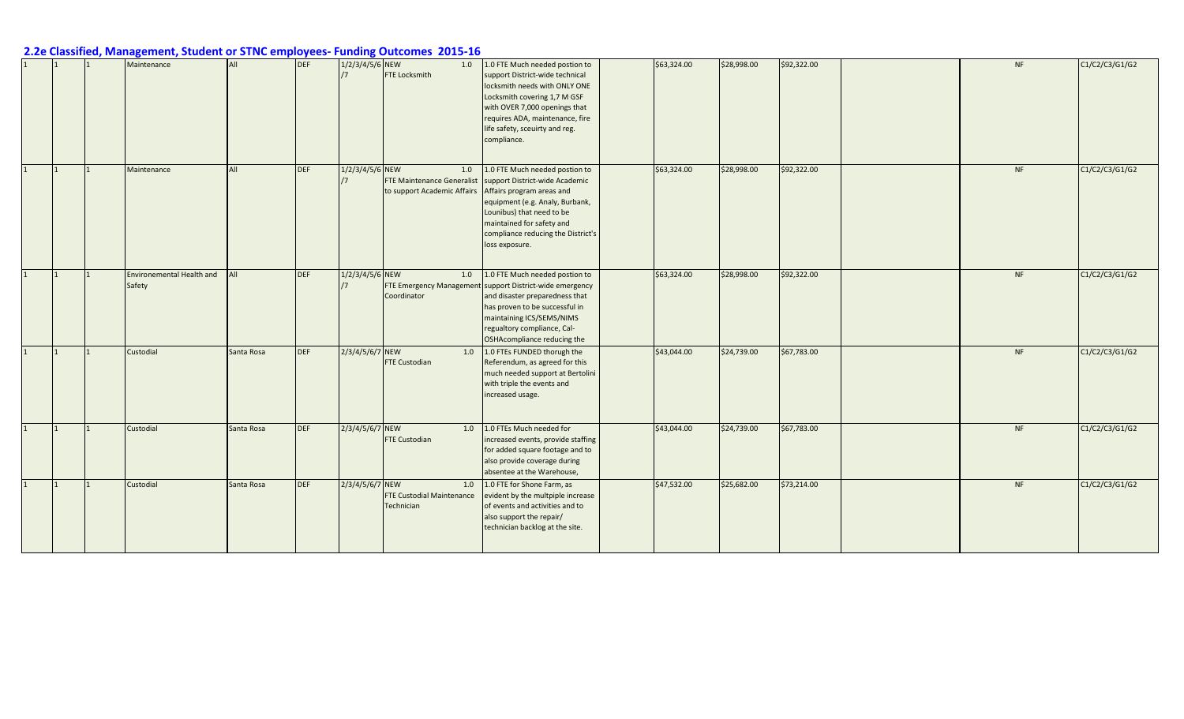|           | Maintenance                                | All        | <b>DEF</b> | 1/2/3/4/5/6 NEW | 1.0<br><b>FTE Locksmith</b>                                             | 1.0 FTE Much needed postion to<br>support District-wide technical<br>locksmith needs with ONLY ONE<br>Locksmith covering 1,7 M GSF<br>with OVER 7,000 openings that<br>requires ADA, maintenance, fire<br>life safety, sceuirty and reg.<br>compliance. | \$63,324.00 | \$28,998.00 | \$92,322.00 | <b>NF</b> | C1/C2/C3/G1/G2 |
|-----------|--------------------------------------------|------------|------------|-----------------|-------------------------------------------------------------------------|---------------------------------------------------------------------------------------------------------------------------------------------------------------------------------------------------------------------------------------------------------|-------------|-------------|-------------|-----------|----------------|
| $\vert$ 1 | Maintenance                                | All        | <b>DEF</b> | 1/2/3/4/5/6 NEW | 1.0<br><b>FTE Maintenance Generalist</b><br>to support Academic Affairs | 1.0 FTE Much needed postion to<br>support District-wide Academic<br>Affairs program areas and<br>equipment (e.g. Analy, Burbank,<br>Lounibus) that need to be<br>maintained for safety and<br>compliance reducing the District's<br>loss exposure.      | \$63,324.00 | \$28,998.00 | \$92,322.00 | <b>NF</b> | C1/C2/C3/G1/G2 |
| 1         | <b>Environemental Health and</b><br>Safety | All        | <b>DEF</b> | 1/2/3/4/5/6 NEW | 1.0<br><b>FTE Emergency Management</b><br>Coordinator                   | 1.0 FTE Much needed postion to<br>support District-wide emergency<br>and disaster preparedness that<br>has proven to be successful in<br>maintaining ICS/SEMS/NIMS<br>regualtory compliance, Cal-<br>OSHAcompliance reducing the                        | \$63,324.00 | \$28,998.00 | \$92,322.00 | <b>NF</b> | C1/C2/C3/G1/G2 |
| 1         | Custodial                                  | Santa Rosa | <b>DEF</b> | 2/3/4/5/6/7 NEW | 1.0<br><b>FTE Custodian</b>                                             | 1.0 FTEs FUNDED thorugh the<br>Referendum, as agreed for this<br>much needed support at Bertolini<br>with triple the events and<br>increased usage.                                                                                                     | \$43,044.00 | \$24,739.00 | \$67,783.00 | <b>NF</b> | C1/C2/C3/G1/G2 |
| 1         | Custodial                                  | Santa Rosa | <b>DEF</b> | 2/3/4/5/6/7 NEW | 1.0<br><b>FTE Custodian</b>                                             | 1.0 FTEs Much needed for<br>increased events, provide staffing<br>for added square footage and to<br>also provide coverage during<br>absentee at the Warehouse,                                                                                         | \$43,044.00 | \$24,739.00 | \$67,783.00 | <b>NF</b> | C1/C2/C3/G1/G2 |
| 1         | Custodial                                  | Santa Rosa | <b>DEF</b> | 2/3/4/5/6/7 NEW | 1.0<br><b>FTE Custodial Maintenance</b><br>Technician                   | 1.0 FTE for Shone Farm, as<br>evident by the multpiple increase<br>of events and activities and to<br>also support the repair/<br>technician backlog at the site.                                                                                       | \$47,532.00 | \$25,682.00 | \$73,214.00 | <b>NF</b> | C1/C2/C3/G1/G2 |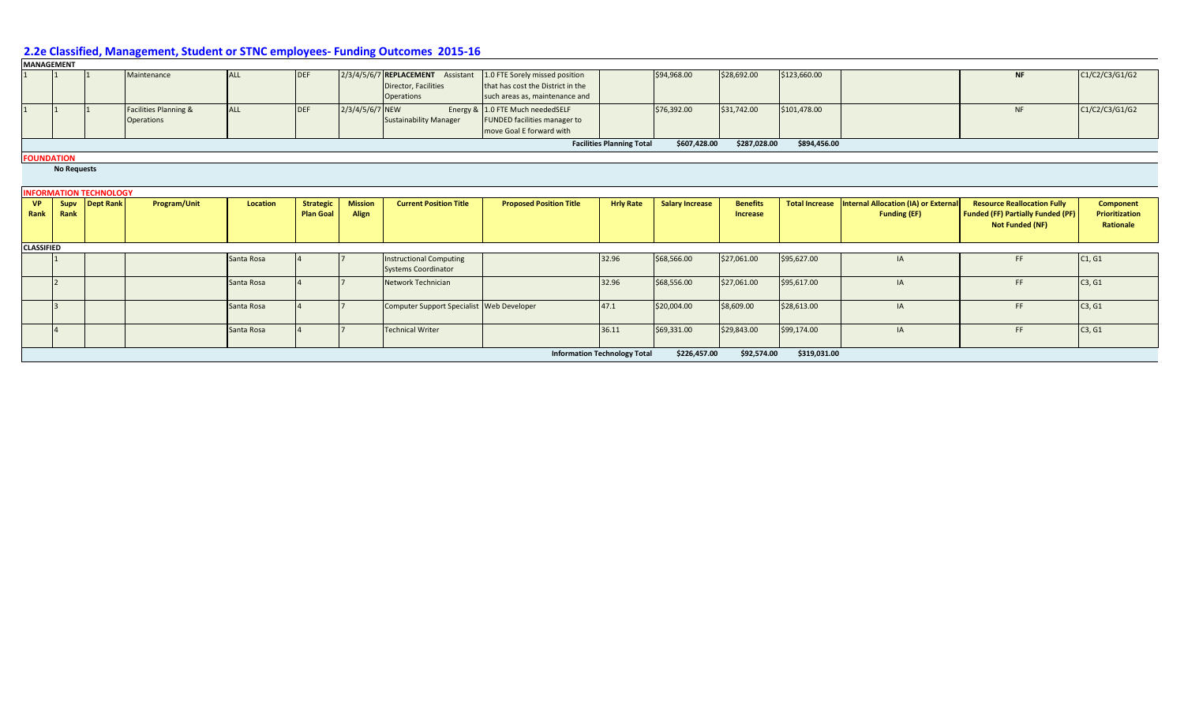|                   | <b>MANAGEMENT</b>  |                               |                                                       |            |                                      |                         |                                                                                |                                                                                                       |                                  |                        |                             |                       |                                                             |                                                                                                          |                                                               |
|-------------------|--------------------|-------------------------------|-------------------------------------------------------|------------|--------------------------------------|-------------------------|--------------------------------------------------------------------------------|-------------------------------------------------------------------------------------------------------|----------------------------------|------------------------|-----------------------------|-----------------------|-------------------------------------------------------------|----------------------------------------------------------------------------------------------------------|---------------------------------------------------------------|
|                   |                    |                               | Maintenance                                           | <b>ALL</b> | <b>DEF</b>                           |                         | 2/3/4/5/6/7 REPLACEMENT Assistant<br>Director, Facilities<br><b>Operations</b> | 1.0 FTE Sorely missed position<br>that has cost the District in the<br>such areas as, maintenance and |                                  | \$94,968.00            | \$28,692.00                 | \$123,660.00          |                                                             | <b>NF</b>                                                                                                | C1/C2/C3/G1/G2                                                |
|                   |                    |                               | <b>Facilities Planning &amp;</b><br><b>Operations</b> | <b>ALL</b> | <b>DEF</b>                           | 2/3/4/5/6/7 NEW         | <b>Sustainability Manager</b>                                                  | Energy & 1.0 FTE Much neededSELF<br><b>FUNDED facilities manager to</b><br>move Goal E forward with   |                                  | \$76,392.00            | \$31,742.00                 | \$101,478.00          |                                                             | <b>NF</b>                                                                                                | C1/C2/C3/G1/G2                                                |
|                   |                    |                               |                                                       |            |                                      |                         |                                                                                |                                                                                                       | <b>Facilities Planning Total</b> | \$607,428.00           | \$287,028.00                | \$894,456.00          |                                                             |                                                                                                          |                                                               |
|                   | <b>FOUNDATION</b>  |                               |                                                       |            |                                      |                         |                                                                                |                                                                                                       |                                  |                        |                             |                       |                                                             |                                                                                                          |                                                               |
|                   | <b>No Requests</b> |                               |                                                       |            |                                      |                         |                                                                                |                                                                                                       |                                  |                        |                             |                       |                                                             |                                                                                                          |                                                               |
|                   |                    | <b>INFORMATION TECHNOLOGY</b> |                                                       |            |                                      |                         |                                                                                |                                                                                                       |                                  |                        |                             |                       |                                                             |                                                                                                          |                                                               |
| <b>VP</b><br>Rank | Supv<br>Rank       | Dept Rank                     | Program/Unit                                          | Location   | <b>Strategic</b><br><b>Plan Goal</b> | <b>Mission</b><br>Align | <b>Current Position Title</b>                                                  | <b>Proposed Position Title</b>                                                                        | <b>Hrly Rate</b>                 | <b>Salary Increase</b> | <b>Benefits</b><br>Increase | <b>Total Increase</b> | Internal Allocation (IA) or External<br><b>Funding (EF)</b> | <b>Resource Reallocation Fully</b><br><b>Funded (FF) Partially Funded (PF)</b><br><b>Not Funded (NF)</b> | <b>Component</b><br><b>Prioritization</b><br><b>Rationale</b> |
| <b>CLASSIFIED</b> |                    |                               |                                                       |            |                                      |                         |                                                                                |                                                                                                       |                                  |                        |                             |                       |                                                             |                                                                                                          |                                                               |
|                   |                    |                               |                                                       | Santa Rosa |                                      |                         | <b>Instructional Computing</b><br><b>Systems Coordinator</b>                   |                                                                                                       | 32.96                            | \$68,566.00            | \$27,061.00                 | \$95,627.00           | IA                                                          | FF.                                                                                                      | C1, G1                                                        |
|                   |                    |                               |                                                       | Santa Rosa |                                      |                         | Network Technician                                                             |                                                                                                       | 32.96                            | \$68,556.00            | \$27,061.00                 | \$95,617.00           | IA                                                          | FF.                                                                                                      | C3, G1                                                        |
|                   |                    |                               |                                                       | Santa Rosa |                                      |                         | Computer Support Specialist Web Developer                                      |                                                                                                       | 47.1                             | \$20,004.00            | \$8,609.00                  | \$28,613.00           | IA                                                          | FF.                                                                                                      | C3, G1                                                        |
|                   |                    |                               |                                                       | Santa Rosa |                                      |                         | <b>Technical Writer</b>                                                        |                                                                                                       | 36.11                            | \$69,331.00            | \$29,843.00                 | \$99,174.00           | IA                                                          | FF.                                                                                                      | C3, G1                                                        |
|                   |                    |                               |                                                       |            |                                      |                         |                                                                                |                                                                                                       |                                  |                        |                             |                       |                                                             |                                                                                                          |                                                               |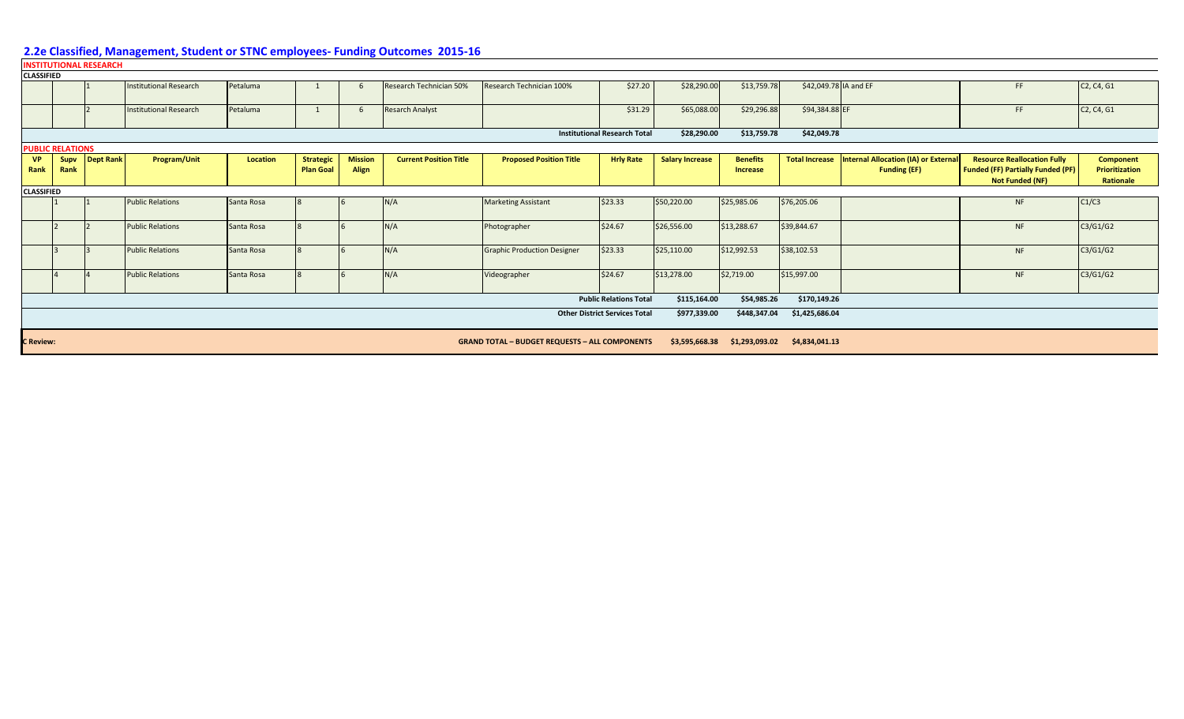|                   |                         | <b>INSTITUTIONAL RESEARCH</b> |                               |            |                                      |                                |                               |                                                       |                                      |                        |                                    |                       |                                                             |                                                                                                   |                                                  |
|-------------------|-------------------------|-------------------------------|-------------------------------|------------|--------------------------------------|--------------------------------|-------------------------------|-------------------------------------------------------|--------------------------------------|------------------------|------------------------------------|-----------------------|-------------------------------------------------------------|---------------------------------------------------------------------------------------------------|--------------------------------------------------|
| <b>CLASSIFIED</b> |                         |                               |                               |            |                                      |                                |                               |                                                       |                                      |                        |                                    |                       |                                                             |                                                                                                   |                                                  |
|                   |                         |                               | <b>Institutional Research</b> | Petaluma   |                                      | 6                              | Research Technician 50%       | Research Technician 100%                              | \$27.20                              | \$28,290.00            | \$13,759.78                        | \$42,049.78 IA and EF |                                                             | <b>FF</b>                                                                                         | C <sub>2</sub> , C <sub>4</sub> , G <sub>1</sub> |
|                   |                         |                               | <b>Institutional Research</b> | Petaluma   |                                      | 6                              | <b>Resarch Analyst</b>        |                                                       | \$31.29                              | \$65,088.00            | \$29,296.88                        | \$94,384.88 EF        |                                                             | <b>FF</b>                                                                                         | C <sub>2</sub> , C <sub>4</sub> , G <sub>1</sub> |
|                   |                         |                               |                               |            |                                      |                                |                               |                                                       | <b>Institutional Research Total</b>  | \$28,290.00            | \$13,759.78                        | \$42,049.78           |                                                             |                                                                                                   |                                                  |
|                   | <b>PUBLIC RELATIONS</b> |                               |                               |            |                                      |                                |                               |                                                       |                                      |                        |                                    |                       |                                                             |                                                                                                   |                                                  |
| <b>VP</b><br>Rank | Supv<br>Rank            | Dept Rank                     | Program/Unit                  | Location   | <b>Strategic</b><br><b>Plan Goal</b> | <b>Mission</b><br><b>Align</b> | <b>Current Position Title</b> | <b>Proposed Position Title</b>                        | <b>Hrly Rate</b>                     | <b>Salary Increase</b> | <b>Benefits</b><br><b>Increase</b> | <b>Total Increase</b> | Internal Allocation (IA) or External<br><b>Funding (EF)</b> | <b>Resource Reallocation Fully</b><br><b>Funded (FF) Partially Funded (PF)</b><br>Not Funded (NF) | <b>Component</b><br>Prioritization<br>Rationale  |
| <b>CLASSIFIED</b> |                         |                               |                               |            |                                      |                                |                               |                                                       |                                      |                        |                                    |                       |                                                             |                                                                                                   |                                                  |
|                   |                         |                               | <b>Public Relations</b>       | Santa Rosa |                                      |                                | N/A                           | <b>Marketing Assistant</b>                            | \$23.33                              | \$50,220.00            | \$25,985.06                        | \$76,205.06           |                                                             | <b>NF</b>                                                                                         | C1/C3                                            |
|                   |                         |                               | <b>Public Relations</b>       | Santa Rosa |                                      |                                | N/A                           | Photographer                                          | \$24.67                              | \$26,556.00            | \$13,288.67                        | \$39,844.67           |                                                             | <b>NF</b>                                                                                         | C3/G1/G2                                         |
|                   |                         |                               | <b>Public Relations</b>       | Santa Rosa |                                      |                                | N/A                           | <b>Graphic Production Designer</b>                    | \$23.33                              | \$25,110.00            | \$12,992.53                        | \$38,102.53           |                                                             | <b>NF</b>                                                                                         | C3/G1/G2                                         |
|                   |                         |                               | <b>Public Relations</b>       | Santa Rosa |                                      |                                | N/A                           | Videographer                                          | \$24.67                              | \$13,278.00            | \$2,719.00                         | \$15,997.00           |                                                             | <b>NF</b>                                                                                         | C3/G1/G2                                         |
|                   |                         |                               |                               |            |                                      |                                |                               |                                                       | <b>Public Relations Total</b>        | \$115,164.00           | \$54,985.26                        | \$170,149.26          |                                                             |                                                                                                   |                                                  |
|                   |                         |                               |                               |            |                                      |                                |                               |                                                       | <b>Other District Services Total</b> | \$977,339.00           | \$448,347.04                       | \$1,425,686.04        |                                                             |                                                                                                   |                                                  |
| <b>C</b> Review:  |                         |                               |                               |            |                                      |                                |                               | <b>GRAND TOTAL - BUDGET REQUESTS - ALL COMPONENTS</b> |                                      |                        | \$3,595,668.38 \$1,293,093.02      | \$4,834,041.13        |                                                             |                                                                                                   |                                                  |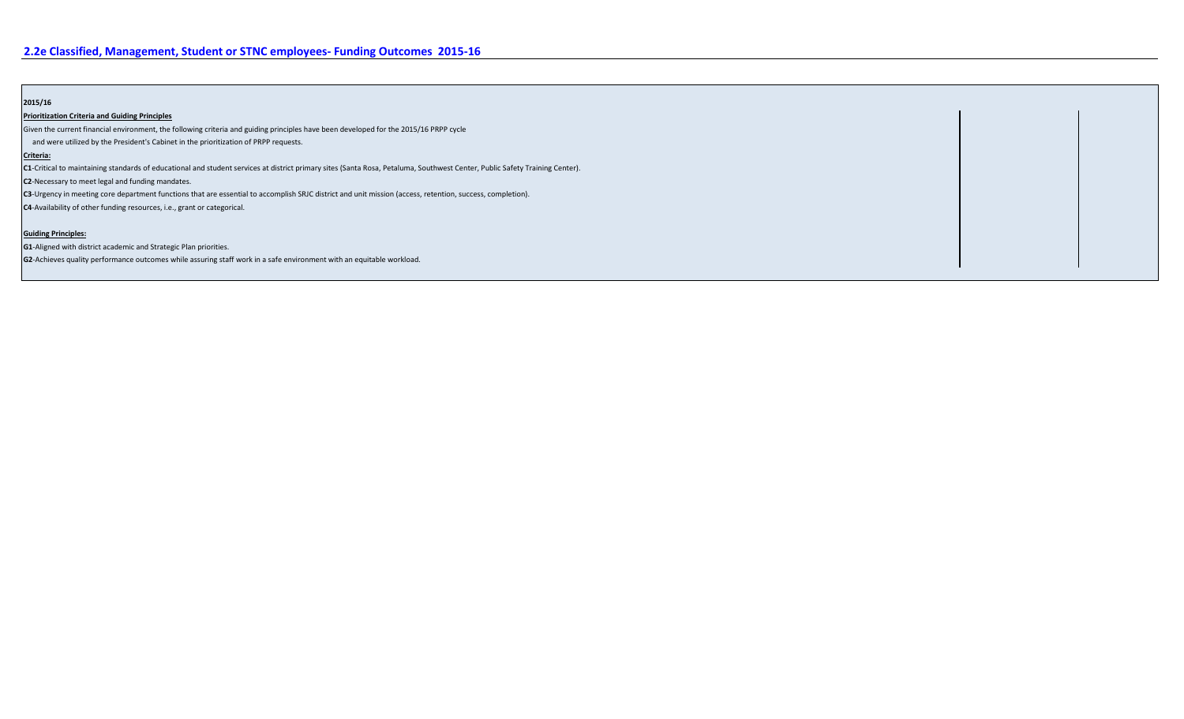#### **2015/16**

#### **Prioritization Criteria and Guiding Principles**

Given the current financial environment, the following criteria and guiding principles have been developed for the 2015/16 PRPP cycle

and were utilized by the President's Cabinet in the prioritization of PRPP requests.

#### **Criteria:**

**C1**-Critical to maintaining standards of educational and student services at district primary sites (Santa Rosa, Petaluma, Southwest Center, Public Safety Training Center).

**C2**-Necessary to meet legal and funding mandates.

**C3**-Urgency in meeting core department functions that are essential to accomplish SRJC district and unit mission (access, retention, success, completion).

**C4**-Availability of other funding resources, i.e., grant or categorical.

#### **Guiding Principles:**

**G1**-Aligned with district academic and Strategic Plan priorities.

**G2**-Achieves quality performance outcomes while assuring staff work in a safe environment with an equitable workload.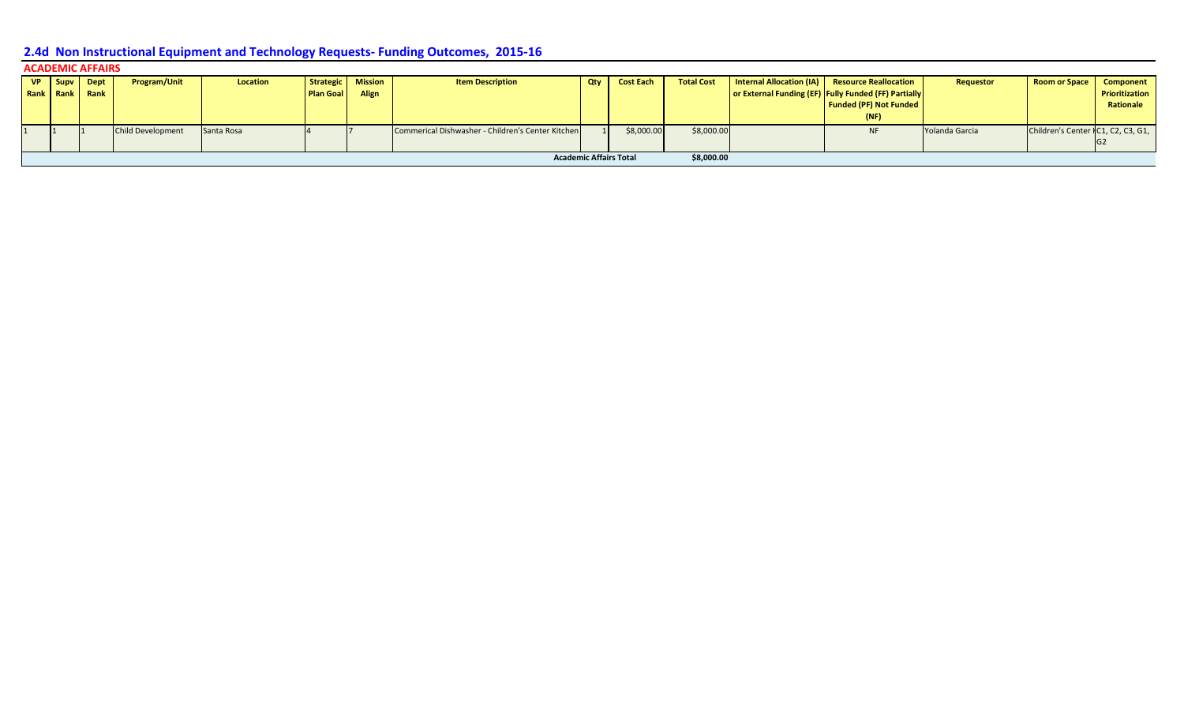| <b>ACADEMIC AFFAIRS</b> |      |                          |                 |           |                   |                                                   |     |                               |                   |  |                                                      |                |                                    |                  |  |
|-------------------------|------|--------------------------|-----------------|-----------|-------------------|---------------------------------------------------|-----|-------------------------------|-------------------|--|------------------------------------------------------|----------------|------------------------------------|------------------|--|
| VP   Supv   Dept        |      | <b>Program/Unit</b>      | <b>Location</b> |           | Strategic Mission | <b>Item Description</b>                           | Qty | <b>Cost Each</b>              | <b>Total Cost</b> |  | Internal Allocation (IA) Resource Reallocation       | Requestor      | <b>Room or Space</b>               | <b>Component</b> |  |
| <b>Rank Rank Rank</b>   |      |                          |                 | Plan Goal | Align             |                                                   |     |                               |                   |  | or External Funding (EF) Fully Funded (FF) Partially |                |                                    | Prioritization   |  |
|                         |      |                          |                 |           |                   |                                                   |     |                               |                   |  | <b>Funded (PF) Not Funded</b>                        |                |                                    | Rationale        |  |
|                         | (NF) |                          |                 |           |                   |                                                   |     |                               |                   |  |                                                      |                |                                    |                  |  |
|                         |      | <b>Child Development</b> | Santa Rosa      |           |                   | Commerical Dishwasher - Children's Center Kitchen |     | \$8,000.00                    | \$8,000.00        |  | <b>NF</b>                                            | Yolanda Garcia | Children's Center IC1, C2, C3, G1, |                  |  |
|                         |      |                          |                 |           |                   |                                                   |     |                               |                   |  |                                                      |                |                                    |                  |  |
|                         |      |                          |                 |           |                   |                                                   |     | <b>Academic Affairs Total</b> | \$8,000.00        |  |                                                      |                |                                    |                  |  |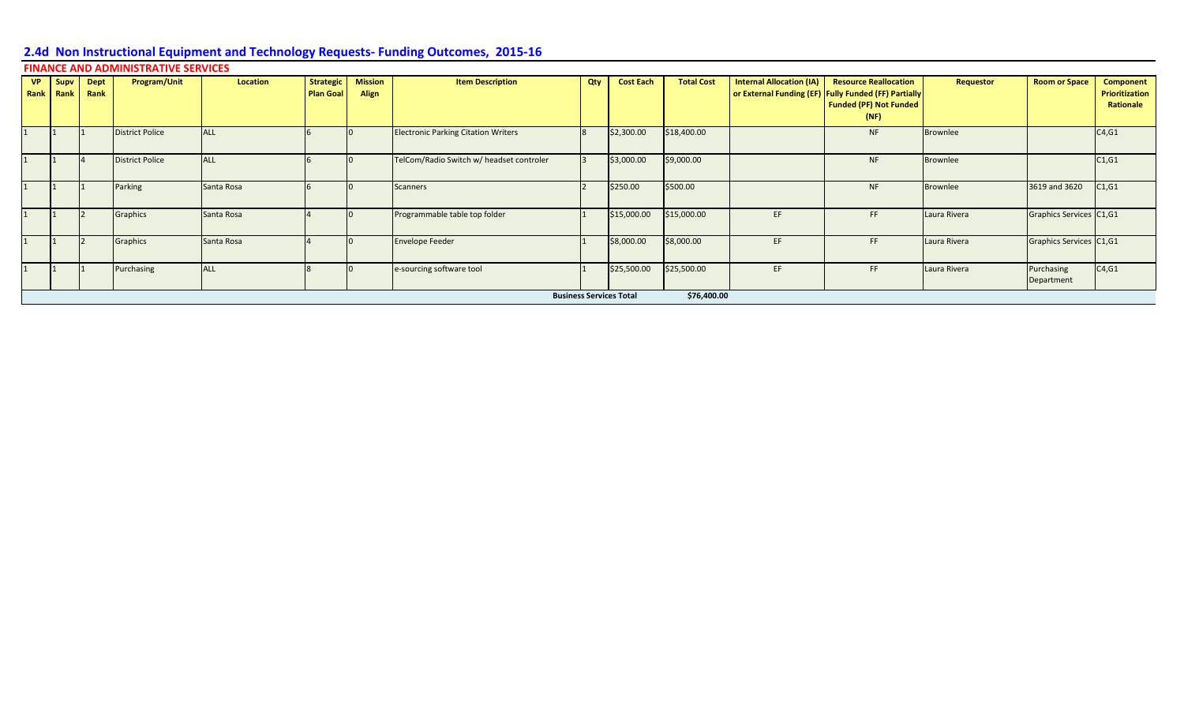|                          |              | <b>FINANCE AND ADMINISTRATIVE SERVICES</b> |            |                                      |                         |                                            |     |                                |                   |                                 |                                                                                                                               |                 |                          |                                                 |
|--------------------------|--------------|--------------------------------------------|------------|--------------------------------------|-------------------------|--------------------------------------------|-----|--------------------------------|-------------------|---------------------------------|-------------------------------------------------------------------------------------------------------------------------------|-----------------|--------------------------|-------------------------------------------------|
| VP   Supv  <br>Rank Rank | Dept<br>Rank | Program/Unit                               | Location   | <b>Strategic</b><br><b>Plan Goal</b> | <b>Mission</b><br>Align | <b>Item Description</b>                    | Qty | <b>Cost Each</b>               | <b>Total Cost</b> | <b>Internal Allocation (IA)</b> | <b>Resource Reallocation</b><br>or External Funding (EF) Fully Funded (FF) Partially<br><b>Funded (PF) Not Funded</b><br>(NF) | Requestor       | <b>Room or Space</b>     | <b>Component</b><br>Prioritization<br>Rationale |
|                          |              | <b>District Police</b>                     | <b>ALL</b> |                                      |                         | <b>Electronic Parking Citation Writers</b> |     | \$2,300.00                     | \$18,400.00       |                                 | <b>NF</b>                                                                                                                     | <b>Brownlee</b> |                          | C4, G1                                          |
|                          |              | <b>District Police</b>                     | <b>ALL</b> |                                      |                         | TelCom/Radio Switch w/ headset controler   |     | \$3,000.00                     | \$9,000.00        |                                 | <b>NF</b>                                                                                                                     | <b>Brownlee</b> |                          | C1, G1                                          |
|                          |              | Parking                                    | Santa Rosa |                                      |                         | Scanners                                   |     | \$250.00                       | \$500.00          |                                 | <b>NF</b>                                                                                                                     | <b>Brownlee</b> | 3619 and 3620            | C1, G1                                          |
|                          |              | Graphics                                   | Santa Rosa |                                      |                         | Programmable table top folder              |     | \$15,000.00                    | \$15,000.00       | EF.                             | FF                                                                                                                            | Laura Rivera    | Graphics Services C1,G1  |                                                 |
|                          |              | Graphics                                   | Santa Rosa |                                      |                         | <b>Envelope Feeder</b>                     |     | \$8,000.00                     | \$8,000.00        | EF.                             | FF.                                                                                                                           | Laura Rivera    | Graphics Services C1,G1  |                                                 |
|                          |              | Purchasing                                 | <b>ALL</b> |                                      |                         | e-sourcing software tool                   |     | \$25,500.00                    | \$25,500.00       | EF.                             | FF                                                                                                                            | Laura Rivera    | Purchasing<br>Department | C4, G1                                          |
|                          |              |                                            |            |                                      |                         |                                            |     | <b>Business Services Total</b> | \$76,400.00       |                                 |                                                                                                                               |                 |                          |                                                 |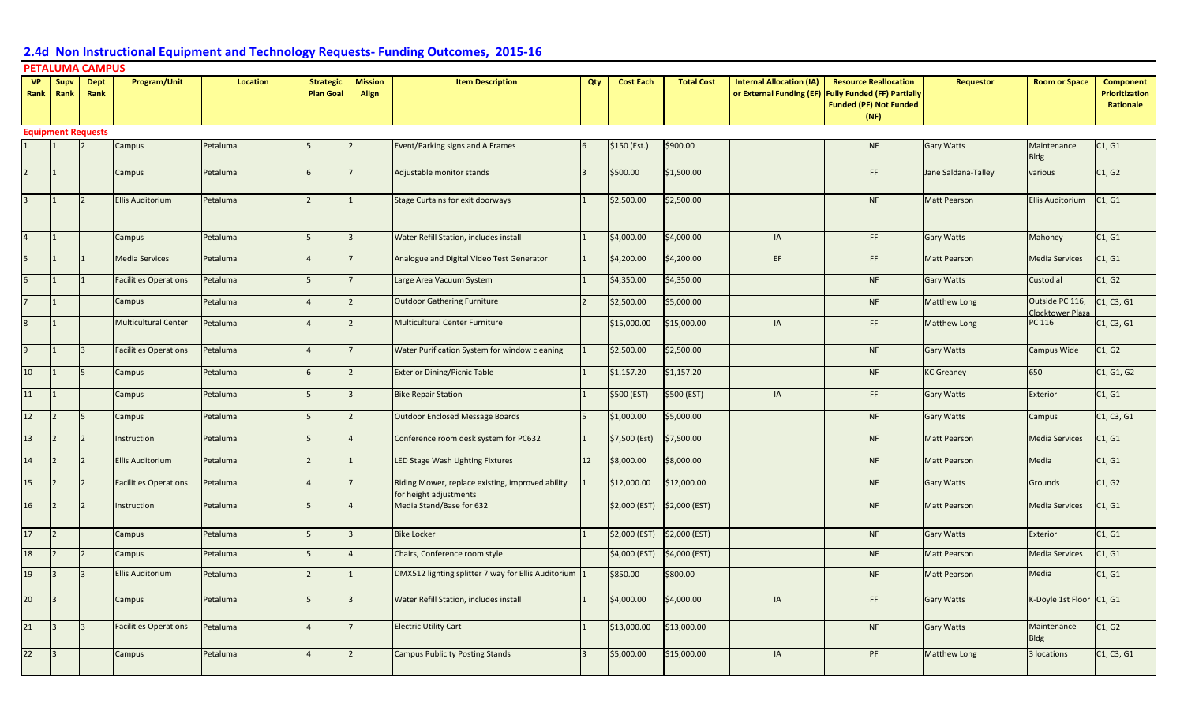#### **VP Rank Supv Rank Dept Rank Program/Unit Location Strategic Plan Goal Mission Align Item Description Qty Cost Each Total Cost Internal Allocation (IA) or External Funding (EF) Fully Funded (FF) Partially Resource Reallocation Funded (PF) Not Funded (NF) Requestor Room or Space Component Prioritization Rationale Equipment Requests** Campus Petaluma 5 3 2 Event/Parking signs and A Frames 6 \$150 (Est.) \$900.00 American Campus NF Gary Watts Maintenance Bldg C1, G1 2 1 Campus Petaluma 6 7 Adjustable monitor stands 3 \$500.00 \$1,500.00 FT Jane Saldana-Talley various C1, G2 3 1 2 Ellis Auditorium Petaluma 1 2 1 Stage Curtains for exit doorways 1 \$2,500.00 \$2,500.00 ASD 1 MF Matt Pearson Ellis Auditorium C1, G1 Campus Petaluma 5 3 Water Refill Station, includes install 1 \$4,000.00 \$4,000.00 IA IA FF Gary Watts Mahoney C1, G1 Media Services Petaluma 4 7 Analogue and Digital Video Test Generator 1 \$4,200.00 \$4,200.00 EF FMatt Pearson Media Services C1, G1 6 1 1 Facilities Operations Petaluma 5 7 Large Area Vacuum System 1 \$4,350.00 \$4,350.00 NF Gary Watts Custodial C1, G2 7 1 Campus Petaluma 4 2 Outdoor Gathering Furniture 2 \$2,500.00 \$5,000.00 NF Matthew Long Outside PC 116, Clocktower Plaza<br>PC 116 C1, C3, G1 8 1 | Multicultural Center Petaluma |4 |2 |Multicultural Center Furniture | \$15,000.00 |\$15,000.00 | IA FF |Matthew Long PC 116 |C1, C3, G1 Facilities Operations Petaluma 14 7 Water Purification System for window cleaning 1 \$2,500.00 \$2,500.00 NF Gary Watts Campus Wide C1, G2 10 1 5 Campus Petaluma 6 2 Exterior Dining/Picnic Table 1 \$1,157.20 \$1,157.20 AMP NF KC Greaney 650 C1, G1, G2 11 | Campus Petaluma | 5 | 3 | Bike Repair Station 1 | \$500 (EST) | IA | FF | Gary Watts | Exterior | C1, G1 12 S Campus Petaluma 5 2 2 Outdoor Enclosed Message Boards 5 \$1,000.00 \$5,000.00 NF Gary Watts Campus C1, C3, G1 13 2 2 Instruction Petaluma 5 4 Conference room desk system for PC632 1 \$7,500 (Est) \$7,500.00 NF Matt Pearson Media Services C1, G1 14 2 2 Ellis Auditorium Petaluma 2 1 LED Stage Wash Lighting Fixtures 12 \$8,000.00 \$8,000.00 NS 201 NF Matt Pearson Media C1, G1 15 2 2 Facilities Operations Petaluma 14 17 Riding Mower, replace existing, improved ability for height adjustments 1 \$12,000.00 \$12,000.00 | NF Gary Watts Grounds C1, G2 16 2 2 Instruction Petaluma 5 5 4 Media Stand/Base for 632 32,000 (EST) \$2,000 (EST) Nearly Pearson Media Services C1, G1 17 2 Campus Petaluma 5 3 Bike Locker 1 1 \$2,000 (EST) \$2,000 (EST) NF Gary Watts Exterior C1, G1 18 2 Campus Petaluma 5 4 Chairs, Conference room style 1 \$4,000 (EST) \$4,000 (EST) NF Matt Pearson Media Services C1, G1 19 3 3 Ellis Auditorium Petaluma 2 1 DMX512 lighting splitter 7 way for Ellis Auditorium 1 \$850.00 \$800.00 NF Matt Pearson Media C1, G1 20 3 Campus Petaluma 5 3 3 Water Refill Station, includes install 1 \$4,000.00 \$4,000.00 IA FF Gary Watts K-Doyle 1st Floor C1, G1 21 3 |3 Facilities Operations Petaluma 14 |7 Electric Utility Cart 1 | \$13,000.00 \$13,000.00 | NF Gary Watts Maintenance Bldg C1, G2 22 3 | Campus |Petaluma | 4 |2 |Campus Publicity Posting Stands | 3 |\$5,000.00 | S15,000.00 | IA PF |Matthew Long |3 locations |C1, C3, G1 **PETALUMA CAMPUS**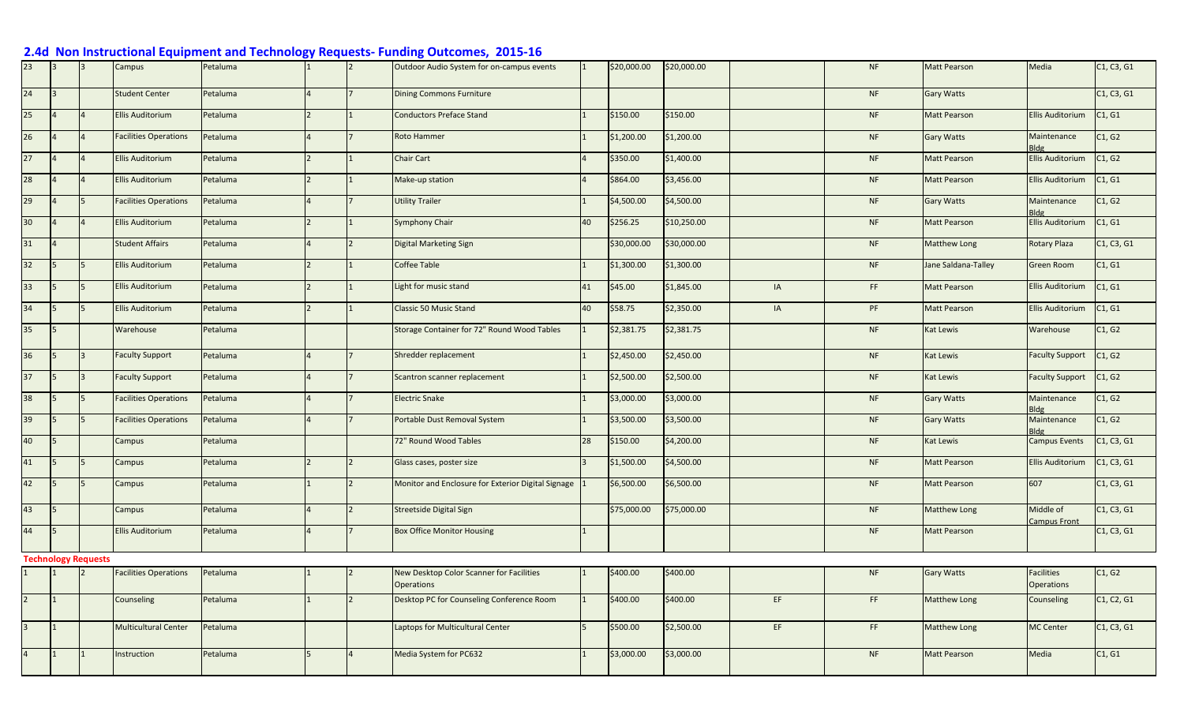## Campus Petaluma 1 2 Outdoor Audio System for on-campus events 1 \$20,000.00 \$20,000.00 NF Matt Pearson Media C1, C3, G1 24 3 Student Center Petaluma 4 4 7 Dining Commons Furniture NF Gary Watts NF Gary Watts (C1, C3, G1 25 4 4 Ellis Auditorium Petaluma 2 1 Conductors Preface Stand 1 \$150.00 \$150.00 NF Matt Pearson Ellis Auditorium C1, G1 26 4 |4 Facilities Operations Petaluma 14 |7 Roto Hammer 1 1 \$1,200.00 \$1,200.00 | 1 NF Gary Watts Maintenance **Ellis Auditorium** C1, G2 27 4 |4 |Ellis Auditorium |Petaluma |2 |1 |Chair Cart |4 |\$350.00 |\$1,400.00 | MF |Matt Pearson | Ellis Auditorium |C1, G2 28 4 4 Ellis Auditorium Petaluma 2 1 Make-up station 4 \$864.00 \$3,456.00 NF Matt Pearson Ellis Auditorium C1, G1 29 4 S Facilities Operations Petaluma 14 7 Utility Trailer 1 1 \$4,500.00 \$4,500.00 \$4,500.00 NF Gary Watts Maintenance Bldg<br>Ellis Auditorium C1, G2 30 4 4 Ellis Auditorium Petaluma 2 1 Symphony Chair 40 \$256.25 \$10,250.00 NF Matt Pearson Ellis Auditorium C1, G1 31 4 Student Affairs Petaluma 4 2 Digital Marketing Sign 1 \$30,000.00 \$30,000.00 NF Matthew Long Rotary Plaza C1, C3, G1 32 S 5 Ellis Auditorium Petaluma 2 | 2 |1 Coffee Table 1 | \$1,300.00 \$1,300.00 | NF Jane Saldana-Talley Green Room C1, G1 33 S S Ellis Auditorium Petaluma – 2 1 Light for music stand – 41 \$45.00 \$1,845.00 I IA FF Matt Pearson Ellis Auditorium C1, G1 34 5 5 Ellis Auditorium Petaluma 2 1 Classic 50 Music Stand 40 \$58.75 \$2,350.00 IA PF Matt Pearson Ellis Auditorium C1, G1 35 S Warehouse Petaluma | | | | Storage Container for 72" Round Wood Tables |1 | \$2,381.75 | S2,381.75 | NF Kat Lewis Warehouse C1, G2 36 S 3 Faculty Support Petaluma 4 7 Shredder replacement 1 \$2,450.00 \$2,450.00 ASD NF Kat Lewis Faculty Support C1, G2 37 Seculty Support Petaluma 14 7 Scantron scanner replacement 1 \$2,500.00 \$2,500.00 AT NF Kat Lewis Faculty Support C1, G2 38 S S Facilities Operations Petaluma 14 |7 Electric Snake 1 1 \$3,000.00 \$3,000.00 | NF Gary Watts Maintenance Maintenance C1, G2 39 S S Facilities Operations Petaluma 14 7 Portable Dust Removal System 1 \$3,500.00 \$3,500.00 New New York Gary Watts Maintenance Bldg<br>Campus Events C1, G2 40 S | Campus Petaluma | | 22" Round Wood Tables | 28 \$150.00 \$4,200.00 | NF Kat Lewis Campus Events C1, C3, G1 41 S S Campus Petaluma 2 2 2 Glass cases, poster size 3 \$1,500.00 \$4,500.00 ASA,500.00 NF Matt Pearson Ellis Auditorium C1, C3, G1 42 S S Campus Petaluma 1 2 Monitor and Enclosure for Exterior Digital Signage 1 \$6,500.00 \$6,500.00 NF Matt Pearson 607 C1, C3, G1 43 Streetside Digital Streetside Digital Sign 1996 (\$75,000.00 \$75,000.00 NP Matthew Long Middle of Middle of Middle of Middle of Middle of Middle of Middle of Middle of Middle of Streetside Digital Sign 1997 (STS,000.00 N ampus Front C1, C3, G1 44 5 Ellis Auditorium Petaluma 4 7 Box Office Monitor Housing 1 NF Matt Pearson C1, C3, G1 **Technology Requests** Facilities Operations Petaluma 1 1 2 New Desktop Color Scanner for Facilities **Operations** 1 \$400.00 \$400.00 | NF Gary Watts Facilities **Operations** C1, G2 2 1 Counseling Petaluma 1 2 Desktop PC for Counseling Conference Room 1 \$400.00 \$400.00 EF FF Matthew Long Counseling C1, C2, G1 3 1 Multicultural Center Petaluma Laptops for Multicultural Center 5 \$500.00 \$2,500.00 EF FF Matthew Long MC Center C1, C3, G1 4 1 1 Instruction Petaluma 5 4 Media System for PC632 1 \$3,000.00 \$3,000.00 NF Matt Pearson Media C1, G1

### **2.4d Non Instructional Equipment and Technology Requests- Funding Outcomes, 2015-16**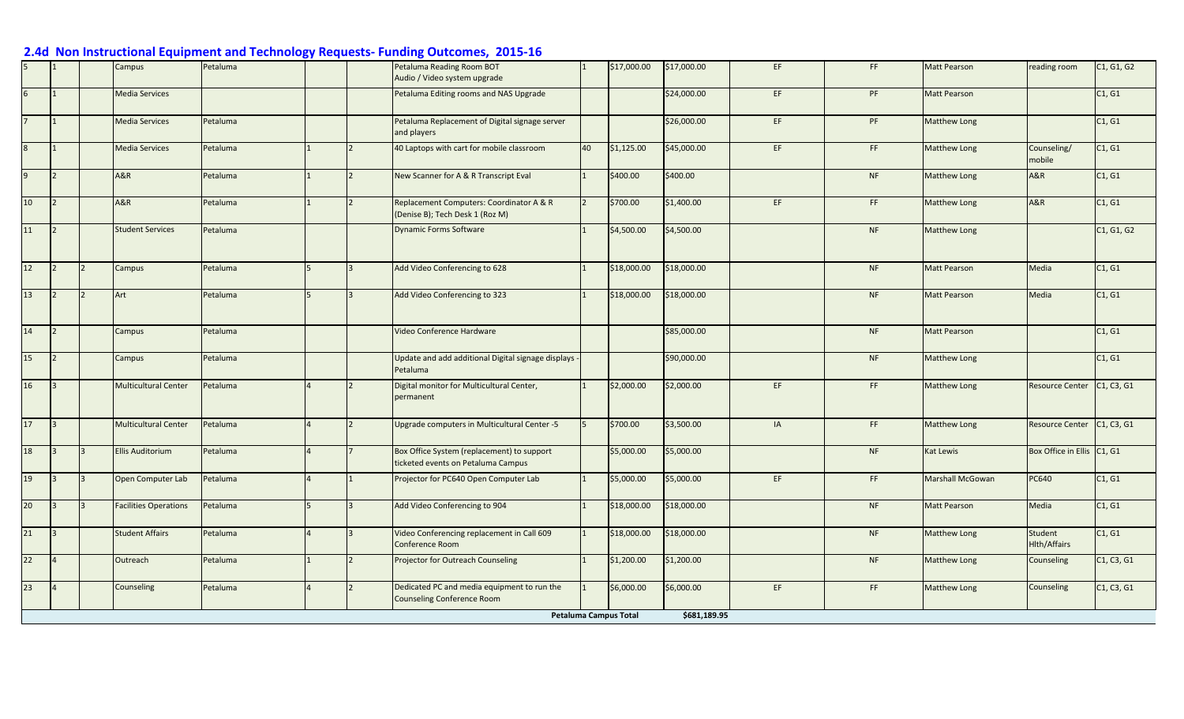|              |                      |                | Campus                       | Petaluma |   | Petaluma Reading Room BOT<br>Audio / Video system upgrade                        |                | \$17,000.00                  | \$17,000.00  | EF. | FF        | <b>Matt Pearson</b> | reading room                   | C1, G1, G2 |
|--------------|----------------------|----------------|------------------------------|----------|---|----------------------------------------------------------------------------------|----------------|------------------------------|--------------|-----|-----------|---------------------|--------------------------------|------------|
| 6            |                      |                | <b>Media Services</b>        |          |   | Petaluma Editing rooms and NAS Upgrade                                           |                |                              | \$24,000.00  | EF. | PF        | <b>Matt Pearson</b> |                                | C1, G1     |
|              |                      |                | <b>Media Services</b>        | Petaluma |   | Petaluma Replacement of Digital signage server<br>and players                    |                |                              | \$26,000.00  | EF  | PF        | <b>Matthew Long</b> |                                | C1, G1     |
| 8            |                      |                | <b>Media Services</b>        | Petaluma |   | 40 Laptops with cart for mobile classroom                                        | 40             | \$1,125.00                   | \$45,000.00  | EF. | FF.       | <b>Matthew Long</b> | Counseling/<br>mobile          | C1, G1     |
| $\mathsf{q}$ |                      |                | <b>A&amp;R</b>               | Petaluma |   | New Scanner for A & R Transcript Eval                                            |                | \$400.00                     | \$400.00     |     | NF        | Matthew Long        | A&R                            | C1, G1     |
| 10           | $\vert$ <sub>2</sub> |                | A&R                          | Petaluma |   | Replacement Computers: Coordinator A & R<br>(Denise B); Tech Desk 1 (Roz M)      | $\overline{2}$ | \$700.00                     | \$1,400.00   | EF  | FF        | <b>Matthew Long</b> | A&R                            | C1, G1     |
| 11           | $\overline{2}$       |                | <b>Student Services</b>      | Petaluma |   | <b>Dynamic Forms Software</b>                                                    |                | \$4,500.00                   | \$4,500.00   |     | <b>NF</b> | Matthew Long        |                                | C1, G1, G2 |
| 12           | $\overline{2}$       | $\overline{2}$ | Campus                       | Petaluma | 5 | Add Video Conferencing to 628                                                    |                | \$18,000.00                  | \$18,000.00  |     | NF        | <b>Matt Pearson</b> | Media                          | C1, G1     |
| 13           |                      |                | Art                          | Petaluma |   | Add Video Conferencing to 323                                                    |                | \$18,000.00                  | \$18,000.00  |     | <b>NF</b> | <b>Matt Pearson</b> | Media                          | C1, G1     |
| 14           | $\overline{2}$       |                | Campus                       | Petaluma |   | Video Conference Hardware                                                        |                |                              | \$85,000.00  |     | <b>NF</b> | <b>Matt Pearson</b> |                                | C1, G1     |
| 15           | $\mathsf{I}$         |                | Campus                       | Petaluma |   | Update and add additional Digital signage displays<br>Petaluma                   |                |                              | \$90,000.00  |     | NF        | <b>Matthew Long</b> |                                | C1, G1     |
| 16           | $\vert$ 3            |                | <b>Multicultural Center</b>  | Petaluma |   | Digital monitor for Multicultural Center,<br>permanent                           |                | \$2,000.00                   | \$2,000.00   | EF  | FF        | <b>Matthew Long</b> | <b>Resource Center</b>         | C1, C3, G1 |
| 17           | $\vert$ <sub>3</sub> |                | <b>Multicultural Center</b>  | Petaluma |   | Upgrade computers in Multicultural Center -5                                     | 15             | \$700.00                     | \$3,500.00   | IA  | FF.       | Matthew Long        | <b>Resource Center</b>         | C1, C3, G1 |
| 18           | $\overline{3}$       | $\mathsf{R}$   | <b>Ellis Auditorium</b>      | Petaluma |   | Box Office System (replacement) to support<br>ticketed events on Petaluma Campus |                | \$5,000.00                   | \$5,000.00   |     | <b>NF</b> | Kat Lewis           | Box Office in Ellis C1, G1     |            |
| 19           | $ 3\rangle$          |                | Open Computer Lab            | Petaluma |   | Projector for PC640 Open Computer Lab                                            |                | \$5,000.00                   | \$5,000.00   | EF  | FF.       | Marshall McGowan    | PC640                          | C1, G1     |
| 20           | $\overline{3}$       | IЗ             | <b>Facilities Operations</b> | Petaluma |   | Add Video Conferencing to 904                                                    |                | \$18,000.00                  | \$18,000.00  |     | <b>NF</b> | <b>Matt Pearson</b> | Media                          | C1, G1     |
| 21           | $\overline{13}$      |                | <b>Student Affairs</b>       | Petaluma |   | Video Conferencing replacement in Call 609<br>Conference Room                    |                | \$18,000.00                  | \$18,000.00  |     | <b>NF</b> | Matthew Long        | Student<br><b>Hlth/Affairs</b> | C1, G1     |
| 22           |                      |                | Outreach                     | Petaluma |   | Projector for Outreach Counseling                                                |                | \$1,200.00                   | \$1,200.00   |     | <b>NF</b> | <b>Matthew Long</b> | Counseling                     | C1, C3, G1 |
| 23           |                      |                | Counseling                   | Petaluma |   | Dedicated PC and media equipment to run the<br><b>Counseling Conference Room</b> |                | \$6,000.00                   | \$6,000.00   | EF. | FF        | <b>Matthew Long</b> | Counseling                     | C1, C3, G1 |
|              |                      |                |                              |          |   |                                                                                  |                | <b>Petaluma Campus Total</b> | \$681,189.95 |     |           |                     |                                |            |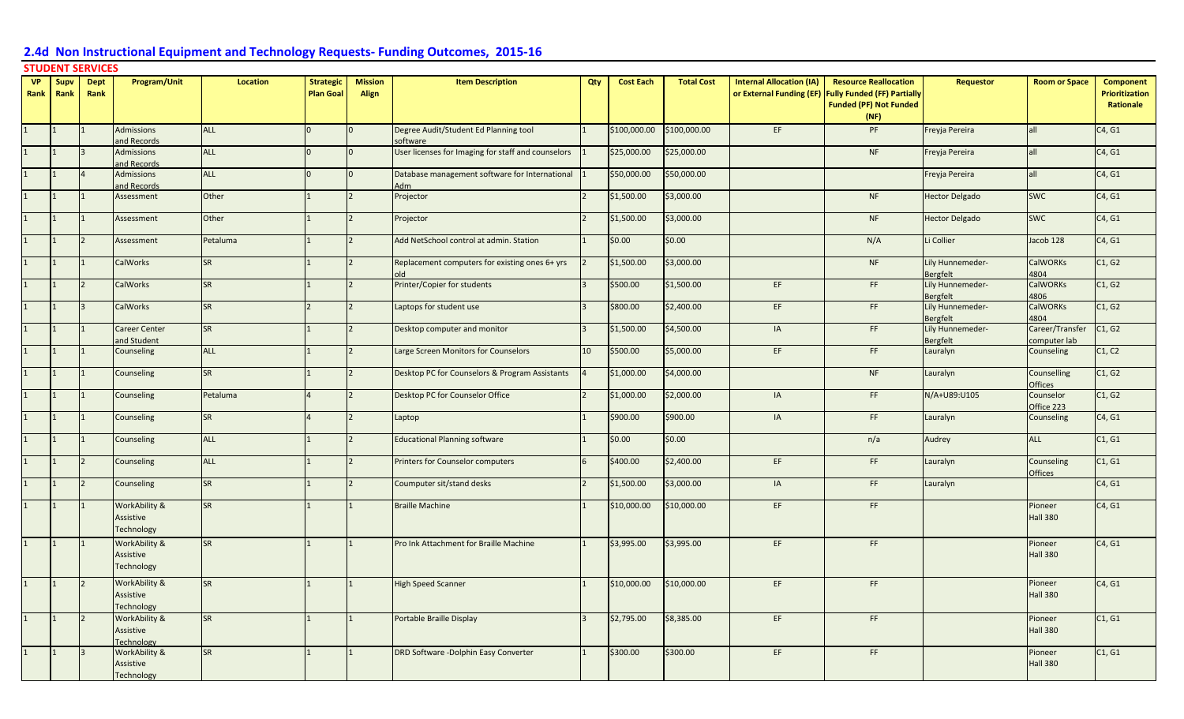### **STUDENT SERVICES**

| <b>VP</b> | Supv         | <b>Dept</b> | Program/Unit                                    | <b>Location</b> | <b>Strategic</b> | <b>Mission</b> | <b>Item Description</b>                            | Qty            | <b>Cost Each</b> | <b>Total Cost</b> | <b>Internal Allocation (IA)</b> | <b>Resource Reallocation</b>                         | Requestor                           | <b>Room or Space</b>         | <b>Component</b>      |
|-----------|--------------|-------------|-------------------------------------------------|-----------------|------------------|----------------|----------------------------------------------------|----------------|------------------|-------------------|---------------------------------|------------------------------------------------------|-------------------------------------|------------------------------|-----------------------|
| Rank      | Rank         | Rank        |                                                 |                 | <b>Plan Goal</b> | <b>Align</b>   |                                                    |                |                  |                   |                                 | or External Funding (EF) Fully Funded (FF) Partially |                                     |                              | <b>Prioritization</b> |
|           |              |             |                                                 |                 |                  |                |                                                    |                |                  |                   |                                 | <b>Funded (PF) Not Funded</b>                        |                                     |                              | Rationale             |
|           |              |             | <b>Admissions</b>                               | <b>ALL</b>      | n                |                | Degree Audit/Student Ed Planning tool              |                | \$100,000.00     | \$100,000.00      | EF                              | (NF)<br>PF                                           |                                     | all                          |                       |
|           |              |             | and Records                                     |                 |                  |                | software                                           |                |                  |                   |                                 |                                                      | Freyja Pereira                      |                              | C4, G1                |
|           |              |             | <b>Admissions</b>                               | <b>ALL</b>      |                  |                | User licenses for Imaging for staff and counselors |                | \$25,000.00      | \$25,000.00       |                                 | <b>NF</b>                                            | Freyja Pereira                      | all                          | C4, G1                |
|           |              |             | and Records<br><b>Admissions</b>                | <b>ALL</b>      |                  |                | Database management software for International     |                | \$50,000.00      | \$50,000.00       |                                 |                                                      | Freyja Pereira                      | all                          | C4, G1                |
|           |              |             | and Records                                     |                 |                  |                | Adm                                                |                |                  |                   |                                 |                                                      |                                     |                              |                       |
|           |              |             | Assessment                                      | Other           |                  |                | Projector                                          |                | \$1,500.00       | \$3,000.00        |                                 | NF                                                   | <b>Hector Delgado</b>               | <b>SWC</b>                   | C4, G1                |
|           |              |             | Assessment                                      | Other           |                  |                | Projector                                          | $\overline{2}$ | \$1,500.00       | \$3,000.00        |                                 | <b>NF</b>                                            | <b>Hector Delgado</b>               | <b>SWC</b>                   | C4, G1                |
|           |              |             | Assessment                                      | Petaluma        |                  |                | Add NetSchool control at admin. Station            |                | \$0.00           | \$0.00            |                                 | N/A                                                  | Li Collier                          | Jacob 128                    | C4, G1                |
|           |              |             | <b>CalWorks</b>                                 | <b>SR</b>       |                  |                | Replacement computers for existing ones 6+ yrs     |                | \$1,500.00       | \$3,000.00        |                                 | <b>NF</b>                                            | Lily Hunnemeder-<br><b>Bergfelt</b> | <b>CalWORKs</b><br>4804      | C1, G2                |
|           |              |             | <b>CalWorks</b>                                 | <b>SR</b>       |                  |                | Printer/Copier for students                        |                | \$500.00         | \$1,500.00        | EF                              | FF.                                                  | Lily Hunnemeder-                    | <b>CalWORKs</b>              | C1, G2                |
|           |              |             |                                                 |                 |                  |                |                                                    |                |                  |                   |                                 |                                                      | <b>Bergfelt</b>                     | 4806                         |                       |
|           |              |             | <b>CalWorks</b>                                 | <b>SR</b>       |                  |                | Laptops for student use                            |                | \$800.00         | \$2,400.00        | EF                              | FF.                                                  | Lily Hunnemeder-<br>Bergfelt        | <b>CalWORKs</b><br>4804      | C1, G2                |
|           |              |             | <b>Career Center</b>                            | <b>SR</b>       |                  |                | Desktop computer and monitor                       | 3              | \$1,500.00       | \$4,500.00        | IA                              | FF.                                                  | Lily Hunnemeder-                    | Career/Transfer              | C1, G2                |
|           |              |             | and Student<br>Counseling                       | <b>ALL</b>      |                  |                | Large Screen Monitors for Counselors               | 10             | \$500.00         | \$5,000.00        | EF                              | FF.                                                  | ergfelt<br>Lauralyn                 | computer lab<br>Counseling   | C1, C2                |
|           |              |             |                                                 |                 |                  |                |                                                    |                |                  |                   |                                 |                                                      |                                     |                              |                       |
|           |              |             | Counseling                                      | <b>SR</b>       |                  |                | Desktop PC for Counselors & Program Assistants     |                | \$1,000.00       | \$4,000.00        |                                 | <b>NF</b>                                            | Lauralyn                            | Counselling<br>Offices       | C1, G2                |
|           |              |             | Counseling                                      | Petaluma        |                  |                | Desktop PC for Counselor Office                    | $\overline{2}$ | \$1,000.00       | \$2,000.00        | IA                              | FF.                                                  | N/A+U89:U105                        | Counselor<br>Office 223      | C1, G2                |
|           |              |             | Counseling                                      | SR              |                  |                | Laptop                                             |                | \$900.00         | \$900.00          | IA                              | FF.                                                  | Lauralyn                            | Counseling                   | C4, G1                |
|           |              |             | Counseling                                      | <b>ALL</b>      |                  |                | <b>Educational Planning software</b>               |                | \$0.00           | \$0.00            |                                 | n/a                                                  | Audrey                              | <b>ALL</b>                   | C1, G1                |
|           |              |             | Counseling                                      | <b>ALL</b>      |                  |                | Printers for Counselor computers                   |                | \$400.00         | \$2,400.00        | EF                              | FF.                                                  | Lauralyn                            | Counseling<br><b>Offices</b> | C1, G1                |
|           |              |             | Counseling                                      | <b>SR</b>       |                  |                | Coumputer sit/stand desks                          | $\overline{2}$ | \$1,500.00       | \$3,000.00        | IA                              | FF.                                                  | Lauralyn                            |                              | C4, G1                |
|           |              |             | WorkAbility &<br>Assistive<br><b>Technology</b> | <b>SR</b>       |                  |                | <b>Braille Machine</b>                             |                | \$10,000.00      | \$10,000.00       | EF                              | FF.                                                  |                                     | Pioneer<br><b>Hall 380</b>   | C4, G1                |
|           |              |             | WorkAbility &<br>Assistive<br>Technology        | <b>SR</b>       |                  |                | Pro Ink Attachment for Braille Machine             |                | \$3,995.00       | \$3,995.00        | EF                              | FF                                                   |                                     | Pioneer<br><b>Hall 380</b>   | C4, G1                |
|           |              |             | WorkAbility &<br>Assistive<br>Technology        | <b>SR</b>       |                  |                | <b>High Speed Scanner</b>                          |                | \$10,000.00      | \$10,000.00       | EF                              | FF.                                                  |                                     | Pioneer<br><b>Hall 380</b>   | C4, G1                |
|           | $\mathbf{1}$ |             | WorkAbility &<br>Assistive<br>Technology        | <b>SR</b>       |                  |                | Portable Braille Display                           | <b>3</b>       | \$2,795.00       | \$8,385.00        | EF                              | FF                                                   |                                     | Pioneer<br><b>Hall 380</b>   | C1, G1                |
|           |              |             | WorkAbility &<br>Assistive<br><b>Technology</b> | <b>SR</b>       |                  |                | DRD Software -Dolphin Easy Converter               |                | \$300.00         | \$300.00          | EF                              | FF                                                   |                                     | Pioneer<br><b>Hall 380</b>   | C1, G1                |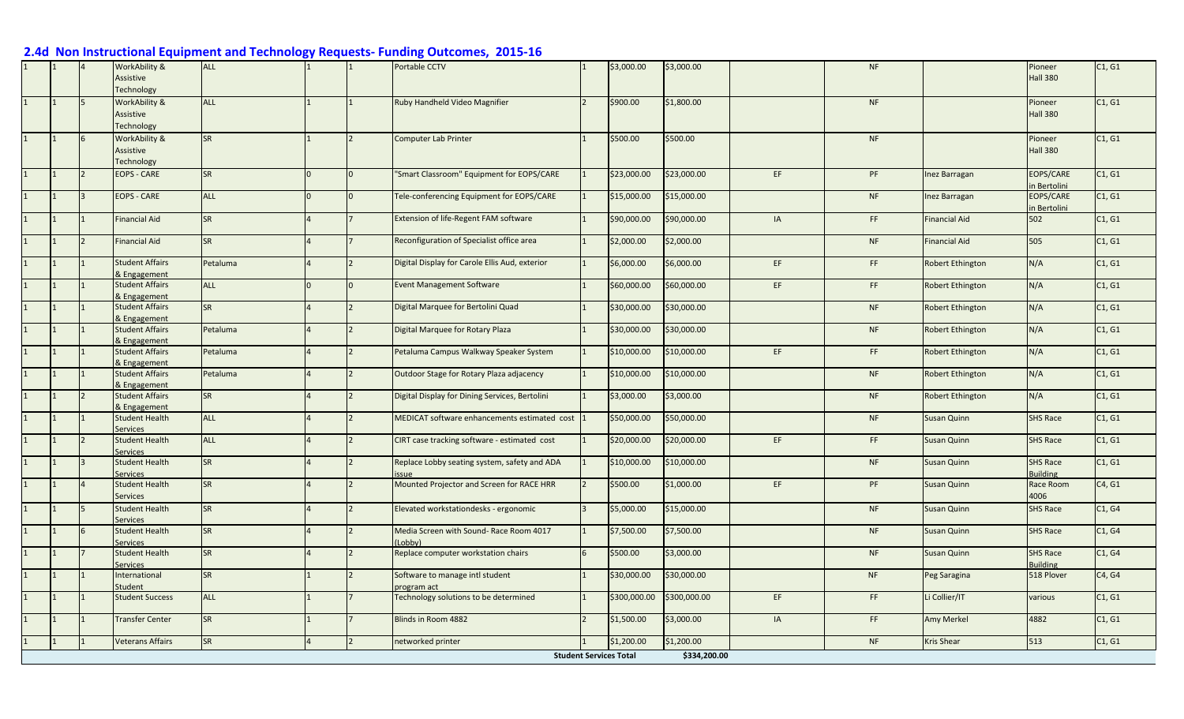|  | WorkAbility &                            | <b>ALL</b> |          |                          | Portable CCTV                                        | \$3,000.00                    | \$3,000.00   |     | NF        |                         | Pioneer                            | C1, G1 |
|--|------------------------------------------|------------|----------|--------------------------|------------------------------------------------------|-------------------------------|--------------|-----|-----------|-------------------------|------------------------------------|--------|
|  | Assistive<br>Technology                  |            |          |                          |                                                      |                               |              |     |           |                         | <b>Hall 380</b>                    |        |
|  | WorkAbility &                            | <b>ALL</b> |          |                          | Ruby Handheld Video Magnifier                        | \$900.00                      | \$1,800.00   |     | <b>NF</b> |                         | Pioneer                            | C1, G1 |
|  | Assistive<br>Technology                  |            |          |                          |                                                      |                               |              |     |           |                         | <b>Hall 380</b>                    |        |
|  | WorkAbility &                            | <b>SR</b>  |          |                          | <b>Computer Lab Printer</b>                          | \$500.00                      | \$500.00     |     | <b>NF</b> |                         | Pioneer                            | C1, G1 |
|  | Assistive<br>Technology                  |            |          |                          |                                                      |                               |              |     |           |                         | <b>Hall 380</b>                    |        |
|  | <b>EOPS - CARE</b>                       | <b>SR</b>  | $\Omega$ | $\overline{0}$           | 'Smart Classroom" Equipment for EOPS/CARE            | \$23,000.00                   | \$23,000.00  | EF  | PF        | Inez Barragan           | <b>EOPS/CARE</b><br>in Bertolini   | C1, G1 |
|  | <b>EOPS - CARE</b>                       | <b>ALL</b> | $\Omega$ | l <sub>0</sub>           | Tele-conferencing Equipment for EOPS/CARE            | \$15,000.00                   | \$15,000.00  |     | <b>NF</b> | Inez Barragan           | <b>EOPS/CARE</b><br>in Bertolini   | C1, G1 |
|  | <b>Financial Aid</b>                     | <b>SR</b>  |          |                          | Extension of life-Regent FAM software                | \$90,000.00                   | \$90,000.00  | IA  | FF        | <b>Financial Aid</b>    | 502                                | C1, G1 |
|  | <b>Financial Aid</b>                     | <b>SR</b>  |          |                          | Reconfiguration of Specialist office area            | \$2,000.00                    | \$2,000.00   |     | <b>NF</b> | <b>Financial Aid</b>    | 505                                | C1, G1 |
|  | <b>Student Affairs</b><br>& Engagement   | Petaluma   |          |                          | Digital Display for Carole Ellis Aud, exterior       | \$6,000.00                    | \$6,000.00   | EF. | FF        | Robert Ethington        | N/A                                | C1, G1 |
|  | <b>Student Affairs</b><br>& Engagement   | <b>ALL</b> | $\Omega$ | $\overline{0}$           | <b>Event Management Software</b>                     | \$60,000.00                   | \$60,000.00  | EF. | FF.       | <b>Robert Ethington</b> | N/A                                | C1, G1 |
|  | <b>Student Affairs</b><br>& Engagement   | <b>SR</b>  |          |                          | Digital Marquee for Bertolini Quad                   | \$30,000.00                   | \$30,000.00  |     | <b>NF</b> | Robert Ethington        | N/A                                | C1, G1 |
|  | <b>Student Affairs</b><br>& Engagement   | Petaluma   |          |                          | Digital Marquee for Rotary Plaza                     | \$30,000.00                   | \$30,000.00  |     | NF        | <b>Robert Ethington</b> | N/A                                | C1, G1 |
|  | <b>Student Affairs</b><br>& Engagement   | Petaluma   |          | $\overline{2}$           | Petaluma Campus Walkway Speaker System               | \$10,000.00                   | \$10,000.00  | EF  | FF        | Robert Ethington        | N/A                                | C1, G1 |
|  | <b>Student Affairs</b><br>& Engagement   | Petaluma   |          | $\overline{2}$           | Outdoor Stage for Rotary Plaza adjacency             | \$10,000.00                   | \$10,000.00  |     | <b>NF</b> | Robert Ethington        | N/A                                | C1, G1 |
|  | <b>Student Affairs</b><br>& Engagement   | <b>SR</b>  |          |                          | Digital Display for Dining Services, Bertolini       | \$3,000.00                    | \$3,000.00   |     | <b>NF</b> | Robert Ethington        | N/A                                | C1, G1 |
|  | <b>Student Health</b><br><b>Services</b> | <b>ALL</b> |          |                          | MEDICAT software enhancements estimated cost 1       | \$50,000.00                   | \$50,000.00  |     | <b>NF</b> | Susan Quinn             | <b>SHS Race</b>                    | C1, G1 |
|  | <b>Student Health</b><br>Services        | <b>ALL</b> |          |                          | CIRT case tracking software - estimated cost         | \$20,000.00                   | \$20,000.00  | EF  | FF        | Susan Quinn             | <b>SHS Race</b>                    | C1, G1 |
|  | <b>Student Health</b><br>Services        | <b>SR</b>  |          | $\mathfrak{p}$           | Replace Lobby seating system, safety and ADA<br>ssue | \$10,000.00                   | \$10,000.00  |     | <b>NF</b> | Susan Quinn             | <b>SHS Race</b><br><b>Building</b> | C1. G1 |
|  | <b>Student Health</b><br>Services        | <b>SR</b>  |          |                          | Mounted Projector and Screen for RACE HRR            | \$500.00                      | \$1,000.00   | EF. | PF        | Susan Quinn             | Race Room<br>4006                  | C4, G1 |
|  | <b>Student Health</b><br>Services        | <b>SR</b>  |          |                          | Elevated workstationdesks - ergonomic                | \$5,000.00                    | \$15,000.00  |     | NF        | <b>Susan Quinn</b>      | <b>SHS Race</b>                    | C1, G4 |
|  | <b>Student Health</b><br>Services        | <b>SR</b>  |          |                          | Media Screen with Sound- Race Room 4017<br>Lobby)    | \$7,500.00                    | \$7,500.00   |     | NF        | Susan Quinn             | <b>SHS Race</b>                    | C1, G4 |
|  | <b>Student Health</b><br><b>Services</b> | <b>SR</b>  |          |                          | Replace computer workstation chairs                  | \$500.00                      | \$3,000.00   |     | NF        | Susan Quinn             | <b>SHS Race</b><br><b>Building</b> | C1, G4 |
|  | International<br>Student                 | <b>SR</b>  |          | $\overline{\phantom{0}}$ | Software to manage intl student<br>program act       | \$30,000.00                   | \$30,000.00  |     | <b>NF</b> | Peg Saragina            | 518 Plover                         | C4, G4 |
|  | <b>Student Success</b>                   | <b>ALL</b> |          |                          | <b>Fechnology solutions to be determined</b>         | \$300,000.00                  | \$300,000.00 | EF. | FF        | Li Collier/IT           | various                            | C1, G1 |
|  | <b>Transfer Center</b>                   | <b>SR</b>  |          |                          | Blinds in Room 4882                                  | \$1,500.00                    | \$3,000.00   | IA  | FF.       | Amy Merkel              | 4882                               | C1, G1 |
|  | <b>Veterans Affairs</b>                  | <b>SR</b>  |          |                          | networked printer                                    | \$1,200.00                    | \$1,200.00   |     | <b>NF</b> | <b>Kris Shear</b>       | 513                                | C1, G1 |
|  |                                          |            |          |                          |                                                      | <b>Student Services Total</b> | \$334,200.00 |     |           |                         |                                    |        |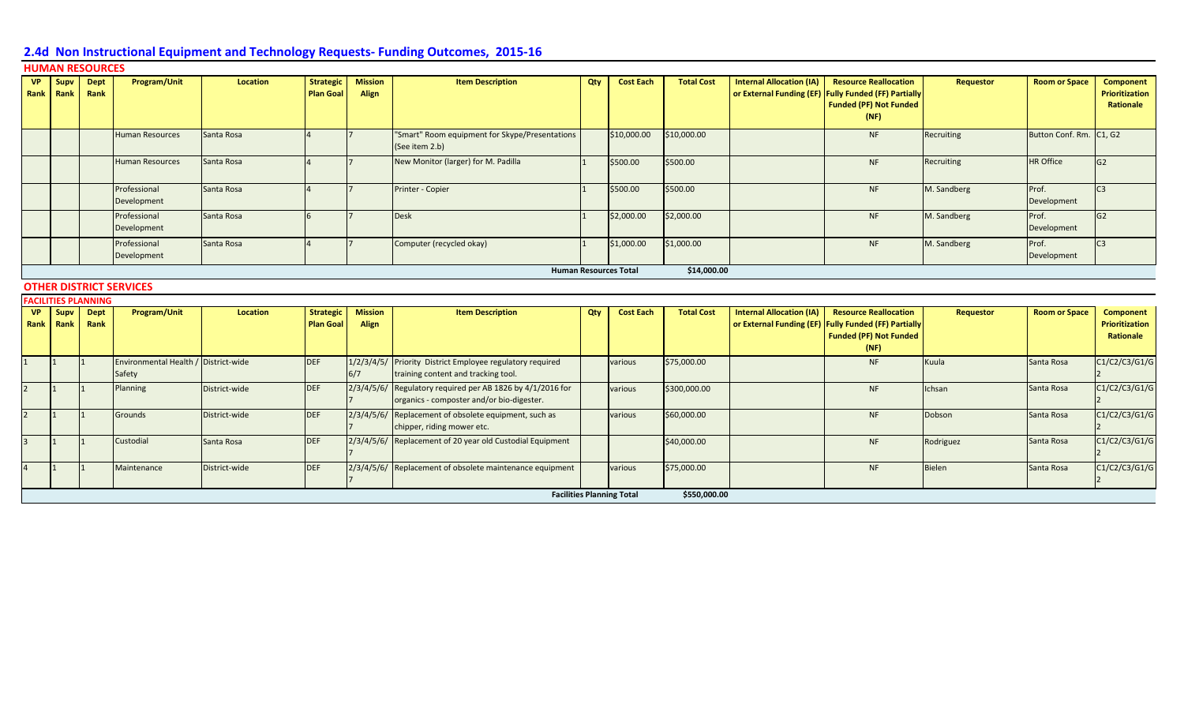| <b>VP</b><br>Rank | Supv<br>Rank | <b>Dept</b><br>Rank                              | <b>Program/Unit</b>                            | Location        | <b>Strategic</b><br><b>Plan Goal</b> | <b>Mission</b><br>Align | <b>Item Description</b>                                                                          | Qty | <b>Cost Each</b> | <b>Total Cost</b> | <b>Internal Allocation (IA)</b> | <b>Resource Reallocation</b><br>or External Funding (EF) Fully Funded (FF) Partially<br><b>Funded (PF) Not Funded</b><br>(NF) | <b>Requestor</b> | <b>Room or Space</b>    | <b>Component</b><br>Prioritization<br>Rationale |
|-------------------|--------------|--------------------------------------------------|------------------------------------------------|-----------------|--------------------------------------|-------------------------|--------------------------------------------------------------------------------------------------|-----|------------------|-------------------|---------------------------------|-------------------------------------------------------------------------------------------------------------------------------|------------------|-------------------------|-------------------------------------------------|
|                   |              |                                                  | <b>Human Resources</b>                         | Santa Rosa      |                                      |                         | "Smart" Room equipment for Skype/Presentations<br>(See item 2.b)                                 |     | \$10,000.00      | \$10,000.00       |                                 | <b>NF</b>                                                                                                                     | Recruiting       | Button Conf. Rm. C1, G2 |                                                 |
|                   |              |                                                  | <b>Human Resources</b>                         | Santa Rosa      |                                      |                         | New Monitor (larger) for M. Padilla                                                              |     | \$500.00         | \$500.00          |                                 | <b>NF</b>                                                                                                                     | Recruiting       | <b>HR Office</b>        | G2                                              |
|                   |              |                                                  | Professional<br>Development                    | Santa Rosa      |                                      |                         | Printer - Copier                                                                                 |     | \$500.00         | \$500.00          |                                 | <b>NF</b>                                                                                                                     | M. Sandberg      | Prof.<br>Development    | C <sub>3</sub>                                  |
|                   |              |                                                  | Professional<br>Development                    | Santa Rosa      | 6                                    |                         | <b>Desk</b>                                                                                      |     | \$2,000.00       | \$2,000.00        |                                 | <b>NF</b>                                                                                                                     | M. Sandberg      | Prof.<br>Development    | G2                                              |
|                   |              |                                                  | Professional<br>Development                    | Santa Rosa      |                                      |                         | Computer (recycled okay)                                                                         |     | \$1,000.00       | \$1,000.00        |                                 | <b>NF</b>                                                                                                                     | M. Sandberg      | Prof.<br>Development    | C <sub>3</sub>                                  |
|                   |              | \$14,000.00<br><b>Human Resources Total</b>      |                                                |                 |                                      |                         |                                                                                                  |     |                  |                   |                                 |                                                                                                                               |                  |                         |                                                 |
|                   |              |                                                  | <b>OTHER DISTRICT SERVICES</b>                 |                 |                                      |                         |                                                                                                  |     |                  |                   |                                 |                                                                                                                               |                  |                         |                                                 |
| <b>VP</b>         | Supv         | <b>FACILITIES PLANNING</b><br><b>Dept</b>        | <b>Program/Unit</b>                            | <b>Location</b> | <b>Strategic</b>                     | <b>Mission</b>          | <b>Item Description</b>                                                                          | Qty | <b>Cost Each</b> | <b>Total Cost</b> | <b>Internal Allocation (IA)</b> | <b>Resource Reallocation</b>                                                                                                  | <b>Requestor</b> | <b>Room or Space</b>    | <b>Component</b>                                |
| Rank Rank         |              | Rank                                             |                                                |                 | <b>Plan Goal</b>                     | Align                   |                                                                                                  |     |                  |                   |                                 | or External Funding (EF) Fully Funded (FF) Partially<br><b>Funded (PF) Not Funded</b><br>(NF)                                 |                  |                         | Prioritization<br>Rationale                     |
|                   |              |                                                  | Environmental Health / District-wide<br>Safety |                 | <b>DEF</b>                           | 6/7                     | 1/2/3/4/5/ Priority District Employee regulatory required<br>training content and tracking tool. |     | various          | \$75,000.00       |                                 | <b>NF</b>                                                                                                                     | Kuula            | Santa Rosa              | C1/C2/C3/G1/G                                   |
| $\overline{2}$    |              |                                                  | Planning                                       | District-wide   | <b>DEF</b>                           | 2/3/4/5/6/              | Regulatory required per AB 1826 by 4/1/2016 for<br>organics - composter and/or bio-digester.     |     | various          | \$300,000.00      |                                 | <b>NF</b>                                                                                                                     | Ichsan           | Santa Rosa              | C1/C2/C3/G1/G                                   |
| $\overline{2}$    |              |                                                  | Grounds                                        | District-wide   | <b>DEF</b>                           |                         | 2/3/4/5/6/ Replacement of obsolete equipment, such as<br>chipper, riding mower etc.              |     | various          | \$60,000.00       |                                 | <b>NF</b>                                                                                                                     | Dobson           | Santa Rosa              | C1/C2/C3/G1/G                                   |
| $\overline{3}$    |              |                                                  | Custodial                                      | Santa Rosa      | <b>DEF</b>                           |                         | 2/3/4/5/6/ Replacement of 20 year old Custodial Equipment                                        |     |                  | \$40,000.00       |                                 | <b>NF</b>                                                                                                                     | Rodriguez        | Santa Rosa              | C1/C2/C3/G1/G                                   |
| $\overline{4}$    |              |                                                  | Maintenance                                    | District-wide   | <b>DEF</b>                           |                         | 2/3/4/5/6/ Replacement of obsolete maintenance equipment                                         |     | various          | \$75,000.00       |                                 | <b>NF</b>                                                                                                                     | Bielen           | Santa Rosa              | C1/C2/C3/G1/G                                   |
|                   |              | <b>Facilities Planning Total</b><br>\$550,000.00 |                                                |                 |                                      |                         |                                                                                                  |     |                  |                   |                                 |                                                                                                                               |                  |                         |                                                 |

#### **HUMAN RESOURCES**